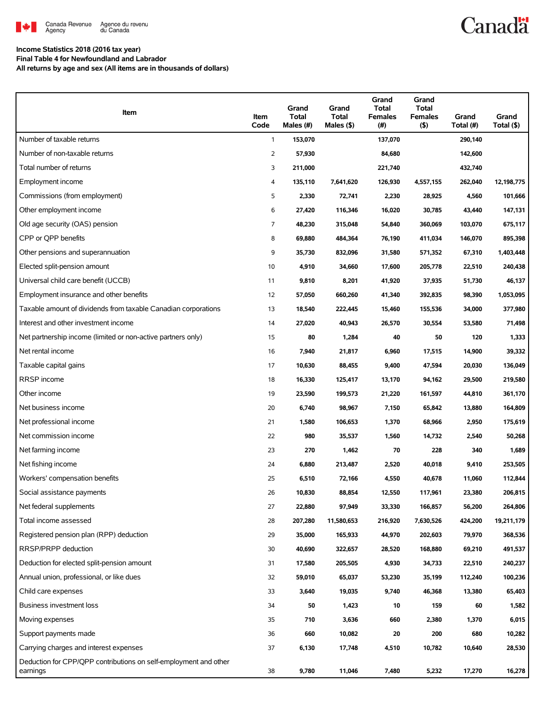

# **Canadä**

### **Income Statistics 2018 (2016 tax year)**

**Final Table 4 for Newfoundland and Labrador**

**All returns by age and sex (All items are in thousands of dollars)**

| Item                                                                         | Item<br>Code            | Grand<br>Total<br>Males (#) | Grand<br><b>Total</b><br>Males (\$) | Grand<br>Total<br>Females<br>$(\#)$ | Grand<br><b>Total</b><br>Females<br>(5) | Grand<br>Total (#) | Grand<br>Total (\$) |
|------------------------------------------------------------------------------|-------------------------|-----------------------------|-------------------------------------|-------------------------------------|-----------------------------------------|--------------------|---------------------|
| Number of taxable returns                                                    | $\mathbf{1}$            | 153,070                     |                                     | 137,070                             |                                         | 290,140            |                     |
| Number of non-taxable returns                                                | 2                       | 57,930                      |                                     | 84,680                              |                                         | 142,600            |                     |
| Total number of returns                                                      | 3                       | 211,000                     |                                     | 221,740                             |                                         | 432,740            |                     |
| Employment income                                                            | $\overline{\mathbf{4}}$ | 135,110                     | 7,641,620                           | 126,930                             | 4,557,155                               | 262,040            | 12,198,775          |
| Commissions (from employment)                                                | 5                       | 2,330                       | 72,741                              | 2,230                               | 28,925                                  | 4,560              | 101,666             |
| Other employment income                                                      | 6                       | 27,420                      | 116,346                             | 16,020                              | 30,785                                  | 43,440             | 147,131             |
| Old age security (OAS) pension                                               | 7                       | 48,230                      | 315,048                             | 54,840                              | 360,069                                 | 103,070            | 675,117             |
| CPP or QPP benefits                                                          | 8                       | 69,880                      | 484,364                             | 76,190                              | 411,034                                 | 146,070            | 895,398             |
| Other pensions and superannuation                                            | 9                       | 35,730                      | 832,096                             | 31,580                              | 571,352                                 | 67,310             | 1,403,448           |
| Elected split-pension amount                                                 | 10                      | 4,910                       | 34,660                              | 17,600                              | 205,778                                 | 22,510             | 240,438             |
| Universal child care benefit (UCCB)                                          | 11                      | 9,810                       | 8,201                               | 41,920                              | 37,935                                  | 51,730             | 46,137              |
| Employment insurance and other benefits                                      | 12                      | 57,050                      | 660,260                             | 41,340                              | 392,835                                 | 98,390             | 1,053,095           |
| Taxable amount of dividends from taxable Canadian corporations               | 13                      | 18,540                      | 222,445                             | 15,460                              | 155,536                                 | 34,000             | 377,980             |
| Interest and other investment income                                         | 14                      | 27,020                      | 40,943                              | 26,570                              | 30,554                                  | 53,580             | 71,498              |
| Net partnership income (limited or non-active partners only)                 | 15                      | 80                          | 1,284                               | 40                                  | 50                                      | 120                | 1,333               |
| Net rental income                                                            | 16                      | 7,940                       | 21,817                              | 6,960                               | 17,515                                  | 14,900             | 39,332              |
| Taxable capital gains                                                        | 17                      | 10,630                      | 88,455                              | 9,400                               | 47,594                                  | 20,030             | 136,049             |
| <b>RRSP</b> income                                                           | 18                      | 16,330                      | 125,417                             | 13,170                              | 94,162                                  | 29,500             | 219,580             |
| Other income                                                                 | 19                      | 23,590                      | 199,573                             | 21,220                              | 161,597                                 | 44,810             | 361,170             |
| Net business income                                                          | 20                      | 6,740                       | 98,967                              | 7,150                               | 65,842                                  | 13,880             | 164,809             |
| Net professional income                                                      | 21                      | 1,580                       | 106,653                             | 1,370                               | 68,966                                  | 2,950              | 175,619             |
| Net commission income                                                        | 22                      | 980                         | 35,537                              | 1,560                               | 14,732                                  | 2,540              | 50,268              |
| Net farming income                                                           | 23                      | 270                         | 1,462                               | 70                                  | 228                                     | 340                | 1,689               |
| Net fishing income                                                           | 24                      | 6,880                       | 213,487                             | 2,520                               | 40,018                                  | 9,410              | 253,505             |
| Workers' compensation benefits                                               | 25                      | 6,510                       | 72,166                              | 4,550                               | 40,678                                  | 11,060             | 112,844             |
| Social assistance payments                                                   | 26                      | 10,830                      | 88,854                              | 12,550                              | 117,961                                 | 23,380             | 206,815             |
| Net federal supplements                                                      | 27                      | 22,880                      | 97,949                              | 33,330                              | 166,857                                 | 56,200             | 264,806             |
| Total income assessed                                                        | 28                      | 207,280                     | 11,580,653                          | 216,920                             | 7,630,526                               | 424,200            | 19,211,179          |
| Registered pension plan (RPP) deduction                                      | 29                      | 35,000                      | 165,933                             | 44,970                              | 202,603                                 | 79,970             | 368,536             |
| RRSP/PRPP deduction                                                          | 30                      | 40,690                      | 322,657                             | 28,520                              | 168,880                                 | 69,210             | 491,537             |
| Deduction for elected split-pension amount                                   | 31                      | 17,580                      | 205,505                             | 4,930                               | 34,733                                  | 22,510             | 240,237             |
| Annual union, professional, or like dues                                     | 32                      | 59,010                      | 65,037                              | 53,230                              | 35,199                                  | 112,240            | 100,236             |
| Child care expenses                                                          | 33                      | 3,640                       | 19,035                              | 9,740                               | 46,368                                  | 13,380             | 65,403              |
| Business investment loss                                                     | 34                      | 50                          | 1,423                               | 10                                  | 159                                     | 60                 | 1,582               |
| Moving expenses                                                              | 35                      | 710                         | 3,636                               | 660                                 | 2,380                                   | 1,370              | 6,015               |
| Support payments made                                                        | 36                      | 660                         | 10,082                              | 20                                  | 200                                     | 680                | 10,282              |
| Carrying charges and interest expenses                                       | 37                      | 6,130                       | 17,748                              | 4,510                               | 10,782                                  | 10,640             | 28,530              |
| Deduction for CPP/QPP contributions on self-employment and other<br>earnings | 38                      | 9,780                       | 11,046                              | 7,480                               | 5,232                                   | 17,270             | 16,278              |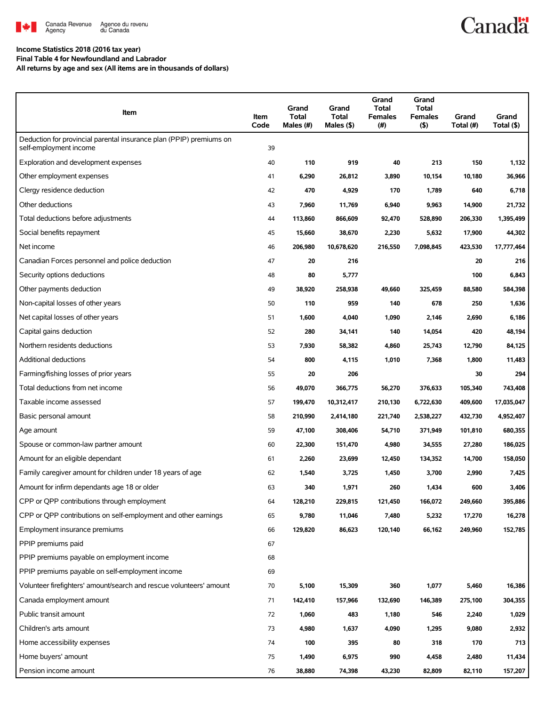

### **Income Statistics 2018 (2016 tax year)**

**Final Table 4 for Newfoundland and Labrador**

**All returns by age and sex (All items are in thousands of dollars)**

| Item                                                                                          | Item<br>Code | Grand<br>Total<br>Males (#) | Grand<br>Total<br>Males (\$) | Grand<br><b>Total</b><br><b>Females</b><br>$(\#)$ | Grand<br><b>Total</b><br><b>Females</b><br>$($ \$) | Grand<br>Total (#) | Grand<br>Total (\$) |
|-----------------------------------------------------------------------------------------------|--------------|-----------------------------|------------------------------|---------------------------------------------------|----------------------------------------------------|--------------------|---------------------|
| Deduction for provincial parental insurance plan (PPIP) premiums on<br>self-employment income | 39           |                             |                              |                                                   |                                                    |                    |                     |
| Exploration and development expenses                                                          | 40           | 110                         | 919                          | 40                                                | 213                                                | 150                | 1,132               |
| Other employment expenses                                                                     | 41           | 6,290                       | 26,812                       | 3,890                                             | 10,154                                             | 10,180             | 36,966              |
| Clergy residence deduction                                                                    | 42           | 470                         | 4,929                        | 170                                               | 1,789                                              | 640                | 6,718               |
| Other deductions                                                                              | 43           | 7,960                       | 11,769                       | 6,940                                             | 9,963                                              | 14,900             | 21,732              |
| Total deductions before adjustments                                                           | 44           | 113,860                     | 866,609                      | 92,470                                            | 528,890                                            | 206,330            | 1,395,499           |
| Social benefits repayment                                                                     | 45           | 15,660                      | 38,670                       | 2,230                                             | 5,632                                              | 17,900             | 44,302              |
| Net income                                                                                    | 46           | 206,980                     | 10,678,620                   | 216,550                                           | 7,098,845                                          | 423,530            | 17,777,464          |
| Canadian Forces personnel and police deduction                                                | 47           | 20                          | 216                          |                                                   |                                                    | 20                 | 216                 |
| Security options deductions                                                                   | 48           | 80                          | 5,777                        |                                                   |                                                    | 100                | 6,843               |
| Other payments deduction                                                                      | 49           | 38,920                      | 258,938                      | 49,660                                            | 325,459                                            | 88,580             | 584,398             |
| Non-capital losses of other years                                                             | 50           | 110                         | 959                          | 140                                               | 678                                                | 250                | 1,636               |
| Net capital losses of other years                                                             | 51           | 1,600                       | 4,040                        | 1,090                                             | 2,146                                              | 2,690              | 6,186               |
| Capital gains deduction                                                                       | 52           | 280                         | 34,141                       | 140                                               | 14,054                                             | 420                | 48,194              |
| Northern residents deductions                                                                 | 53           | 7,930                       | 58,382                       | 4,860                                             | 25,743                                             | 12,790             | 84,125              |
| Additional deductions                                                                         | 54           | 800                         | 4,115                        | 1,010                                             | 7,368                                              | 1,800              | 11,483              |
| Farming/fishing losses of prior years                                                         | 55           | 20                          | 206                          |                                                   |                                                    | 30                 | 294                 |
| Total deductions from net income                                                              | 56           | 49,070                      | 366,775                      | 56,270                                            | 376,633                                            | 105,340            | 743,408             |
| Taxable income assessed                                                                       | 57           | 199,470                     | 10,312,417                   | 210,130                                           | 6,722,630                                          | 409,600            | 17,035,047          |
| Basic personal amount                                                                         | 58           | 210,990                     | 2,414,180                    | 221,740                                           | 2,538,227                                          | 432,730            | 4,952,407           |
| Age amount                                                                                    | 59           | 47,100                      | 308,406                      | 54,710                                            | 371,949                                            | 101,810            | 680,355             |
| Spouse or common-law partner amount                                                           | 60           | 22,300                      | 151,470                      | 4,980                                             | 34,555                                             | 27,280             | 186,025             |
| Amount for an eligible dependant                                                              | 61           | 2,260                       | 23,699                       | 12,450                                            | 134,352                                            | 14,700             | 158,050             |
| Family caregiver amount for children under 18 years of age                                    | 62           | 1,540                       | 3,725                        | 1,450                                             | 3,700                                              | 2,990              | 7,425               |
| Amount for infirm dependants age 18 or older                                                  | 63           | 340                         | 1,971                        | 260                                               | 1,434                                              | 600                | 3,406               |
| CPP or QPP contributions through employment                                                   | 64           | 128,210                     | 229,815                      | 121,450                                           | 166,072                                            | 249,660            | 395,886             |
| CPP or QPP contributions on self-employment and other earnings                                | 65           | 9,780                       | 11,046                       | 7,480                                             | 5,232                                              | 17,270             | 16,278              |
| Employment insurance premiums                                                                 | 66           | 129,820                     | 86,623                       | 120,140                                           | 66,162                                             | 249,960            | 152,785             |
| PPIP premiums paid                                                                            | 67           |                             |                              |                                                   |                                                    |                    |                     |
| PPIP premiums payable on employment income                                                    | 68           |                             |                              |                                                   |                                                    |                    |                     |
| PPIP premiums payable on self-employment income                                               | 69           |                             |                              |                                                   |                                                    |                    |                     |
| Volunteer firefighters' amount/search and rescue volunteers' amount                           | 70           | 5,100                       | 15,309                       | 360                                               | 1,077                                              | 5,460              | 16,386              |
| Canada employment amount                                                                      | 71           | 142,410                     | 157,966                      | 132,690                                           | 146,389                                            | 275,100            | 304,355             |
| Public transit amount                                                                         | 72           | 1,060                       | 483                          | 1,180                                             | 546                                                | 2,240              | 1,029               |
| Children's arts amount                                                                        | 73           | 4,980                       | 1,637                        | 4,090                                             | 1,295                                              | 9,080              | 2,932               |
| Home accessibility expenses                                                                   | 74           | 100                         | 395                          | 80                                                | 318                                                | 170                | 713                 |
| Home buyers' amount                                                                           | 75           | 1,490                       | 6,975                        | 990                                               | 4,458                                              | 2,480              | 11,434              |
| Pension income amount                                                                         | 76           | 38,880                      | 74,398                       | 43,230                                            | 82,809                                             | 82,110             | 157,207             |

**Canadä**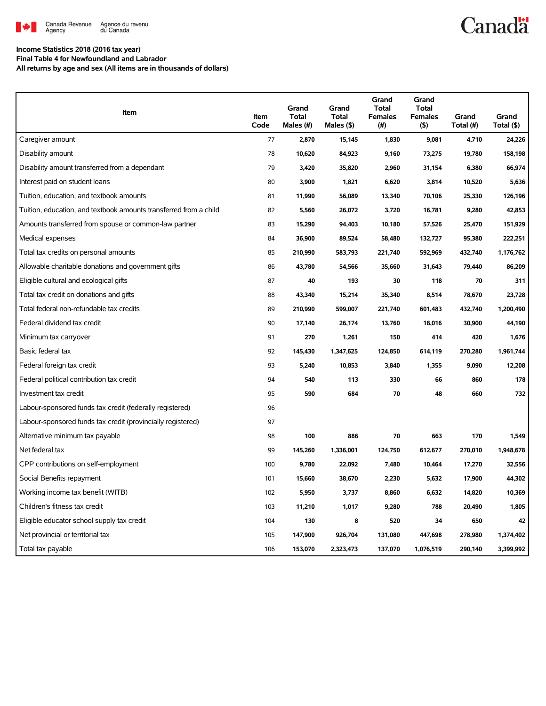

### **Income Statistics 2018 (2016 tax year)**

**Final Table 4 for Newfoundland and Labrador All returns by age and sex (All items are in thousands of dollars)**

| Item                                                              | Item<br>Code | Grand<br><b>Total</b><br>Males (#) | Grand<br><b>Total</b><br>Males (\$) | Grand<br><b>Total</b><br><b>Females</b><br>(#) | Grand<br><b>Total</b><br><b>Females</b><br>$($ \$) | Grand<br>Total (#) | Grand<br>Total (\$) |
|-------------------------------------------------------------------|--------------|------------------------------------|-------------------------------------|------------------------------------------------|----------------------------------------------------|--------------------|---------------------|
| Caregiver amount                                                  | 77           | 2,870                              | 15,145                              | 1,830                                          | 9,081                                              | 4,710              | 24,226              |
| Disability amount                                                 | 78           | 10,620                             | 84,923                              | 9,160                                          | 73,275                                             | 19,780             | 158,198             |
| Disability amount transferred from a dependant                    | 79           | 3,420                              | 35,820                              | 2,960                                          | 31,154                                             | 6,380              | 66,974              |
| Interest paid on student loans                                    | 80           | 3,900                              | 1,821                               | 6,620                                          | 3,814                                              | 10,520             | 5,636               |
| Tuition, education, and textbook amounts                          | 81           | 11,990                             | 56,089                              | 13,340                                         | 70,106                                             | 25,330             | 126,196             |
| Tuition, education, and textbook amounts transferred from a child | 82           | 5,560                              | 26,072                              | 3,720                                          | 16,781                                             | 9,280              | 42,853              |
| Amounts transferred from spouse or common-law partner             | 83           | 15,290                             | 94,403                              | 10,180                                         | 57,526                                             | 25,470             | 151,929             |
| Medical expenses                                                  | 84           | 36,900                             | 89,524                              | 58,480                                         | 132,727                                            | 95,380             | 222,251             |
| Total tax credits on personal amounts                             | 85           | 210,990                            | 583,793                             | 221,740                                        | 592,969                                            | 432,740            | 1,176,762           |
| Allowable charitable donations and government gifts               | 86           | 43,780                             | 54,566                              | 35,660                                         | 31,643                                             | 79,440             | 86,209              |
| Eligible cultural and ecological gifts                            | 87           | 40                                 | 193                                 | 30                                             | 118                                                | 70                 | 311                 |
| Total tax credit on donations and gifts                           | 88           | 43,340                             | 15,214                              | 35,340                                         | 8,514                                              | 78,670             | 23,728              |
| Total federal non-refundable tax credits                          | 89           | 210,990                            | 599,007                             | 221,740                                        | 601,483                                            | 432,740            | 1,200,490           |
| Federal dividend tax credit                                       | 90           | 17,140                             | 26,174                              | 13,760                                         | 18,016                                             | 30,900             | 44,190              |
| Minimum tax carryover                                             | 91           | 270                                | 1,261                               | 150                                            | 414                                                | 420                | 1,676               |
| Basic federal tax                                                 | 92           | 145,430                            | 1,347,625                           | 124,850                                        | 614,119                                            | 270,280            | 1,961,744           |
| Federal foreign tax credit                                        | 93           | 5,240                              | 10,853                              | 3,840                                          | 1,355                                              | 9,090              | 12,208              |
| Federal political contribution tax credit                         | 94           | 540                                | 113                                 | 330                                            | 66                                                 | 860                | 178                 |
| Investment tax credit                                             | 95           | 590                                | 684                                 | 70                                             | 48                                                 | 660                | 732                 |
| Labour-sponsored funds tax credit (federally registered)          | 96           |                                    |                                     |                                                |                                                    |                    |                     |
| Labour-sponsored funds tax credit (provincially registered)       | 97           |                                    |                                     |                                                |                                                    |                    |                     |
| Alternative minimum tax payable                                   | 98           | 100                                | 886                                 | 70                                             | 663                                                | 170                | 1,549               |
| Net federal tax                                                   | 99           | 145,260                            | 1,336,001                           | 124,750                                        | 612,677                                            | 270,010            | 1,948,678           |
| CPP contributions on self-employment                              | 100          | 9,780                              | 22,092                              | 7,480                                          | 10,464                                             | 17,270             | 32,556              |
| Social Benefits repayment                                         | 101          | 15,660                             | 38,670                              | 2,230                                          | 5,632                                              | 17,900             | 44,302              |
| Working income tax benefit (WITB)                                 | 102          | 5,950                              | 3,737                               | 8,860                                          | 6,632                                              | 14,820             | 10,369              |
| Children's fitness tax credit                                     | 103          | 11,210                             | 1,017                               | 9,280                                          | 788                                                | 20,490             | 1,805               |
| Eligible educator school supply tax credit                        | 104          | 130                                | 8                                   | 520                                            | 34                                                 | 650                | 42                  |
| Net provincial or territorial tax                                 | 105          | 147,900                            | 926,704                             | 131,080                                        | 447,698                                            | 278,980            | 1,374,402           |
| Total tax payable                                                 | 106          | 153,070                            | 2,323,473                           | 137,070                                        | 1,076,519                                          | 290.140            | 3,399,992           |

## **Canadä**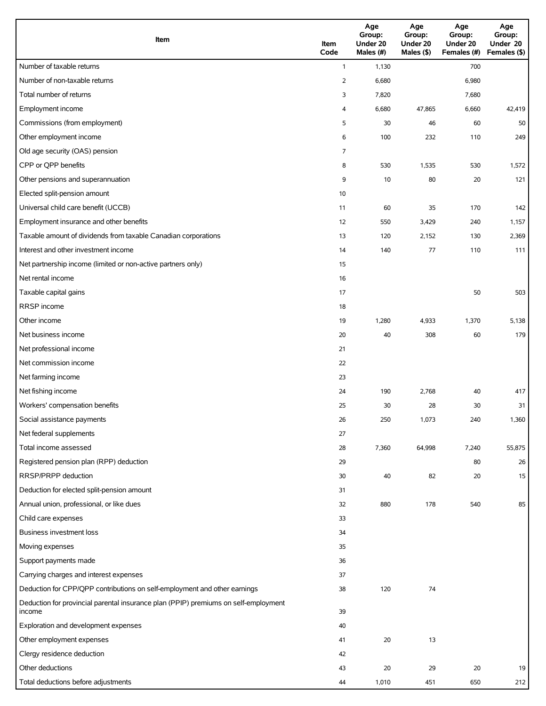| Item                                                                                          | Item<br>Code | Age<br>Group:<br>Under 20<br>Males (#) | Age<br>Group:<br>Under 20<br>Males (\$) | Age<br>Group:<br>Under 20<br>Females (#) | Age<br>Group:<br>Under 20<br>Females (\$) |
|-----------------------------------------------------------------------------------------------|--------------|----------------------------------------|-----------------------------------------|------------------------------------------|-------------------------------------------|
| Number of taxable returns                                                                     | $\mathbf{1}$ | 1,130                                  |                                         | 700                                      |                                           |
| Number of non-taxable returns                                                                 | 2            | 6,680                                  |                                         | 6,980                                    |                                           |
| Total number of returns                                                                       | 3            | 7,820                                  |                                         | 7,680                                    |                                           |
| Employment income                                                                             | 4            | 6,680                                  | 47,865                                  | 6,660                                    | 42,419                                    |
| Commissions (from employment)                                                                 | 5            | 30                                     | 46                                      | 60                                       | 50                                        |
| Other employment income                                                                       | 6            | 100                                    | 232                                     | 110                                      | 249                                       |
| Old age security (OAS) pension                                                                | 7            |                                        |                                         |                                          |                                           |
| CPP or QPP benefits                                                                           | 8            | 530                                    | 1,535                                   | 530                                      | 1,572                                     |
| Other pensions and superannuation                                                             | 9            | 10                                     | 80                                      | 20                                       | 121                                       |
| Elected split-pension amount                                                                  | 10           |                                        |                                         |                                          |                                           |
| Universal child care benefit (UCCB)                                                           | 11           | 60                                     | 35                                      | 170                                      | 142                                       |
| Employment insurance and other benefits                                                       | 12           | 550                                    | 3,429                                   | 240                                      | 1,157                                     |
| Taxable amount of dividends from taxable Canadian corporations                                | 13           | 120                                    | 2,152                                   | 130                                      | 2,369                                     |
| Interest and other investment income                                                          | 14           | 140                                    | 77                                      | 110                                      | 111                                       |
| Net partnership income (limited or non-active partners only)                                  | 15           |                                        |                                         |                                          |                                           |
| Net rental income                                                                             | 16           |                                        |                                         |                                          |                                           |
| Taxable capital gains                                                                         | 17           |                                        |                                         | 50                                       | 503                                       |
| <b>RRSP</b> income                                                                            | 18           |                                        |                                         |                                          |                                           |
| Other income                                                                                  | 19           | 1,280                                  | 4,933                                   | 1,370                                    | 5,138                                     |
| Net business income                                                                           | 20           | 40                                     | 308                                     | 60                                       | 179                                       |
| Net professional income                                                                       | 21           |                                        |                                         |                                          |                                           |
| Net commission income                                                                         | 22           |                                        |                                         |                                          |                                           |
| Net farming income                                                                            | 23           |                                        |                                         |                                          |                                           |
| Net fishing income                                                                            | 24           | 190                                    | 2,768                                   | 40                                       | 417                                       |
| Workers' compensation benefits                                                                | 25           | 30                                     | 28                                      | 30                                       | 31                                        |
| Social assistance payments                                                                    | 26           | 250                                    | 1,073                                   | 240                                      | 1,360                                     |
| Net federal supplements                                                                       | 27           |                                        |                                         |                                          |                                           |
| Total income assessed                                                                         | 28           | 7,360                                  | 64,998                                  | 7,240                                    | 55,875                                    |
| Registered pension plan (RPP) deduction                                                       | 29           |                                        |                                         | 80                                       | 26                                        |
| RRSP/PRPP deduction                                                                           | 30           | 40                                     | 82                                      | 20                                       | 15                                        |
| Deduction for elected split-pension amount                                                    | 31           |                                        |                                         |                                          |                                           |
| Annual union, professional, or like dues                                                      | 32           | 880                                    | 178                                     | 540                                      | 85                                        |
| Child care expenses                                                                           | 33           |                                        |                                         |                                          |                                           |
| Business investment loss                                                                      | 34           |                                        |                                         |                                          |                                           |
| Moving expenses                                                                               | 35           |                                        |                                         |                                          |                                           |
| Support payments made                                                                         | 36           |                                        |                                         |                                          |                                           |
| Carrying charges and interest expenses                                                        | 37           |                                        |                                         |                                          |                                           |
| Deduction for CPP/QPP contributions on self-employment and other earnings                     | 38           | 120                                    | 74                                      |                                          |                                           |
| Deduction for provincial parental insurance plan (PPIP) premiums on self-employment<br>income | 39           |                                        |                                         |                                          |                                           |
| Exploration and development expenses                                                          | 40           |                                        |                                         |                                          |                                           |
| Other employment expenses                                                                     | 41           | 20                                     | 13                                      |                                          |                                           |
| Clergy residence deduction                                                                    | 42           |                                        |                                         |                                          |                                           |
| Other deductions                                                                              | 43           | 20                                     | 29                                      | 20                                       | 19                                        |
| Total deductions before adjustments                                                           | 44           | 1,010                                  | 451                                     | 650                                      | 212                                       |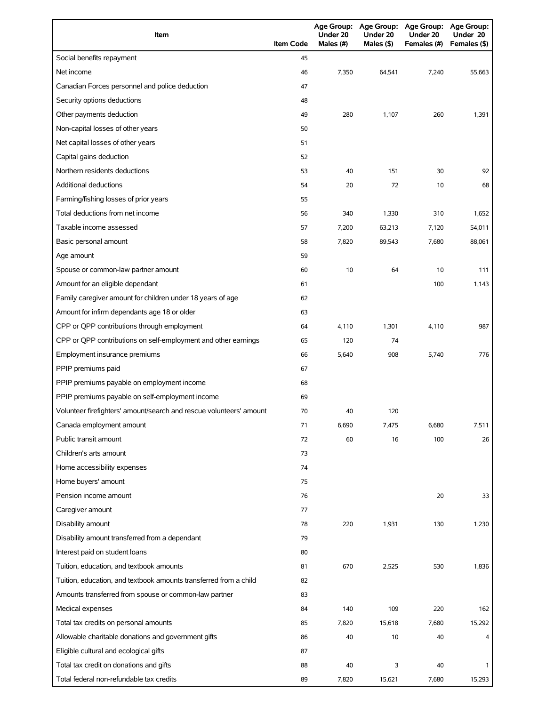| Item                                                                | <b>Item Code</b> | Under 20<br>Males (#) | Age Group: Age Group:<br>Under 20<br>Males (\$) | Age Group: Age Group:<br>Under 20<br>Females (#) | Under 20<br>Females (\$) |
|---------------------------------------------------------------------|------------------|-----------------------|-------------------------------------------------|--------------------------------------------------|--------------------------|
| Social benefits repayment                                           | 45               |                       |                                                 |                                                  |                          |
| Net income                                                          | 46               | 7,350                 | 64,541                                          | 7,240                                            | 55,663                   |
| Canadian Forces personnel and police deduction                      | 47               |                       |                                                 |                                                  |                          |
| Security options deductions                                         | 48               |                       |                                                 |                                                  |                          |
| Other payments deduction                                            | 49               | 280                   | 1,107                                           | 260                                              | 1,391                    |
| Non-capital losses of other years                                   | 50               |                       |                                                 |                                                  |                          |
| Net capital losses of other years                                   | 51               |                       |                                                 |                                                  |                          |
| Capital gains deduction                                             | 52               |                       |                                                 |                                                  |                          |
| Northern residents deductions                                       | 53               | 40                    | 151                                             | 30                                               | 92                       |
| <b>Additional deductions</b>                                        | 54               | 20                    | 72                                              | 10                                               | 68                       |
| Farming/fishing losses of prior years                               | 55               |                       |                                                 |                                                  |                          |
| Total deductions from net income                                    | 56               | 340                   | 1,330                                           | 310                                              | 1,652                    |
| Taxable income assessed                                             | 57               | 7,200                 | 63,213                                          | 7,120                                            | 54,011                   |
| Basic personal amount                                               | 58               | 7,820                 | 89,543                                          | 7,680                                            | 88,061                   |
| Age amount                                                          | 59               |                       |                                                 |                                                  |                          |
| Spouse or common-law partner amount                                 | 60               | 10                    | 64                                              | 10                                               | 111                      |
| Amount for an eligible dependant                                    | 61               |                       |                                                 | 100                                              | 1,143                    |
| Family caregiver amount for children under 18 years of age          | 62               |                       |                                                 |                                                  |                          |
| Amount for infirm dependants age 18 or older                        | 63               |                       |                                                 |                                                  |                          |
| CPP or QPP contributions through employment                         | 64               | 4,110                 | 1,301                                           | 4,110                                            | 987                      |
| CPP or QPP contributions on self-employment and other earnings      | 65               | 120                   | 74                                              |                                                  |                          |
| Employment insurance premiums                                       | 66               | 5,640                 | 908                                             | 5,740                                            | 776                      |
| PPIP premiums paid                                                  | 67               |                       |                                                 |                                                  |                          |
| PPIP premiums payable on employment income                          | 68               |                       |                                                 |                                                  |                          |
| PPIP premiums payable on self-employment income                     | 69               |                       |                                                 |                                                  |                          |
| Volunteer firefighters' amount/search and rescue volunteers' amount | 70               | 40                    | 120                                             |                                                  |                          |
| Canada employment amount                                            | 71               | 6,690                 | 7,475                                           | 6,680                                            | 7,511                    |
| Public transit amount                                               | 72               | 60                    | 16                                              | 100                                              | 26                       |
| Children's arts amount                                              | 73               |                       |                                                 |                                                  |                          |
| Home accessibility expenses                                         | 74               |                       |                                                 |                                                  |                          |
| Home buyers' amount                                                 | 75               |                       |                                                 |                                                  |                          |
| Pension income amount                                               | 76               |                       |                                                 | 20                                               | 33                       |
| Caregiver amount                                                    | 77               |                       |                                                 |                                                  |                          |
| Disability amount                                                   | 78               | 220                   | 1,931                                           | 130                                              | 1,230                    |
| Disability amount transferred from a dependant                      | 79               |                       |                                                 |                                                  |                          |
| Interest paid on student loans                                      | 80               |                       |                                                 |                                                  |                          |
| Tuition, education, and textbook amounts                            | 81               | 670                   | 2,525                                           | 530                                              | 1,836                    |
| Tuition, education, and textbook amounts transferred from a child   | 82               |                       |                                                 |                                                  |                          |
| Amounts transferred from spouse or common-law partner               | 83               |                       |                                                 |                                                  |                          |
| Medical expenses                                                    | 84               | 140                   | 109                                             | 220                                              | 162                      |
| Total tax credits on personal amounts                               | 85               | 7,820                 | 15,618                                          | 7,680                                            | 15,292                   |
| Allowable charitable donations and government gifts                 | 86               | 40                    | 10                                              | 40                                               | 4                        |
| Eligible cultural and ecological gifts                              | 87               |                       |                                                 |                                                  |                          |
| Total tax credit on donations and gifts                             | 88               | 40                    | 3                                               | 40                                               | 1                        |
| Total federal non-refundable tax credits                            | 89               | 7,820                 | 15,621                                          | 7,680                                            | 15,293                   |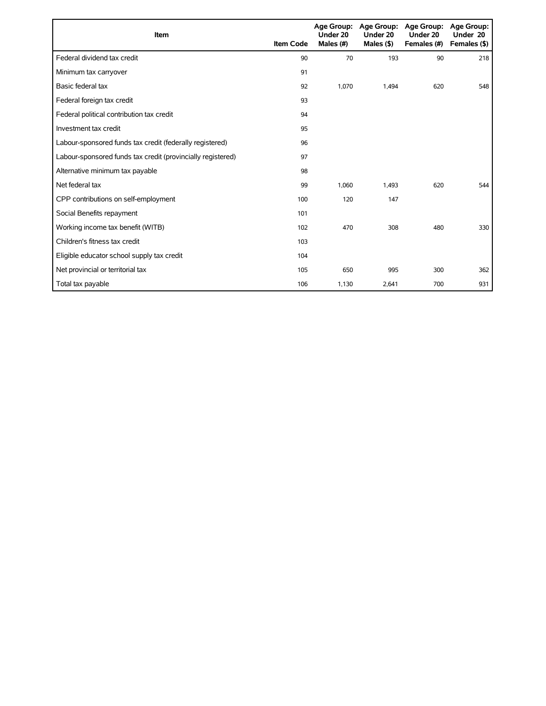| Item                                                        | <b>Item Code</b> | Under 20<br>Males (#) | Age Group: Age Group:<br>Under 20<br>Males $($ \$ $)$ | Age Group:<br>Under 20<br>Females (#) | Age Group:<br>Under 20<br>Females (\$) |
|-------------------------------------------------------------|------------------|-----------------------|-------------------------------------------------------|---------------------------------------|----------------------------------------|
| Federal dividend tax credit                                 | 90               | 70                    | 193                                                   | 90                                    | 218                                    |
| Minimum tax carryover                                       | 91               |                       |                                                       |                                       |                                        |
| Basic federal tax                                           | 92               | 1,070                 | 1,494                                                 | 620                                   | 548                                    |
| Federal foreign tax credit                                  | 93               |                       |                                                       |                                       |                                        |
| Federal political contribution tax credit                   | 94               |                       |                                                       |                                       |                                        |
| Investment tax credit                                       | 95               |                       |                                                       |                                       |                                        |
| Labour-sponsored funds tax credit (federally registered)    | 96               |                       |                                                       |                                       |                                        |
| Labour-sponsored funds tax credit (provincially registered) | 97               |                       |                                                       |                                       |                                        |
| Alternative minimum tax payable                             | 98               |                       |                                                       |                                       |                                        |
| Net federal tax                                             | 99               | 1,060                 | 1,493                                                 | 620                                   | 544                                    |
| CPP contributions on self-employment                        | 100              | 120                   | 147                                                   |                                       |                                        |
| Social Benefits repayment                                   | 101              |                       |                                                       |                                       |                                        |
| Working income tax benefit (WITB)                           | 102              | 470                   | 308                                                   | 480                                   | 330                                    |
| Children's fitness tax credit                               | 103              |                       |                                                       |                                       |                                        |
| Eligible educator school supply tax credit                  | 104              |                       |                                                       |                                       |                                        |
| Net provincial or territorial tax                           | 105              | 650                   | 995                                                   | 300                                   | 362                                    |
| Total tax payable                                           | 106              | 1,130                 | 2,641                                                 | 700                                   | 931                                    |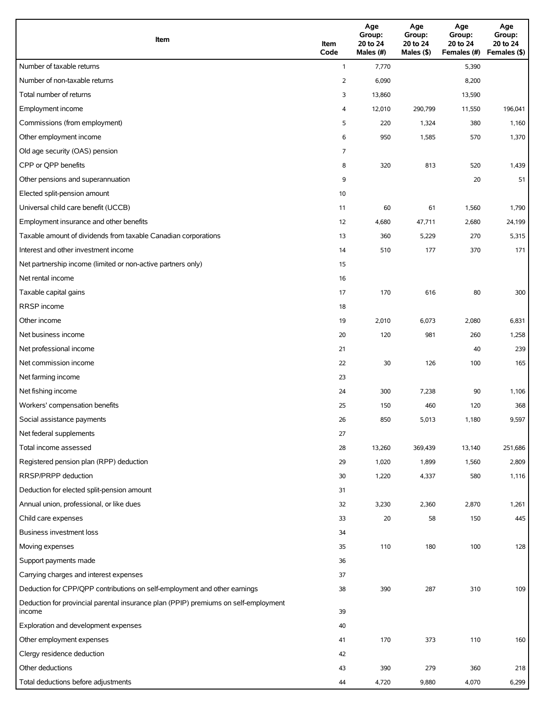| Item                                                                                          | Item<br>Code   | Age<br>Group:<br>20 to 24<br>Males (#) | Age<br>Group:<br>20 to 24<br>Males (\$) | Age<br>Group:<br>20 to 24<br>Females (#) | Age<br>Group:<br>20 to 24<br>Females (\$) |
|-----------------------------------------------------------------------------------------------|----------------|----------------------------------------|-----------------------------------------|------------------------------------------|-------------------------------------------|
| Number of taxable returns                                                                     | $\mathbf{1}$   | 7,770                                  |                                         | 5,390                                    |                                           |
| Number of non-taxable returns                                                                 | $\overline{2}$ | 6,090                                  |                                         | 8,200                                    |                                           |
| Total number of returns                                                                       | 3              | 13,860                                 |                                         | 13,590                                   |                                           |
| Employment income                                                                             | 4              | 12,010                                 | 290,799                                 | 11,550                                   | 196,041                                   |
| Commissions (from employment)                                                                 | 5              | 220                                    | 1,324                                   | 380                                      | 1,160                                     |
| Other employment income                                                                       | 6              | 950                                    | 1,585                                   | 570                                      | 1,370                                     |
| Old age security (OAS) pension                                                                | 7              |                                        |                                         |                                          |                                           |
| CPP or QPP benefits                                                                           | 8              | 320                                    | 813                                     | 520                                      | 1,439                                     |
| Other pensions and superannuation                                                             | 9              |                                        |                                         | 20                                       | 51                                        |
| Elected split-pension amount                                                                  | 10             |                                        |                                         |                                          |                                           |
| Universal child care benefit (UCCB)                                                           | 11             | 60                                     | 61                                      | 1,560                                    | 1,790                                     |
| Employment insurance and other benefits                                                       | 12             | 4,680                                  | 47,711                                  | 2,680                                    | 24,199                                    |
| Taxable amount of dividends from taxable Canadian corporations                                | 13             | 360                                    | 5,229                                   | 270                                      | 5,315                                     |
| Interest and other investment income                                                          | 14             | 510                                    | 177                                     | 370                                      | 171                                       |
| Net partnership income (limited or non-active partners only)                                  | 15             |                                        |                                         |                                          |                                           |
| Net rental income                                                                             | 16             |                                        |                                         |                                          |                                           |
| Taxable capital gains                                                                         | 17             | 170                                    | 616                                     | 80                                       | 300                                       |
| <b>RRSP</b> income                                                                            | 18             |                                        |                                         |                                          |                                           |
| Other income                                                                                  | 19             | 2,010                                  | 6,073                                   | 2,080                                    | 6,831                                     |
| Net business income                                                                           | 20             | 120                                    | 981                                     | 260                                      | 1,258                                     |
| Net professional income                                                                       | 21             |                                        |                                         | 40                                       | 239                                       |
| Net commission income                                                                         | 22             | 30                                     | 126                                     | 100                                      | 165                                       |
| Net farming income                                                                            | 23             |                                        |                                         |                                          |                                           |
| Net fishing income                                                                            | 24             | 300                                    | 7,238                                   | 90                                       | 1,106                                     |
| Workers' compensation benefits                                                                | 25             | 150                                    | 460                                     | 120                                      | 368                                       |
| Social assistance payments                                                                    | 26             | 850                                    | 5,013                                   | 1,180                                    | 9,597                                     |
| Net federal supplements                                                                       | 27             |                                        |                                         |                                          |                                           |
| Total income assessed                                                                         | 28             | 13,260                                 | 369,439                                 | 13,140                                   | 251,686                                   |
| Registered pension plan (RPP) deduction                                                       | 29             | 1,020                                  | 1,899                                   | 1,560                                    | 2,809                                     |
| RRSP/PRPP deduction                                                                           | 30             | 1,220                                  | 4,337                                   | 580                                      | 1,116                                     |
| Deduction for elected split-pension amount                                                    | 31             |                                        |                                         |                                          |                                           |
| Annual union, professional, or like dues                                                      | 32             | 3,230                                  | 2,360                                   | 2,870                                    | 1,261                                     |
| Child care expenses                                                                           | 33             | 20                                     | 58                                      | 150                                      | 445                                       |
| Business investment loss                                                                      | 34             |                                        |                                         |                                          |                                           |
| Moving expenses                                                                               | 35             | 110                                    | 180                                     | 100                                      | 128                                       |
| Support payments made                                                                         | 36             |                                        |                                         |                                          |                                           |
| Carrying charges and interest expenses                                                        | 37             |                                        |                                         |                                          |                                           |
| Deduction for CPP/QPP contributions on self-employment and other earnings                     | 38             | 390                                    | 287                                     | 310                                      | 109                                       |
| Deduction for provincial parental insurance plan (PPIP) premiums on self-employment<br>income | 39             |                                        |                                         |                                          |                                           |
| Exploration and development expenses                                                          | 40             |                                        |                                         |                                          |                                           |
| Other employment expenses                                                                     | 41             | 170                                    | 373                                     | 110                                      | 160                                       |
| Clergy residence deduction                                                                    | 42             |                                        |                                         |                                          |                                           |
| Other deductions                                                                              | 43             | 390                                    | 279                                     | 360                                      | 218                                       |
| Total deductions before adjustments                                                           | 44             | 4,720                                  | 9,880                                   | 4,070                                    | 6,299                                     |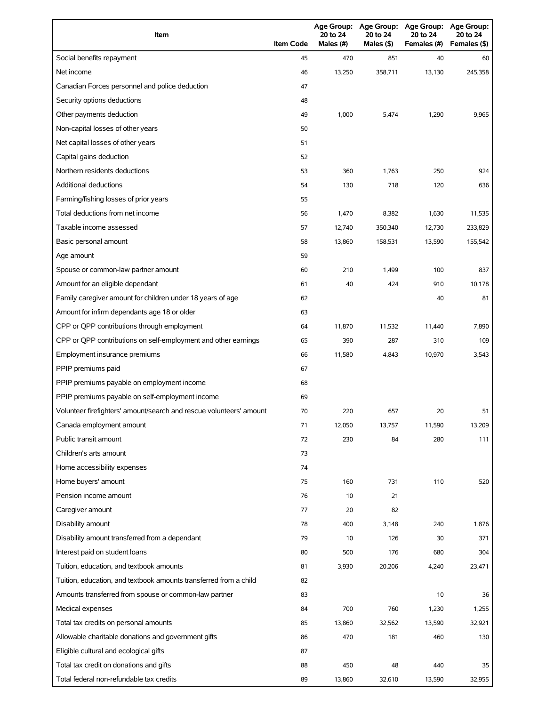| Item                                                                | <b>Item Code</b> | 20 to 24<br>Males (#) | Age Group: Age Group:<br>20 to 24<br>Males (\$) | <b>Age Group:</b><br>20 to 24<br>Females (#) | Age Group:<br>20 to 24<br>Females (\$) |
|---------------------------------------------------------------------|------------------|-----------------------|-------------------------------------------------|----------------------------------------------|----------------------------------------|
| Social benefits repayment                                           | 45               | 470                   | 851                                             | 40                                           | 60                                     |
| Net income                                                          | 46               | 13,250                | 358,711                                         | 13,130                                       | 245,358                                |
| Canadian Forces personnel and police deduction                      | 47               |                       |                                                 |                                              |                                        |
| Security options deductions                                         | 48               |                       |                                                 |                                              |                                        |
| Other payments deduction                                            | 49               | 1,000                 | 5,474                                           | 1,290                                        | 9,965                                  |
| Non-capital losses of other years                                   | 50               |                       |                                                 |                                              |                                        |
| Net capital losses of other years                                   | 51               |                       |                                                 |                                              |                                        |
| Capital gains deduction                                             | 52               |                       |                                                 |                                              |                                        |
| Northern residents deductions                                       | 53               | 360                   | 1,763                                           | 250                                          | 924                                    |
| <b>Additional deductions</b>                                        | 54               | 130                   | 718                                             | 120                                          | 636                                    |
| Farming/fishing losses of prior years                               | 55               |                       |                                                 |                                              |                                        |
| Total deductions from net income                                    | 56               | 1,470                 | 8,382                                           | 1,630                                        | 11,535                                 |
| Taxable income assessed                                             | 57               | 12,740                | 350,340                                         | 12,730                                       | 233,829                                |
| Basic personal amount                                               | 58               | 13,860                | 158,531                                         | 13,590                                       | 155,542                                |
| Age amount                                                          | 59               |                       |                                                 |                                              |                                        |
| Spouse or common-law partner amount                                 | 60               | 210                   | 1,499                                           | 100                                          | 837                                    |
| Amount for an eligible dependant                                    | 61               | 40                    | 424                                             | 910                                          | 10,178                                 |
| Family caregiver amount for children under 18 years of age          | 62               |                       |                                                 | 40                                           | 81                                     |
| Amount for infirm dependants age 18 or older                        | 63               |                       |                                                 |                                              |                                        |
| CPP or QPP contributions through employment                         | 64               | 11,870                | 11,532                                          | 11,440                                       | 7,890                                  |
| CPP or QPP contributions on self-employment and other earnings      | 65               | 390                   | 287                                             | 310                                          | 109                                    |
| Employment insurance premiums                                       | 66               | 11,580                | 4,843                                           | 10,970                                       | 3,543                                  |
| PPIP premiums paid                                                  | 67               |                       |                                                 |                                              |                                        |
| PPIP premiums payable on employment income                          | 68               |                       |                                                 |                                              |                                        |
| PPIP premiums payable on self-employment income                     | 69               |                       |                                                 |                                              |                                        |
| Volunteer firefighters' amount/search and rescue volunteers' amount | 70               | 220                   | 657                                             | 20                                           | 51                                     |
| Canada employment amount                                            | 71               | 12,050                | 13,757                                          | 11,590                                       | 13,209                                 |
| Public transit amount                                               | 72               | 230                   | 84                                              | 280                                          | 111                                    |
| Children's arts amount                                              | 73               |                       |                                                 |                                              |                                        |
| Home accessibility expenses                                         | 74               |                       |                                                 |                                              |                                        |
| Home buyers' amount                                                 | 75               | 160                   | 731                                             | 110                                          | 520                                    |
| Pension income amount                                               | 76               | 10                    | 21                                              |                                              |                                        |
| Caregiver amount                                                    | 77               | 20                    | 82                                              |                                              |                                        |
| Disability amount                                                   | 78               | 400                   | 3,148                                           | 240                                          | 1,876                                  |
| Disability amount transferred from a dependant                      | 79               | 10                    | 126                                             | 30                                           | 371                                    |
| Interest paid on student loans                                      | 80               | 500                   | 176                                             | 680                                          | 304                                    |
| Tuition, education, and textbook amounts                            | 81               | 3,930                 | 20,206                                          | 4,240                                        | 23,471                                 |
| Tuition, education, and textbook amounts transferred from a child   | 82               |                       |                                                 |                                              |                                        |
| Amounts transferred from spouse or common-law partner               | 83               |                       |                                                 | 10                                           | 36                                     |
| Medical expenses                                                    | 84               | 700                   | 760                                             | 1,230                                        | 1,255                                  |
| Total tax credits on personal amounts                               | 85               | 13,860                | 32,562                                          | 13,590                                       | 32,921                                 |
| Allowable charitable donations and government gifts                 | 86               | 470                   | 181                                             | 460                                          | 130                                    |
| Eligible cultural and ecological gifts                              | 87               |                       |                                                 |                                              |                                        |
| Total tax credit on donations and gifts                             | 88               | 450                   | 48                                              | 440                                          | 35                                     |
| Total federal non-refundable tax credits                            | 89               | 13,860                | 32,610                                          | 13,590                                       | 32,955                                 |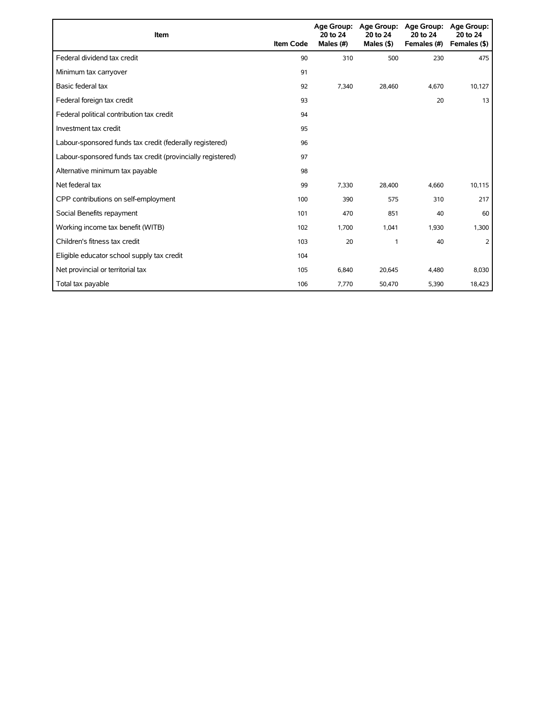| Item                                                        | <b>Item Code</b> | 20 to 24<br>Males (#) | Age Group: Age Group:<br>20 to 24<br>Males $($ \$) | Age Group:<br>20 to 24<br>Females (#) | Age Group:<br>20 to 24<br>Females (\$) |
|-------------------------------------------------------------|------------------|-----------------------|----------------------------------------------------|---------------------------------------|----------------------------------------|
| Federal dividend tax credit                                 | 90               | 310                   | 500                                                | 230                                   | 475                                    |
| Minimum tax carryover                                       | 91               |                       |                                                    |                                       |                                        |
| Basic federal tax                                           | 92               | 7.340                 | 28,460                                             | 4.670                                 | 10,127                                 |
| Federal foreign tax credit                                  | 93               |                       |                                                    | 20                                    | 13                                     |
| Federal political contribution tax credit                   | 94               |                       |                                                    |                                       |                                        |
| Investment tax credit                                       | 95               |                       |                                                    |                                       |                                        |
| Labour-sponsored funds tax credit (federally registered)    | 96               |                       |                                                    |                                       |                                        |
| Labour-sponsored funds tax credit (provincially registered) | 97               |                       |                                                    |                                       |                                        |
| Alternative minimum tax payable                             | 98               |                       |                                                    |                                       |                                        |
| Net federal tax                                             | 99               | 7,330                 | 28,400                                             | 4,660                                 | 10,115                                 |
| CPP contributions on self-employment                        | 100              | 390                   | 575                                                | 310                                   | 217                                    |
| Social Benefits repayment                                   | 101              | 470                   | 851                                                | 40                                    | 60                                     |
| Working income tax benefit (WITB)                           | 102              | 1,700                 | 1,041                                              | 1,930                                 | 1,300                                  |
| Children's fitness tax credit                               | 103              | 20                    | 1                                                  | 40                                    | 2                                      |
| Eligible educator school supply tax credit                  | 104              |                       |                                                    |                                       |                                        |
| Net provincial or territorial tax                           | 105              | 6,840                 | 20,645                                             | 4,480                                 | 8,030                                  |
| Total tax payable                                           | 106              | 7,770                 | 50,470                                             | 5,390                                 | 18,423                                 |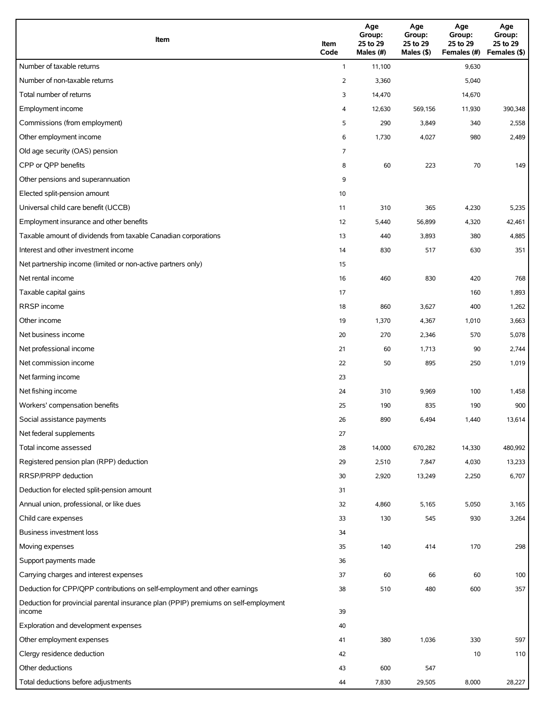| Item                                                                                          | Item<br>Code | Age<br>Group:<br>25 to 29<br>Males (#) | Age<br>Group:<br>25 to 29<br>Males (\$) | Age<br>Group:<br>25 to 29<br>Females (#) | Age<br>Group:<br>25 to 29<br>Females (\$) |
|-----------------------------------------------------------------------------------------------|--------------|----------------------------------------|-----------------------------------------|------------------------------------------|-------------------------------------------|
| Number of taxable returns                                                                     | $\mathbf{1}$ | 11,100                                 |                                         | 9,630                                    |                                           |
| Number of non-taxable returns                                                                 | 2            | 3,360                                  |                                         | 5,040                                    |                                           |
| Total number of returns                                                                       | 3            | 14,470                                 |                                         | 14,670                                   |                                           |
| Employment income                                                                             | 4            | 12,630                                 | 569,156                                 | 11,930                                   | 390,348                                   |
| Commissions (from employment)                                                                 | 5            | 290                                    | 3,849                                   | 340                                      | 2,558                                     |
| Other employment income                                                                       | 6            | 1,730                                  | 4,027                                   | 980                                      | 2,489                                     |
| Old age security (OAS) pension                                                                | 7            |                                        |                                         |                                          |                                           |
| CPP or QPP benefits                                                                           | 8            | 60                                     | 223                                     | 70                                       | 149                                       |
| Other pensions and superannuation                                                             | 9            |                                        |                                         |                                          |                                           |
| Elected split-pension amount                                                                  | 10           |                                        |                                         |                                          |                                           |
| Universal child care benefit (UCCB)                                                           | 11           | 310                                    | 365                                     | 4,230                                    | 5,235                                     |
| Employment insurance and other benefits                                                       | 12           | 5,440                                  | 56,899                                  | 4,320                                    | 42,461                                    |
| Taxable amount of dividends from taxable Canadian corporations                                | 13           | 440                                    | 3,893                                   | 380                                      | 4,885                                     |
| Interest and other investment income                                                          | 14           | 830                                    | 517                                     | 630                                      | 351                                       |
| Net partnership income (limited or non-active partners only)                                  | 15           |                                        |                                         |                                          |                                           |
| Net rental income                                                                             | 16           | 460                                    | 830                                     | 420                                      | 768                                       |
| Taxable capital gains                                                                         | 17           |                                        |                                         | 160                                      | 1,893                                     |
| <b>RRSP</b> income                                                                            | 18           | 860                                    | 3,627                                   | 400                                      | 1,262                                     |
| Other income                                                                                  | 19           | 1,370                                  | 4,367                                   | 1,010                                    | 3,663                                     |
| Net business income                                                                           | 20           | 270                                    | 2,346                                   | 570                                      | 5,078                                     |
| Net professional income                                                                       | 21           | 60                                     | 1,713                                   | 90                                       | 2,744                                     |
| Net commission income                                                                         | 22           | 50                                     | 895                                     | 250                                      | 1,019                                     |
| Net farming income                                                                            | 23           |                                        |                                         |                                          |                                           |
| Net fishing income                                                                            | 24           | 310                                    | 9,969                                   | 100                                      | 1,458                                     |
| Workers' compensation benefits                                                                | 25           | 190                                    | 835                                     | 190                                      | 900                                       |
| Social assistance payments                                                                    | 26           | 890                                    | 6,494                                   | 1,440                                    | 13,614                                    |
| Net federal supplements                                                                       | 27           |                                        |                                         |                                          |                                           |
| Total income assessed                                                                         | 28           | 14,000                                 | 670,282                                 | 14,330                                   | 480,992                                   |
| Registered pension plan (RPP) deduction                                                       | 29           | 2,510                                  | 7,847                                   | 4,030                                    | 13,233                                    |
| RRSP/PRPP deduction                                                                           | 30           | 2,920                                  | 13,249                                  | 2,250                                    | 6,707                                     |
| Deduction for elected split-pension amount                                                    | 31           |                                        |                                         |                                          |                                           |
| Annual union, professional, or like dues                                                      | 32           | 4,860                                  | 5,165                                   | 5,050                                    | 3,165                                     |
| Child care expenses                                                                           | 33           | 130                                    | 545                                     | 930                                      | 3,264                                     |
| Business investment loss                                                                      | 34           |                                        |                                         |                                          |                                           |
| Moving expenses                                                                               | 35           | 140                                    | 414                                     | 170                                      | 298                                       |
| Support payments made                                                                         | 36           |                                        |                                         |                                          |                                           |
| Carrying charges and interest expenses                                                        | 37           | 60                                     | 66                                      | 60                                       | 100                                       |
| Deduction for CPP/QPP contributions on self-employment and other earnings                     | 38           | 510                                    | 480                                     | 600                                      | 357                                       |
| Deduction for provincial parental insurance plan (PPIP) premiums on self-employment<br>income | 39           |                                        |                                         |                                          |                                           |
| Exploration and development expenses                                                          | 40           |                                        |                                         |                                          |                                           |
| Other employment expenses                                                                     | 41           | 380                                    | 1,036                                   | 330                                      | 597                                       |
| Clergy residence deduction                                                                    | 42           |                                        |                                         | 10                                       | 110                                       |
| Other deductions                                                                              | 43           | 600                                    | 547                                     |                                          |                                           |
| Total deductions before adjustments                                                           | 44           | 7,830                                  | 29,505                                  | 8,000                                    | 28,227                                    |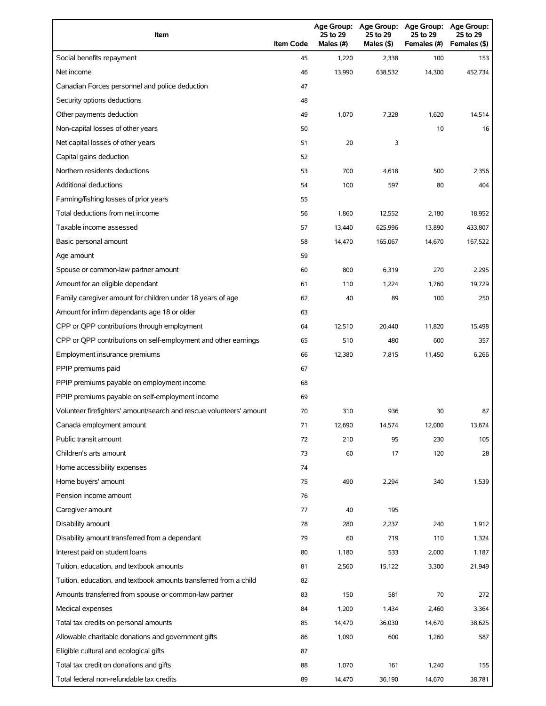| Item                                                                | <b>Item Code</b> | 25 to 29<br>Males (#) | 25 to 29<br>Males (\$) | Age Group: Age Group: Age Group:<br>25 to 29<br>Females (#) | <b>Age Group:</b><br>25 to 29<br>Females (\$) |
|---------------------------------------------------------------------|------------------|-----------------------|------------------------|-------------------------------------------------------------|-----------------------------------------------|
| Social benefits repayment                                           | 45               | 1,220                 | 2,338                  | 100                                                         | 153                                           |
| Net income                                                          | 46               | 13,990                | 638,532                | 14,300                                                      | 452,734                                       |
| Canadian Forces personnel and police deduction                      | 47               |                       |                        |                                                             |                                               |
| Security options deductions                                         | 48               |                       |                        |                                                             |                                               |
| Other payments deduction                                            | 49               | 1,070                 | 7,328                  | 1,620                                                       | 14,514                                        |
| Non-capital losses of other years                                   | 50               |                       |                        | 10                                                          | 16                                            |
| Net capital losses of other years                                   | 51               | 20                    | 3                      |                                                             |                                               |
| Capital gains deduction                                             | 52               |                       |                        |                                                             |                                               |
| Northern residents deductions                                       | 53               | 700                   | 4,618                  | 500                                                         | 2,356                                         |
| Additional deductions                                               | 54               | 100                   | 597                    | 80                                                          | 404                                           |
| Farming/fishing losses of prior years                               | 55               |                       |                        |                                                             |                                               |
| Total deductions from net income                                    | 56               | 1,860                 | 12,552                 | 2,180                                                       | 18,952                                        |
| Taxable income assessed                                             | 57               | 13,440                | 625,996                | 13,890                                                      | 433,807                                       |
| Basic personal amount                                               | 58               | 14,470                | 165,067                | 14,670                                                      | 167,522                                       |
| Age amount                                                          | 59               |                       |                        |                                                             |                                               |
| Spouse or common-law partner amount                                 | 60               | 800                   | 6,319                  | 270                                                         | 2,295                                         |
| Amount for an eligible dependant                                    | 61               | 110                   | 1,224                  | 1,760                                                       | 19,729                                        |
| Family caregiver amount for children under 18 years of age          | 62               | 40                    | 89                     | 100                                                         | 250                                           |
| Amount for infirm dependants age 18 or older                        | 63               |                       |                        |                                                             |                                               |
| CPP or QPP contributions through employment                         | 64               | 12,510                | 20,440                 | 11,820                                                      | 15,498                                        |
| CPP or QPP contributions on self-employment and other earnings      | 65               | 510                   | 480                    | 600                                                         | 357                                           |
| Employment insurance premiums                                       | 66               | 12,380                | 7,815                  | 11,450                                                      | 6,266                                         |
| PPIP premiums paid                                                  | 67               |                       |                        |                                                             |                                               |
| PPIP premiums payable on employment income                          | 68               |                       |                        |                                                             |                                               |
| PPIP premiums payable on self-employment income                     | 69               |                       |                        |                                                             |                                               |
| Volunteer firefighters' amount/search and rescue volunteers' amount | 70               | 310                   | 936                    | 30                                                          | 87                                            |
| Canada employment amount                                            | 71               | 12,690                | 14,574                 | 12,000                                                      | 13,674                                        |
| Public transit amount                                               | 72               | 210                   | 95                     | 230                                                         | 105                                           |
| Children's arts amount                                              | 73               | 60                    | 17                     | 120                                                         | 28                                            |
| Home accessibility expenses                                         | 74               |                       |                        |                                                             |                                               |
| Home buyers' amount                                                 | 75               | 490                   | 2,294                  | 340                                                         | 1,539                                         |
| Pension income amount                                               | 76               |                       |                        |                                                             |                                               |
| Caregiver amount                                                    | 77               | 40                    | 195                    |                                                             |                                               |
| Disability amount                                                   | 78               | 280                   | 2,237                  | 240                                                         | 1,912                                         |
| Disability amount transferred from a dependant                      | 79               | 60                    | 719                    | 110                                                         | 1,324                                         |
| Interest paid on student loans                                      | 80               | 1,180                 | 533                    | 2,000                                                       | 1,187                                         |
| Tuition, education, and textbook amounts                            | 81               | 2,560                 | 15,122                 | 3,300                                                       | 21,949                                        |
| Tuition, education, and textbook amounts transferred from a child   | 82               |                       |                        |                                                             |                                               |
| Amounts transferred from spouse or common-law partner               | 83               | 150                   | 581                    | 70                                                          | 272                                           |
| Medical expenses                                                    | 84               | 1,200                 | 1,434                  | 2,460                                                       | 3,364                                         |
| Total tax credits on personal amounts                               | 85               | 14,470                | 36,030                 | 14,670                                                      | 38,625                                        |
| Allowable charitable donations and government gifts                 | 86               | 1,090                 | 600                    | 1,260                                                       | 587                                           |
| Eligible cultural and ecological gifts                              | 87               |                       |                        |                                                             |                                               |
| Total tax credit on donations and gifts                             | 88               | 1,070                 | 161                    | 1,240                                                       | 155                                           |
| Total federal non-refundable tax credits                            | 89               | 14,470                | 36,190                 | 14,670                                                      | 38,781                                        |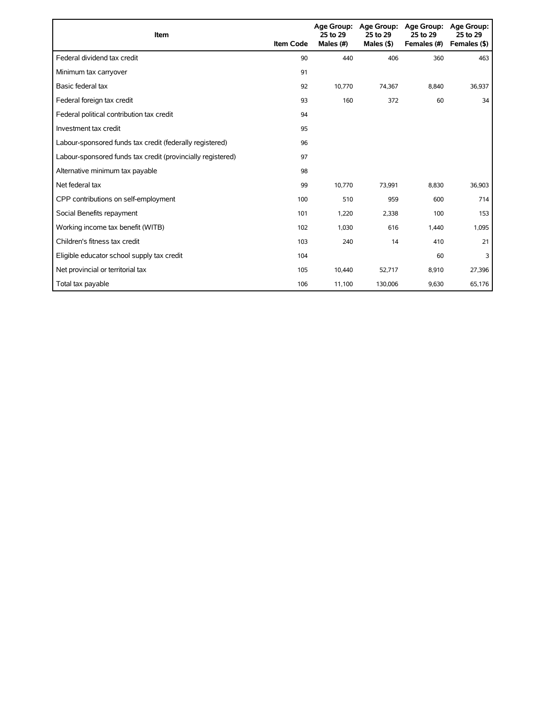| Item                                                        | <b>Item Code</b> | 25 to 29<br>Males (#) | Age Group: Age Group:<br>25 to 29<br>Males $($ \$) | <b>Age Group:</b><br>25 to 29<br>Females (#) | Age Group:<br>25 to 29<br>Females (\$) |
|-------------------------------------------------------------|------------------|-----------------------|----------------------------------------------------|----------------------------------------------|----------------------------------------|
| Federal dividend tax credit                                 | 90               | 440                   | 406                                                | 360                                          | 463                                    |
| Minimum tax carryover                                       | 91               |                       |                                                    |                                              |                                        |
| Basic federal tax                                           | 92               | 10.770                | 74,367                                             | 8,840                                        | 36,937                                 |
| Federal foreign tax credit                                  | 93               | 160                   | 372                                                | 60                                           | 34                                     |
| Federal political contribution tax credit                   | 94               |                       |                                                    |                                              |                                        |
| Investment tax credit                                       | 95               |                       |                                                    |                                              |                                        |
| Labour-sponsored funds tax credit (federally registered)    | 96               |                       |                                                    |                                              |                                        |
| Labour-sponsored funds tax credit (provincially registered) | 97               |                       |                                                    |                                              |                                        |
| Alternative minimum tax payable                             | 98               |                       |                                                    |                                              |                                        |
| Net federal tax                                             | 99               | 10,770                | 73,991                                             | 8,830                                        | 36,903                                 |
| CPP contributions on self-employment                        | 100              | 510                   | 959                                                | 600                                          | 714                                    |
| Social Benefits repayment                                   | 101              | 1,220                 | 2,338                                              | 100                                          | 153                                    |
| Working income tax benefit (WITB)                           | 102              | 1,030                 | 616                                                | 1,440                                        | 1,095                                  |
| Children's fitness tax credit                               | 103              | 240                   | 14                                                 | 410                                          | 21                                     |
| Eligible educator school supply tax credit                  | 104              |                       |                                                    | 60                                           | 3                                      |
| Net provincial or territorial tax                           | 105              | 10,440                | 52,717                                             | 8,910                                        | 27,396                                 |
| Total tax payable                                           | 106              | 11,100                | 130,006                                            | 9,630                                        | 65,176                                 |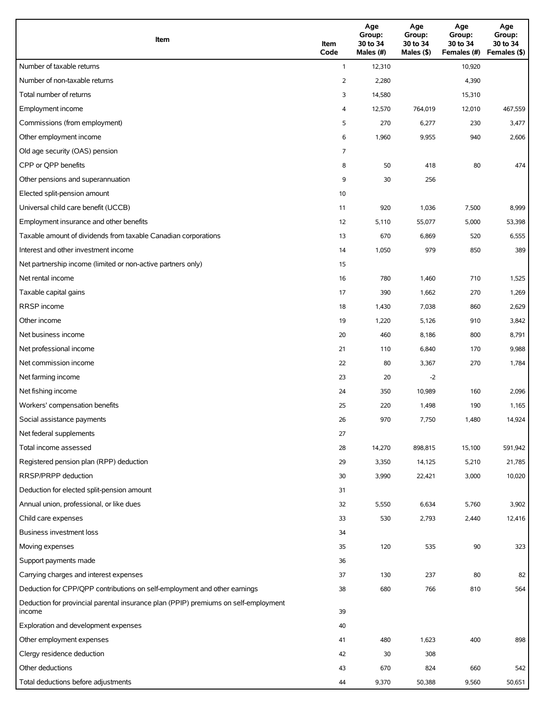| Item                                                                                          | Item<br>Code   | Age<br>Group:<br>30 to 34<br>Males (#) | Age<br>Group:<br>30 to 34<br>Males (\$) | Age<br>Group:<br>30 to 34<br>Females (#) | Age<br>Group:<br>30 to 34<br>Females (\$) |
|-----------------------------------------------------------------------------------------------|----------------|----------------------------------------|-----------------------------------------|------------------------------------------|-------------------------------------------|
| Number of taxable returns                                                                     | $\mathbf{1}$   | 12,310                                 |                                         | 10,920                                   |                                           |
| Number of non-taxable returns                                                                 | $\overline{2}$ | 2,280                                  |                                         | 4,390                                    |                                           |
| Total number of returns                                                                       | 3              | 14,580                                 |                                         | 15,310                                   |                                           |
| Employment income                                                                             | 4              | 12,570                                 | 764,019                                 | 12,010                                   | 467,559                                   |
| Commissions (from employment)                                                                 | 5              | 270                                    | 6,277                                   | 230                                      | 3,477                                     |
| Other employment income                                                                       | 6              | 1,960                                  | 9,955                                   | 940                                      | 2,606                                     |
| Old age security (OAS) pension                                                                | 7              |                                        |                                         |                                          |                                           |
| CPP or QPP benefits                                                                           | 8              | 50                                     | 418                                     | 80                                       | 474                                       |
| Other pensions and superannuation                                                             | 9              | 30                                     | 256                                     |                                          |                                           |
| Elected split-pension amount                                                                  | 10             |                                        |                                         |                                          |                                           |
| Universal child care benefit (UCCB)                                                           | 11             | 920                                    | 1,036                                   | 7,500                                    | 8,999                                     |
| Employment insurance and other benefits                                                       | 12             | 5,110                                  | 55,077                                  | 5,000                                    | 53,398                                    |
| Taxable amount of dividends from taxable Canadian corporations                                | 13             | 670                                    | 6,869                                   | 520                                      | 6,555                                     |
| Interest and other investment income                                                          | 14             | 1,050                                  | 979                                     | 850                                      | 389                                       |
| Net partnership income (limited or non-active partners only)                                  | 15             |                                        |                                         |                                          |                                           |
| Net rental income                                                                             | 16             | 780                                    | 1,460                                   | 710                                      | 1,525                                     |
| Taxable capital gains                                                                         | 17             | 390                                    | 1,662                                   | 270                                      | 1,269                                     |
| <b>RRSP</b> income                                                                            | 18             | 1,430                                  | 7,038                                   | 860                                      | 2,629                                     |
| Other income                                                                                  | 19             | 1,220                                  | 5,126                                   | 910                                      | 3,842                                     |
| Net business income                                                                           | 20             | 460                                    | 8,186                                   | 800                                      | 8,791                                     |
| Net professional income                                                                       | 21             | 110                                    | 6,840                                   | 170                                      | 9,988                                     |
| Net commission income                                                                         | 22             | 80                                     | 3,367                                   | 270                                      | 1,784                                     |
| Net farming income                                                                            | 23             | 20                                     | $-2$                                    |                                          |                                           |
| Net fishing income                                                                            | 24             | 350                                    | 10,989                                  | 160                                      | 2,096                                     |
| Workers' compensation benefits                                                                | 25             | 220                                    | 1,498                                   | 190                                      | 1,165                                     |
| Social assistance payments                                                                    | 26             | 970                                    | 7,750                                   | 1,480                                    | 14,924                                    |
| Net federal supplements                                                                       | 27             |                                        |                                         |                                          |                                           |
| Total income assessed                                                                         | 28             | 14,270                                 | 898,815                                 | 15,100                                   | 591,942                                   |
| Registered pension plan (RPP) deduction                                                       | 29             | 3,350                                  | 14,125                                  | 5,210                                    | 21,785                                    |
| RRSP/PRPP deduction                                                                           | 30             | 3,990                                  | 22,421                                  | 3,000                                    | 10,020                                    |
| Deduction for elected split-pension amount                                                    | 31             |                                        |                                         |                                          |                                           |
| Annual union, professional, or like dues                                                      | 32             | 5,550                                  | 6,634                                   | 5,760                                    | 3,902                                     |
| Child care expenses                                                                           | 33             | 530                                    | 2,793                                   | 2,440                                    | 12,416                                    |
| <b>Business investment loss</b>                                                               | 34             |                                        |                                         |                                          |                                           |
| Moving expenses                                                                               | 35             | 120                                    | 535                                     | 90                                       | 323                                       |
| Support payments made                                                                         | 36             |                                        |                                         |                                          |                                           |
| Carrying charges and interest expenses                                                        | 37             | 130                                    | 237                                     | 80                                       | 82                                        |
| Deduction for CPP/QPP contributions on self-employment and other earnings                     | 38             | 680                                    | 766                                     | 810                                      | 564                                       |
| Deduction for provincial parental insurance plan (PPIP) premiums on self-employment<br>income | 39             |                                        |                                         |                                          |                                           |
| Exploration and development expenses                                                          | 40             |                                        |                                         |                                          |                                           |
| Other employment expenses                                                                     | 41             | 480                                    | 1,623                                   | 400                                      | 898                                       |
| Clergy residence deduction                                                                    | 42             | 30                                     | 308                                     |                                          |                                           |
| Other deductions                                                                              | 43             | 670                                    | 824                                     | 660                                      | 542                                       |
| Total deductions before adjustments                                                           | 44             | 9,370                                  | 50,388                                  | 9,560                                    | 50,651                                    |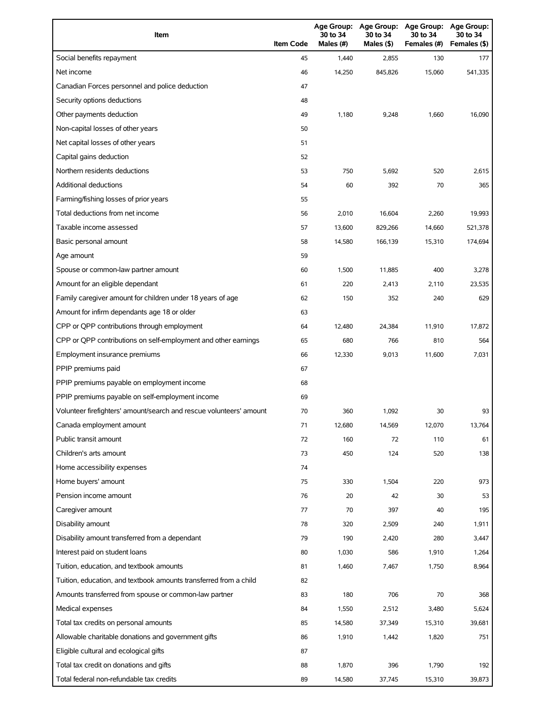| Item                                                                | <b>Item Code</b> | 30 to 34<br>Males $(H)$ | 30 to 34<br>Males (\$) | Age Group: Age Group: Age Group:<br>30 to 34<br>Females (#) | Age Group:<br>30 to 34<br>Females (\$) |
|---------------------------------------------------------------------|------------------|-------------------------|------------------------|-------------------------------------------------------------|----------------------------------------|
| Social benefits repayment                                           | 45               | 1,440                   | 2,855                  | 130                                                         | 177                                    |
| Net income                                                          | 46               | 14,250                  | 845,826                | 15,060                                                      | 541,335                                |
| Canadian Forces personnel and police deduction                      | 47               |                         |                        |                                                             |                                        |
| Security options deductions                                         | 48               |                         |                        |                                                             |                                        |
| Other payments deduction                                            | 49               | 1,180                   | 9,248                  | 1,660                                                       | 16,090                                 |
| Non-capital losses of other years                                   | 50               |                         |                        |                                                             |                                        |
| Net capital losses of other years                                   | 51               |                         |                        |                                                             |                                        |
| Capital gains deduction                                             | 52               |                         |                        |                                                             |                                        |
| Northern residents deductions                                       | 53               | 750                     | 5,692                  | 520                                                         | 2,615                                  |
| Additional deductions                                               | 54               | 60                      | 392                    | 70                                                          | 365                                    |
| Farming/fishing losses of prior years                               | 55               |                         |                        |                                                             |                                        |
| Total deductions from net income                                    | 56               | 2,010                   | 16,604                 | 2,260                                                       | 19,993                                 |
| Taxable income assessed                                             | 57               | 13,600                  | 829,266                | 14,660                                                      | 521,378                                |
| Basic personal amount                                               | 58               | 14,580                  | 166.139                | 15,310                                                      | 174,694                                |
| Age amount                                                          | 59               |                         |                        |                                                             |                                        |
| Spouse or common-law partner amount                                 | 60               | 1,500                   | 11,885                 | 400                                                         | 3,278                                  |
| Amount for an eligible dependant                                    | 61               | 220                     | 2,413                  | 2,110                                                       | 23,535                                 |
| Family caregiver amount for children under 18 years of age          | 62               | 150                     | 352                    | 240                                                         | 629                                    |
| Amount for infirm dependants age 18 or older                        | 63               |                         |                        |                                                             |                                        |
| CPP or QPP contributions through employment                         | 64               | 12,480                  | 24,384                 | 11,910                                                      | 17,872                                 |
| CPP or QPP contributions on self-employment and other earnings      | 65               | 680                     | 766                    | 810                                                         | 564                                    |
| Employment insurance premiums                                       | 66               | 12,330                  | 9,013                  | 11,600                                                      | 7,031                                  |
| PPIP premiums paid                                                  | 67               |                         |                        |                                                             |                                        |
| PPIP premiums payable on employment income                          | 68               |                         |                        |                                                             |                                        |
| PPIP premiums payable on self-employment income                     | 69               |                         |                        |                                                             |                                        |
| Volunteer firefighters' amount/search and rescue volunteers' amount | 70               | 360                     | 1,092                  | 30                                                          | 93                                     |
| Canada employment amount                                            | 71               | 12,680                  | 14,569                 | 12,070                                                      | 13,764                                 |
| Public transit amount                                               | 72               | 160                     | 72                     | 110                                                         | 61                                     |
| Children's arts amount                                              | 73               | 450                     | 124                    | 520                                                         | 138                                    |
| Home accessibility expenses                                         | 74               |                         |                        |                                                             |                                        |
| Home buyers' amount                                                 | 75               | 330                     | 1,504                  | 220                                                         | 973                                    |
| Pension income amount                                               | 76               | 20                      | 42                     | 30                                                          | 53                                     |
| Caregiver amount                                                    | 77               | 70                      | 397                    | 40                                                          | 195                                    |
| Disability amount                                                   | 78               | 320                     | 2,509                  | 240                                                         | 1,911                                  |
| Disability amount transferred from a dependant                      | 79               | 190                     | 2,420                  | 280                                                         | 3,447                                  |
| Interest paid on student loans                                      | 80               | 1,030                   | 586                    | 1,910                                                       | 1,264                                  |
| Tuition, education, and textbook amounts                            | 81               | 1,460                   | 7,467                  | 1,750                                                       | 8,964                                  |
| Tuition, education, and textbook amounts transferred from a child   | 82               |                         |                        |                                                             |                                        |
| Amounts transferred from spouse or common-law partner               | 83               | 180                     | 706                    | 70                                                          | 368                                    |
| Medical expenses                                                    | 84               | 1,550                   | 2,512                  | 3,480                                                       | 5,624                                  |
| Total tax credits on personal amounts                               | 85               | 14,580                  | 37,349                 | 15,310                                                      | 39,681                                 |
| Allowable charitable donations and government gifts                 | 86               | 1,910                   | 1,442                  | 1,820                                                       | 751                                    |
| Eligible cultural and ecological gifts                              | 87               |                         |                        |                                                             |                                        |
| Total tax credit on donations and gifts                             | 88               | 1,870                   | 396                    | 1,790                                                       | 192                                    |
| Total federal non-refundable tax credits                            | 89               | 14,580                  | 37,745                 | 15,310                                                      | 39,873                                 |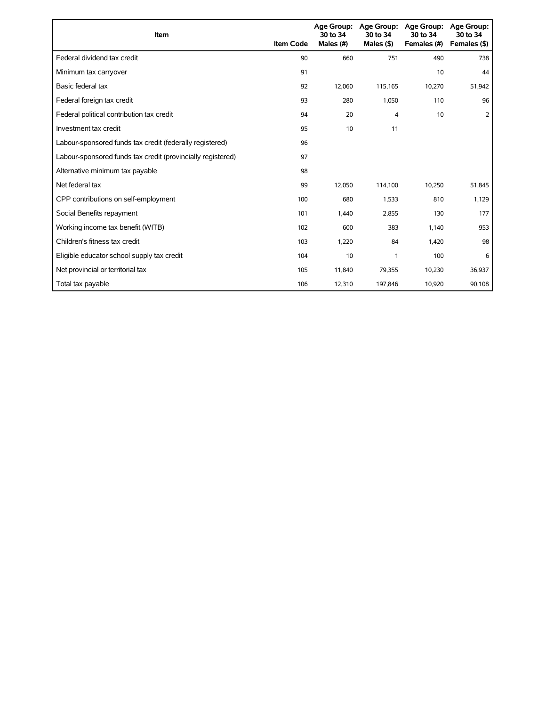| Item                                                        | <b>Item Code</b> | 30 to 34<br>Males (#) | Age Group: Age Group:<br>30 to 34<br>Males $($ \$) | <b>Age Group:</b><br>30 to 34<br>Females (#) | <b>Age Group:</b><br>30 to 34<br>Females (\$) |
|-------------------------------------------------------------|------------------|-----------------------|----------------------------------------------------|----------------------------------------------|-----------------------------------------------|
| Federal dividend tax credit                                 | 90               | 660                   | 751                                                | 490                                          | 738                                           |
| Minimum tax carryover                                       | 91               |                       |                                                    | 10                                           | 44                                            |
| Basic federal tax                                           | 92               | 12,060                | 115,165                                            | 10,270                                       | 51,942                                        |
| Federal foreign tax credit                                  | 93               | 280                   | 1,050                                              | 110                                          | 96                                            |
| Federal political contribution tax credit                   | 94               | 20                    | 4                                                  | 10                                           | 2                                             |
| Investment tax credit                                       | 95               | 10                    | 11                                                 |                                              |                                               |
| Labour-sponsored funds tax credit (federally registered)    | 96               |                       |                                                    |                                              |                                               |
| Labour-sponsored funds tax credit (provincially registered) | 97               |                       |                                                    |                                              |                                               |
| Alternative minimum tax payable                             | 98               |                       |                                                    |                                              |                                               |
| Net federal tax                                             | 99               | 12,050                | 114,100                                            | 10,250                                       | 51,845                                        |
| CPP contributions on self-employment                        | 100              | 680                   | 1,533                                              | 810                                          | 1,129                                         |
| Social Benefits repayment                                   | 101              | 1,440                 | 2,855                                              | 130                                          | 177                                           |
| Working income tax benefit (WITB)                           | 102              | 600                   | 383                                                | 1,140                                        | 953                                           |
| Children's fitness tax credit                               | 103              | 1,220                 | 84                                                 | 1,420                                        | 98                                            |
| Eligible educator school supply tax credit                  | 104              | 10                    | 1                                                  | 100                                          | 6                                             |
| Net provincial or territorial tax                           | 105              | 11,840                | 79,355                                             | 10,230                                       | 36,937                                        |
| Total tax payable                                           | 106              | 12,310                | 197,846                                            | 10,920                                       | 90,108                                        |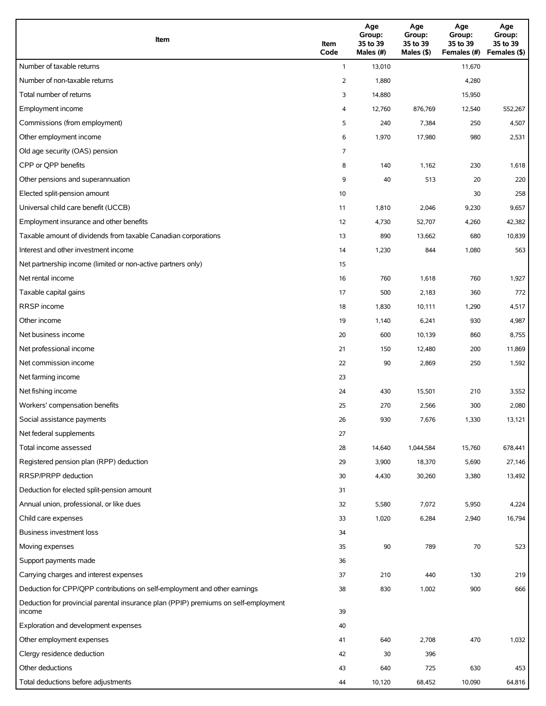| Item                                                                                          | Item<br>Code   | Age<br>Group:<br>35 to 39<br>Males (#) | Age<br>Group:<br>35 to 39<br>Males (\$) | Age<br>Group:<br>35 to 39<br>Females (#) | Age<br>Group:<br>35 to 39<br>Females (\$) |
|-----------------------------------------------------------------------------------------------|----------------|----------------------------------------|-----------------------------------------|------------------------------------------|-------------------------------------------|
| Number of taxable returns                                                                     | $\mathbf{1}$   | 13,010                                 |                                         | 11,670                                   |                                           |
| Number of non-taxable returns                                                                 | $\overline{2}$ | 1,880                                  |                                         | 4,280                                    |                                           |
| Total number of returns                                                                       | 3              | 14,880                                 |                                         | 15,950                                   |                                           |
| Employment income                                                                             | 4              | 12,760                                 | 876,769                                 | 12,540                                   | 552,267                                   |
| Commissions (from employment)                                                                 | 5              | 240                                    | 7,384                                   | 250                                      | 4,507                                     |
| Other employment income                                                                       | 6              | 1,970                                  | 17,980                                  | 980                                      | 2,531                                     |
| Old age security (OAS) pension                                                                | 7              |                                        |                                         |                                          |                                           |
| CPP or QPP benefits                                                                           | 8              | 140                                    | 1,162                                   | 230                                      | 1,618                                     |
| Other pensions and superannuation                                                             | 9              | 40                                     | 513                                     | 20                                       | 220                                       |
| Elected split-pension amount                                                                  | 10             |                                        |                                         | 30                                       | 258                                       |
| Universal child care benefit (UCCB)                                                           | 11             | 1,810                                  | 2,046                                   | 9,230                                    | 9,657                                     |
| Employment insurance and other benefits                                                       | 12             | 4,730                                  | 52,707                                  | 4,260                                    | 42,382                                    |
| Taxable amount of dividends from taxable Canadian corporations                                | 13             | 890                                    | 13,662                                  | 680                                      | 10,839                                    |
| Interest and other investment income                                                          | 14             | 1,230                                  | 844                                     | 1,080                                    | 563                                       |
| Net partnership income (limited or non-active partners only)                                  | 15             |                                        |                                         |                                          |                                           |
| Net rental income                                                                             | 16             | 760                                    | 1,618                                   | 760                                      | 1,927                                     |
| Taxable capital gains                                                                         | 17             | 500                                    | 2,183                                   | 360                                      | 772                                       |
| <b>RRSP</b> income                                                                            | 18             | 1,830                                  | 10,111                                  | 1,290                                    | 4,517                                     |
| Other income                                                                                  | 19             | 1,140                                  | 6,241                                   | 930                                      | 4,987                                     |
| Net business income                                                                           | 20             | 600                                    | 10,139                                  | 860                                      | 8,755                                     |
| Net professional income                                                                       | 21             | 150                                    | 12,480                                  | 200                                      | 11,869                                    |
| Net commission income                                                                         | 22             | 90                                     | 2,869                                   | 250                                      | 1,592                                     |
| Net farming income                                                                            | 23             |                                        |                                         |                                          |                                           |
| Net fishing income                                                                            | 24             | 430                                    | 15,501                                  | 210                                      | 3,552                                     |
| Workers' compensation benefits                                                                | 25             | 270                                    | 2,566                                   | 300                                      | 2,080                                     |
| Social assistance payments                                                                    | 26             | 930                                    | 7,676                                   | 1,330                                    | 13,121                                    |
| Net federal supplements                                                                       | 27             |                                        |                                         |                                          |                                           |
| Total income assessed                                                                         | 28             | 14,640                                 | 1,044,584                               | 15,760                                   | 678,441                                   |
| Registered pension plan (RPP) deduction                                                       | 29             | 3,900                                  | 18,370                                  | 5,690                                    | 27,146                                    |
| RRSP/PRPP deduction                                                                           | 30             | 4,430                                  | 30,260                                  | 3,380                                    | 13,492                                    |
| Deduction for elected split-pension amount                                                    | 31             |                                        |                                         |                                          |                                           |
| Annual union, professional, or like dues                                                      | 32             | 5,580                                  | 7,072                                   | 5,950                                    | 4,224                                     |
| Child care expenses                                                                           | 33             | 1,020                                  | 6,284                                   | 2,940                                    | 16,794                                    |
| <b>Business investment loss</b>                                                               | 34             |                                        |                                         |                                          |                                           |
| Moving expenses                                                                               | 35             | 90                                     | 789                                     | 70                                       | 523                                       |
| Support payments made                                                                         | 36             |                                        |                                         |                                          |                                           |
| Carrying charges and interest expenses                                                        | 37             | 210                                    | 440                                     | 130                                      | 219                                       |
| Deduction for CPP/QPP contributions on self-employment and other earnings                     | 38             | 830                                    | 1,002                                   | 900                                      | 666                                       |
| Deduction for provincial parental insurance plan (PPIP) premiums on self-employment<br>income | 39             |                                        |                                         |                                          |                                           |
| Exploration and development expenses                                                          | 40             |                                        |                                         |                                          |                                           |
| Other employment expenses                                                                     | 41             | 640                                    | 2,708                                   | 470                                      | 1,032                                     |
| Clergy residence deduction                                                                    | 42             | 30                                     | 396                                     |                                          |                                           |
| Other deductions                                                                              | 43             | 640                                    | 725                                     | 630                                      | 453                                       |
| Total deductions before adjustments                                                           | 44             | 10,120                                 | 68,452                                  | 10,090                                   | 64,816                                    |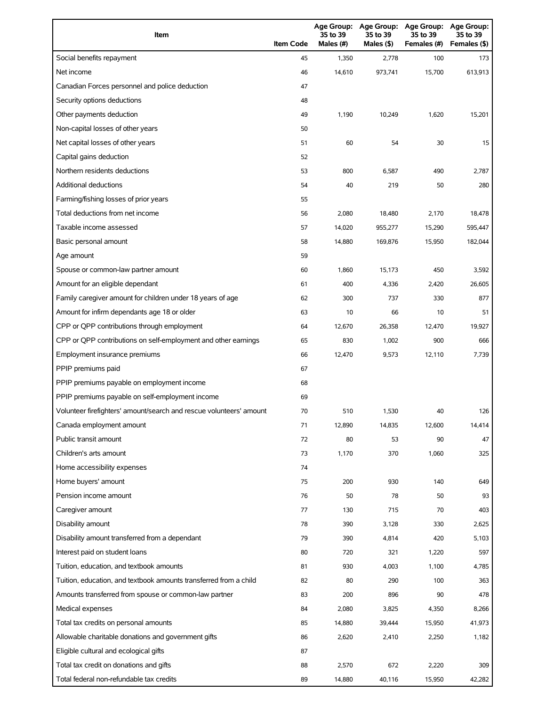| Item                                                                | <b>Item Code</b> | 35 to 39<br>Males $(H)$ | 35 to 39<br>Males (\$) | Age Group: Age Group: Age Group:<br>35 to 39<br>Females (#) | <b>Age Group:</b><br>35 to 39<br>Females (\$) |
|---------------------------------------------------------------------|------------------|-------------------------|------------------------|-------------------------------------------------------------|-----------------------------------------------|
| Social benefits repayment                                           | 45               | 1,350                   | 2,778                  | 100                                                         | 173                                           |
| Net income                                                          | 46               | 14,610                  | 973,741                | 15,700                                                      | 613,913                                       |
| Canadian Forces personnel and police deduction                      | 47               |                         |                        |                                                             |                                               |
| Security options deductions                                         | 48               |                         |                        |                                                             |                                               |
| Other payments deduction                                            | 49               | 1,190                   | 10,249                 | 1,620                                                       | 15,201                                        |
| Non-capital losses of other years                                   | 50               |                         |                        |                                                             |                                               |
| Net capital losses of other years                                   | 51               | 60                      | 54                     | 30                                                          | 15                                            |
| Capital gains deduction                                             | 52               |                         |                        |                                                             |                                               |
| Northern residents deductions                                       | 53               | 800                     | 6,587                  | 490                                                         | 2,787                                         |
| Additional deductions                                               | 54               | 40                      | 219                    | 50                                                          | 280                                           |
| Farming/fishing losses of prior years                               | 55               |                         |                        |                                                             |                                               |
| Total deductions from net income                                    | 56               | 2,080                   | 18,480                 | 2,170                                                       | 18,478                                        |
| Taxable income assessed                                             | 57               | 14,020                  | 955,277                | 15,290                                                      | 595,447                                       |
| Basic personal amount                                               | 58               | 14,880                  | 169,876                | 15,950                                                      | 182,044                                       |
| Age amount                                                          | 59               |                         |                        |                                                             |                                               |
| Spouse or common-law partner amount                                 | 60               | 1,860                   | 15.173                 | 450                                                         | 3,592                                         |
| Amount for an eligible dependant                                    | 61               | 400                     | 4,336                  | 2,420                                                       | 26,605                                        |
| Family caregiver amount for children under 18 years of age          | 62               | 300                     | 737                    | 330                                                         | 877                                           |
| Amount for infirm dependants age 18 or older                        | 63               | 10                      | 66                     | 10                                                          | 51                                            |
| CPP or QPP contributions through employment                         | 64               | 12,670                  | 26,358                 | 12,470                                                      | 19,927                                        |
| CPP or QPP contributions on self-employment and other earnings      | 65               | 830                     | 1,002                  | 900                                                         | 666                                           |
| Employment insurance premiums                                       | 66               | 12,470                  | 9,573                  | 12,110                                                      | 7,739                                         |
| PPIP premiums paid                                                  | 67               |                         |                        |                                                             |                                               |
| PPIP premiums payable on employment income                          | 68               |                         |                        |                                                             |                                               |
| PPIP premiums payable on self-employment income                     | 69               |                         |                        |                                                             |                                               |
| Volunteer firefighters' amount/search and rescue volunteers' amount | 70               | 510                     | 1,530                  | 40                                                          | 126                                           |
| Canada employment amount                                            | 71               | 12,890                  | 14,835                 | 12,600                                                      | 14,414                                        |
| Public transit amount                                               | 72               | 80                      | 53                     | 90                                                          | 47                                            |
| Children's arts amount                                              | 73               | 1,170                   | 370                    | 1,060                                                       | 325                                           |
| Home accessibility expenses                                         | 74               |                         |                        |                                                             |                                               |
| Home buyers' amount                                                 | 75               | 200                     | 930                    | 140                                                         | 649                                           |
| Pension income amount                                               | 76               | 50                      | 78                     | 50                                                          | 93                                            |
| Caregiver amount                                                    | 77               | 130                     | 715                    | 70                                                          | 403                                           |
| Disability amount                                                   | 78               | 390                     | 3,128                  | 330                                                         | 2,625                                         |
| Disability amount transferred from a dependant                      | 79               | 390                     | 4,814                  | 420                                                         | 5,103                                         |
| Interest paid on student loans                                      | 80               | 720                     | 321                    | 1,220                                                       | 597                                           |
| Tuition, education, and textbook amounts                            | 81               | 930                     | 4,003                  | 1,100                                                       | 4,785                                         |
| Tuition, education, and textbook amounts transferred from a child   | 82               | 80                      | 290                    | 100                                                         | 363                                           |
| Amounts transferred from spouse or common-law partner               | 83               | 200                     | 896                    | 90                                                          | 478                                           |
| Medical expenses                                                    | 84               | 2,080                   | 3,825                  | 4,350                                                       | 8,266                                         |
| Total tax credits on personal amounts                               | 85               | 14,880                  | 39,444                 | 15,950                                                      | 41,973                                        |
| Allowable charitable donations and government gifts                 | 86               | 2,620                   | 2,410                  | 2,250                                                       | 1,182                                         |
| Eligible cultural and ecological gifts                              | 87               |                         |                        |                                                             |                                               |
| Total tax credit on donations and gifts                             | 88               | 2,570                   | 672                    | 2,220                                                       | 309                                           |
| Total federal non-refundable tax credits                            | 89               | 14,880                  | 40,116                 | 15,950                                                      | 42,282                                        |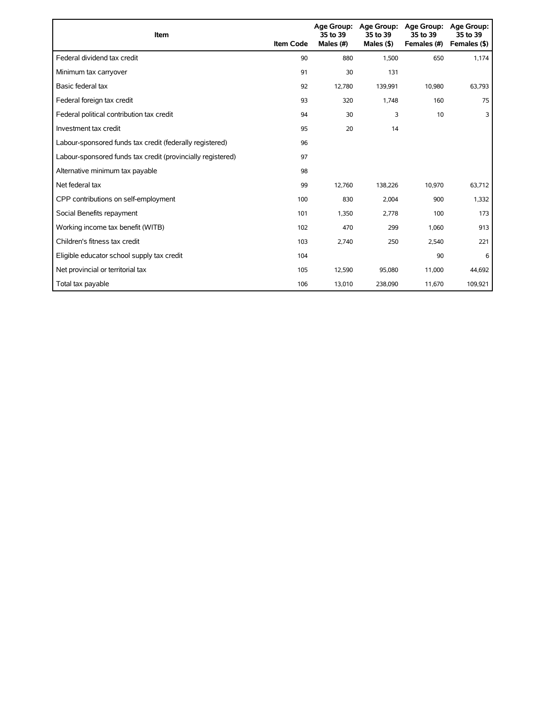| Item                                                        | <b>Item Code</b> | 35 to 39<br>Males (#) | Age Group: Age Group:<br>35 to 39<br>Males $($ \$) | <b>Age Group:</b><br>35 to 39<br>Females (#) | <b>Age Group:</b><br>35 to 39<br>Females (\$) |
|-------------------------------------------------------------|------------------|-----------------------|----------------------------------------------------|----------------------------------------------|-----------------------------------------------|
| Federal dividend tax credit                                 | 90               | 880                   | 1,500                                              | 650                                          | 1,174                                         |
| Minimum tax carryover                                       | 91               | 30                    | 131                                                |                                              |                                               |
| Basic federal tax                                           | 92               | 12.780                | 139,991                                            | 10,980                                       | 63,793                                        |
| Federal foreign tax credit                                  | 93               | 320                   | 1,748                                              | 160                                          | 75                                            |
| Federal political contribution tax credit                   | 94               | 30                    | 3                                                  | 10                                           | 3                                             |
| Investment tax credit                                       | 95               | 20                    | 14                                                 |                                              |                                               |
| Labour-sponsored funds tax credit (federally registered)    | 96               |                       |                                                    |                                              |                                               |
| Labour-sponsored funds tax credit (provincially registered) | 97               |                       |                                                    |                                              |                                               |
| Alternative minimum tax payable                             | 98               |                       |                                                    |                                              |                                               |
| Net federal tax                                             | 99               | 12,760                | 138,226                                            | 10,970                                       | 63,712                                        |
| CPP contributions on self-employment                        | 100              | 830                   | 2,004                                              | 900                                          | 1,332                                         |
| Social Benefits repayment                                   | 101              | 1,350                 | 2,778                                              | 100                                          | 173                                           |
| Working income tax benefit (WITB)                           | 102              | 470                   | 299                                                | 1,060                                        | 913                                           |
| Children's fitness tax credit                               | 103              | 2,740                 | 250                                                | 2,540                                        | 221                                           |
| Eligible educator school supply tax credit                  | 104              |                       |                                                    | 90                                           | 6                                             |
| Net provincial or territorial tax                           | 105              | 12,590                | 95,080                                             | 11,000                                       | 44,692                                        |
| Total tax payable                                           | 106              | 13,010                | 238,090                                            | 11,670                                       | 109,921                                       |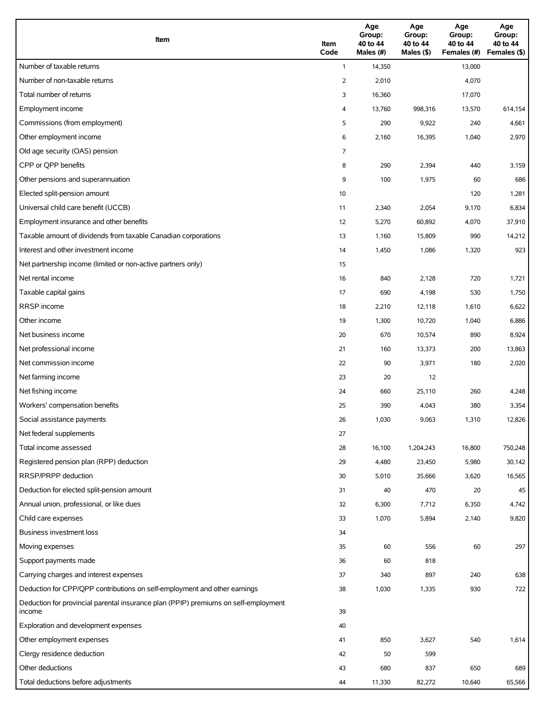| Item                                                                                          | Item<br>Code | Age<br>Group:<br>40 to 44<br>Males (#) | Age<br>Group:<br>40 to 44<br>Males (\$) | Age<br>Group:<br>40 to 44<br>Females (#) | Age<br>Group:<br>40 to 44<br>Females (\$) |
|-----------------------------------------------------------------------------------------------|--------------|----------------------------------------|-----------------------------------------|------------------------------------------|-------------------------------------------|
| Number of taxable returns                                                                     | $\mathbf{1}$ | 14,350                                 |                                         | 13,000                                   |                                           |
| Number of non-taxable returns                                                                 | 2            | 2,010                                  |                                         | 4,070                                    |                                           |
| Total number of returns                                                                       | 3            | 16,360                                 |                                         | 17,070                                   |                                           |
| Employment income                                                                             | 4            | 13,760                                 | 998,316                                 | 13,570                                   | 614,154                                   |
| Commissions (from employment)                                                                 | 5            | 290                                    | 9,922                                   | 240                                      | 4,661                                     |
| Other employment income                                                                       | 6            | 2,160                                  | 16,395                                  | 1,040                                    | 2,970                                     |
| Old age security (OAS) pension                                                                | 7            |                                        |                                         |                                          |                                           |
| CPP or QPP benefits                                                                           | 8            | 290                                    | 2,394                                   | 440                                      | 3,159                                     |
| Other pensions and superannuation                                                             | 9            | 100                                    | 1,975                                   | 60                                       | 686                                       |
| Elected split-pension amount                                                                  | 10           |                                        |                                         | 120                                      | 1,281                                     |
| Universal child care benefit (UCCB)                                                           | 11           | 2,340                                  | 2,054                                   | 9,170                                    | 6,834                                     |
| Employment insurance and other benefits                                                       | 12           | 5,270                                  | 60,892                                  | 4,070                                    | 37,910                                    |
| Taxable amount of dividends from taxable Canadian corporations                                | 13           | 1,160                                  | 15,809                                  | 990                                      | 14,212                                    |
| Interest and other investment income                                                          | 14           | 1,450                                  | 1,086                                   | 1,320                                    | 923                                       |
| Net partnership income (limited or non-active partners only)                                  | 15           |                                        |                                         |                                          |                                           |
| Net rental income                                                                             | 16           | 840                                    | 2,128                                   | 720                                      | 1,721                                     |
| Taxable capital gains                                                                         | 17           | 690                                    | 4,198                                   | 530                                      | 1,750                                     |
| <b>RRSP</b> income                                                                            | 18           | 2,210                                  | 12,118                                  | 1,610                                    | 6,622                                     |
| Other income                                                                                  | 19           | 1,300                                  | 10,720                                  | 1,040                                    | 6,886                                     |
| Net business income                                                                           | 20           | 670                                    | 10,574                                  | 890                                      | 8,924                                     |
| Net professional income                                                                       | 21           | 160                                    | 13,373                                  | 200                                      | 13,863                                    |
| Net commission income                                                                         | 22           | 90                                     | 3,971                                   | 180                                      | 2,020                                     |
| Net farming income                                                                            | 23           | 20                                     | 12                                      |                                          |                                           |
| Net fishing income                                                                            | 24           | 660                                    | 25,110                                  | 260                                      | 4,248                                     |
| Workers' compensation benefits                                                                | 25           | 390                                    | 4,043                                   | 380                                      | 3,354                                     |
| Social assistance payments                                                                    | 26           | 1,030                                  | 9,063                                   | 1,310                                    | 12,826                                    |
| Net federal supplements                                                                       | 27           |                                        |                                         |                                          |                                           |
| Total income assessed                                                                         | 28           | 16,100                                 | 1,204,243                               | 16,800                                   | 750,248                                   |
| Registered pension plan (RPP) deduction                                                       | 29           | 4,480                                  | 23,450                                  | 5,980                                    | 30,142                                    |
| RRSP/PRPP deduction                                                                           | 30           | 5,010                                  | 35,666                                  | 3,620                                    | 16,565                                    |
| Deduction for elected split-pension amount                                                    | 31           | 40                                     | 470                                     | 20                                       | 45                                        |
| Annual union, professional, or like dues                                                      | 32           | 6,300                                  | 7,712                                   | 6,350                                    | 4,742                                     |
| Child care expenses                                                                           | 33           | 1,070                                  | 5,894                                   | 2,140                                    | 9,820                                     |
| Business investment loss                                                                      | 34           |                                        |                                         |                                          |                                           |
| Moving expenses                                                                               | 35           | 60                                     | 556                                     | 60                                       | 297                                       |
| Support payments made                                                                         | 36           | 60                                     | 818                                     |                                          |                                           |
| Carrying charges and interest expenses                                                        | 37           | 340                                    | 897                                     | 240                                      | 638                                       |
| Deduction for CPP/QPP contributions on self-employment and other earnings                     | 38           | 1,030                                  | 1,335                                   | 930                                      | 722                                       |
| Deduction for provincial parental insurance plan (PPIP) premiums on self-employment<br>income | 39           |                                        |                                         |                                          |                                           |
| Exploration and development expenses                                                          | 40           |                                        |                                         |                                          |                                           |
| Other employment expenses                                                                     | 41           | 850                                    | 3,627                                   | 540                                      | 1,614                                     |
| Clergy residence deduction                                                                    | 42           | 50                                     | 599                                     |                                          |                                           |
| Other deductions                                                                              | 43           | 680                                    | 837                                     | 650                                      | 689                                       |
| Total deductions before adjustments                                                           | 44           | 11,330                                 | 82,272                                  | 10,640                                   | 65,566                                    |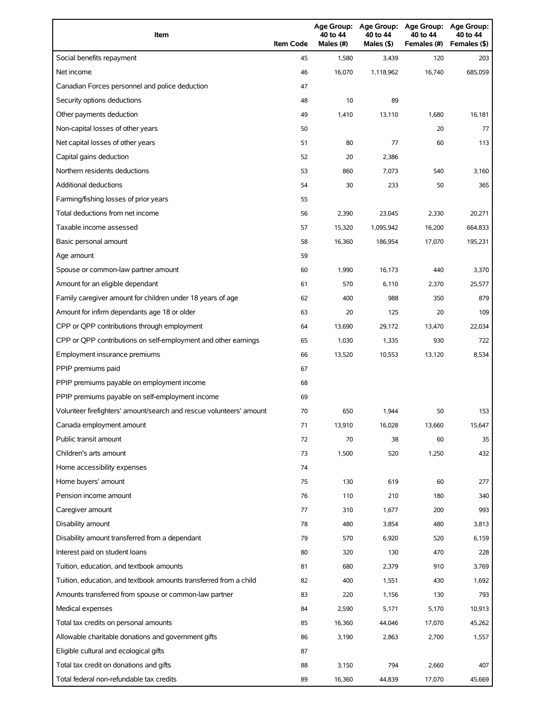| Item                                                                | <b>Item Code</b> | 40 to 44<br>Males (#) | 40 to 44<br>Males (\$) | Age Group: Age Group: Age Group:<br>40 to 44<br>Females (#) | Age Group:<br>40 to 44<br>Females (\$) |
|---------------------------------------------------------------------|------------------|-----------------------|------------------------|-------------------------------------------------------------|----------------------------------------|
| Social benefits repayment                                           | 45               | 1,580                 | 3,439                  | 120                                                         | 203                                    |
| Net income                                                          | 46               | 16,070                | 1,118,962              | 16,740                                                      | 685,059                                |
| Canadian Forces personnel and police deduction                      | 47               |                       |                        |                                                             |                                        |
| Security options deductions                                         | 48               | 10                    | 89                     |                                                             |                                        |
| Other payments deduction                                            | 49               | 1,410                 | 13,110                 | 1,680                                                       | 16,181                                 |
| Non-capital losses of other years                                   | 50               |                       |                        | 20                                                          | 77                                     |
| Net capital losses of other years                                   | 51               | 80                    | 77                     | 60                                                          | 113                                    |
| Capital gains deduction                                             | 52               | 20                    | 2,386                  |                                                             |                                        |
| Northern residents deductions                                       | 53               | 860                   | 7,073                  | 540                                                         | 3,160                                  |
| Additional deductions                                               | 54               | 30                    | 233                    | 50                                                          | 365                                    |
| Farming/fishing losses of prior years                               | 55               |                       |                        |                                                             |                                        |
| Total deductions from net income                                    | 56               | 2,390                 | 23,045                 | 2,330                                                       | 20,271                                 |
| Taxable income assessed                                             | 57               | 15,320                | 1,095,942              | 16,200                                                      | 664,833                                |
| Basic personal amount                                               | 58               | 16,360                | 186,954                | 17,070                                                      | 195,231                                |
| Age amount                                                          | 59               |                       |                        |                                                             |                                        |
| Spouse or common-law partner amount                                 | 60               | 1,990                 | 16,173                 | 440                                                         | 3,370                                  |
| Amount for an eligible dependant                                    | 61               | 570                   | 6,110                  | 2,370                                                       | 25,577                                 |
| Family caregiver amount for children under 18 years of age          | 62               | 400                   | 988                    | 350                                                         | 879                                    |
| Amount for infirm dependants age 18 or older                        | 63               | 20                    | 125                    | 20                                                          | 109                                    |
| CPP or QPP contributions through employment                         | 64               | 13,690                | 29,172                 | 13,470                                                      | 22,034                                 |
| CPP or QPP contributions on self-employment and other earnings      | 65               | 1,030                 | 1,335                  | 930                                                         | 722                                    |
| Employment insurance premiums                                       | 66               | 13,520                | 10,553                 | 13,120                                                      | 8,534                                  |
| PPIP premiums paid                                                  | 67               |                       |                        |                                                             |                                        |
| PPIP premiums payable on employment income                          | 68               |                       |                        |                                                             |                                        |
| PPIP premiums payable on self-employment income                     | 69               |                       |                        |                                                             |                                        |
| Volunteer firefighters' amount/search and rescue volunteers' amount | 70               | 650                   | 1,944                  | 50                                                          | 153                                    |
| Canada employment amount                                            | 71               | 13,910                | 16,028                 | 13,660                                                      | 15,647                                 |
| Public transit amount                                               | 72               | 70                    | 38                     | 60                                                          | 35                                     |
| Children's arts amount                                              | 73               | 1,500                 | 520                    | 1,250                                                       | 432                                    |
| Home accessibility expenses                                         | 74               |                       |                        |                                                             |                                        |
| Home buyers' amount                                                 | 75               | 130                   | 619                    | 60                                                          | 277                                    |
| Pension income amount                                               | 76               | 110                   | 210                    | 180                                                         | 340                                    |
| Caregiver amount                                                    | 77               | 310                   | 1,677                  | 200                                                         | 993                                    |
| Disability amount                                                   | 78               | 480                   | 3,854                  | 480                                                         | 3,813                                  |
| Disability amount transferred from a dependant                      | 79               | 570                   | 6,920                  | 520                                                         | 6,159                                  |
| Interest paid on student loans                                      | 80               | 320                   | 130                    | 470                                                         | 228                                    |
| Tuition, education, and textbook amounts                            | 81               | 680                   | 2,379                  | 910                                                         | 3,769                                  |
| Tuition, education, and textbook amounts transferred from a child   | 82               | 400                   | 1,551                  | 430                                                         | 1,692                                  |
| Amounts transferred from spouse or common-law partner               | 83               | 220                   | 1,156                  | 130                                                         | 793                                    |
| Medical expenses                                                    | 84               | 2,590                 | 5,171                  | 5,170                                                       | 10,913                                 |
| Total tax credits on personal amounts                               | 85               | 16,360                | 44,046                 | 17,070                                                      | 45,262                                 |
| Allowable charitable donations and government gifts                 | 86               | 3,190                 | 2,863                  | 2,700                                                       | 1,557                                  |
| Eligible cultural and ecological gifts                              | 87               |                       |                        |                                                             |                                        |
| Total tax credit on donations and gifts                             | 88               | 3,150                 | 794                    | 2,660                                                       | 407                                    |
| Total federal non-refundable tax credits                            | 89               | 16,360                | 44,839                 | 17,070                                                      | 45,669                                 |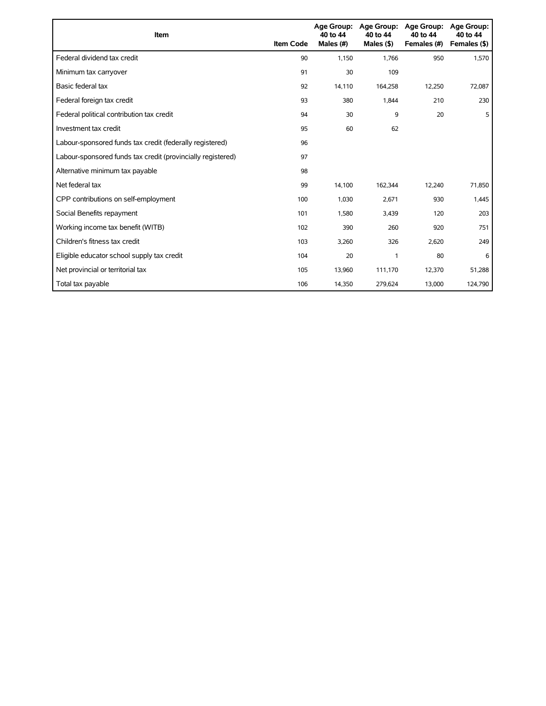| Item                                                        | <b>Item Code</b> | 40 to 44<br>Males (#) | Age Group: Age Group:<br>40 to 44<br>Males $($ \$) | <b>Age Group:</b><br>40 to 44<br>Females (#) | <b>Age Group:</b><br>40 to 44<br>Females (\$) |
|-------------------------------------------------------------|------------------|-----------------------|----------------------------------------------------|----------------------------------------------|-----------------------------------------------|
| Federal dividend tax credit                                 | 90               | 1,150                 | 1.766                                              | 950                                          | 1,570                                         |
| Minimum tax carryover                                       | 91               | 30                    | 109                                                |                                              |                                               |
| Basic federal tax                                           | 92               | 14,110                | 164,258                                            | 12,250                                       | 72,087                                        |
| Federal foreign tax credit                                  | 93               | 380                   | 1,844                                              | 210                                          | 230                                           |
| Federal political contribution tax credit                   | 94               | 30                    | 9                                                  | 20                                           | 5                                             |
| Investment tax credit                                       | 95               | 60                    | 62                                                 |                                              |                                               |
| Labour-sponsored funds tax credit (federally registered)    | 96               |                       |                                                    |                                              |                                               |
| Labour-sponsored funds tax credit (provincially registered) | 97               |                       |                                                    |                                              |                                               |
| Alternative minimum tax payable                             | 98               |                       |                                                    |                                              |                                               |
| Net federal tax                                             | 99               | 14,100                | 162,344                                            | 12,240                                       | 71,850                                        |
| CPP contributions on self-employment                        | 100              | 1,030                 | 2,671                                              | 930                                          | 1,445                                         |
| Social Benefits repayment                                   | 101              | 1,580                 | 3,439                                              | 120                                          | 203                                           |
| Working income tax benefit (WITB)                           | 102              | 390                   | 260                                                | 920                                          | 751                                           |
| Children's fitness tax credit                               | 103              | 3,260                 | 326                                                | 2,620                                        | 249                                           |
| Eligible educator school supply tax credit                  | 104              | 20                    | 1                                                  | 80                                           | 6                                             |
| Net provincial or territorial tax                           | 105              | 13,960                | 111,170                                            | 12,370                                       | 51,288                                        |
| Total tax payable                                           | 106              | 14,350                | 279,624                                            | 13,000                                       | 124,790                                       |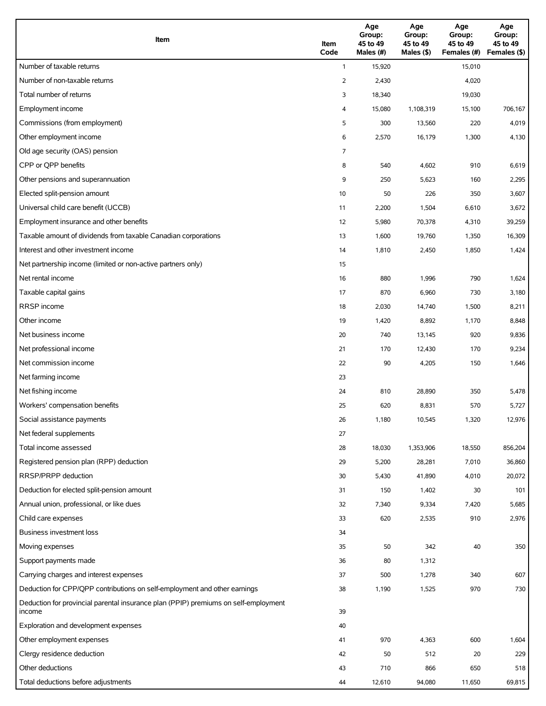| Item                                                                                          | Item<br>Code   | Age<br>Group:<br>45 to 49<br>Males (#) | Age<br>Group:<br>45 to 49<br>Males (\$) | Age<br>Group:<br>45 to 49<br>Females (#) | Age<br>Group:<br>45 to 49<br>Females (\$) |
|-----------------------------------------------------------------------------------------------|----------------|----------------------------------------|-----------------------------------------|------------------------------------------|-------------------------------------------|
| Number of taxable returns                                                                     | $\mathbf{1}$   | 15,920                                 |                                         | 15,010                                   |                                           |
| Number of non-taxable returns                                                                 | 2              | 2,430                                  |                                         | 4,020                                    |                                           |
| Total number of returns                                                                       | 3              | 18,340                                 |                                         | 19,030                                   |                                           |
| Employment income                                                                             | 4              | 15,080                                 | 1,108,319                               | 15,100                                   | 706,167                                   |
| Commissions (from employment)                                                                 | 5              | 300                                    | 13,560                                  | 220                                      | 4,019                                     |
| Other employment income                                                                       | 6              | 2,570                                  | 16,179                                  | 1,300                                    | 4,130                                     |
| Old age security (OAS) pension                                                                | $\overline{7}$ |                                        |                                         |                                          |                                           |
| CPP or QPP benefits                                                                           | 8              | 540                                    | 4,602                                   | 910                                      | 6,619                                     |
| Other pensions and superannuation                                                             | 9              | 250                                    | 5,623                                   | 160                                      | 2,295                                     |
| Elected split-pension amount                                                                  | 10             | 50                                     | 226                                     | 350                                      | 3,607                                     |
| Universal child care benefit (UCCB)                                                           | 11             | 2,200                                  | 1,504                                   | 6,610                                    | 3,672                                     |
| Employment insurance and other benefits                                                       | 12             | 5,980                                  | 70,378                                  | 4,310                                    | 39,259                                    |
| Taxable amount of dividends from taxable Canadian corporations                                | 13             | 1,600                                  | 19,760                                  | 1,350                                    | 16,309                                    |
| Interest and other investment income                                                          | 14             | 1,810                                  | 2,450                                   | 1,850                                    | 1,424                                     |
| Net partnership income (limited or non-active partners only)                                  | 15             |                                        |                                         |                                          |                                           |
| Net rental income                                                                             | 16             | 880                                    | 1,996                                   | 790                                      | 1,624                                     |
| Taxable capital gains                                                                         | 17             | 870                                    | 6,960                                   | 730                                      | 3,180                                     |
| <b>RRSP</b> income                                                                            | 18             | 2,030                                  | 14,740                                  | 1,500                                    | 8,211                                     |
| Other income                                                                                  | 19             | 1,420                                  | 8,892                                   | 1,170                                    | 8,848                                     |
| Net business income                                                                           | 20             | 740                                    | 13,145                                  | 920                                      | 9,836                                     |
| Net professional income                                                                       | 21             | 170                                    | 12,430                                  | 170                                      | 9,234                                     |
| Net commission income                                                                         | 22             | 90                                     | 4,205                                   | 150                                      | 1,646                                     |
| Net farming income                                                                            | 23             |                                        |                                         |                                          |                                           |
| Net fishing income                                                                            | 24             | 810                                    | 28,890                                  | 350                                      | 5,478                                     |
| Workers' compensation benefits                                                                | 25             | 620                                    | 8,831                                   | 570                                      | 5,727                                     |
| Social assistance payments                                                                    | 26             | 1,180                                  | 10,545                                  | 1,320                                    | 12,976                                    |
| Net federal supplements                                                                       | 27             |                                        |                                         |                                          |                                           |
| Total income assessed                                                                         | 28             | 18,030                                 | 1,353,906                               | 18,550                                   | 856,204                                   |
| Registered pension plan (RPP) deduction                                                       | 29             | 5,200                                  | 28,281                                  | 7,010                                    | 36,860                                    |
| RRSP/PRPP deduction                                                                           | 30             | 5,430                                  | 41,890                                  | 4,010                                    | 20,072                                    |
| Deduction for elected split-pension amount                                                    | 31             | 150                                    | 1,402                                   | 30                                       | 101                                       |
| Annual union, professional, or like dues                                                      | 32             | 7,340                                  | 9,334                                   | 7,420                                    | 5,685                                     |
| Child care expenses                                                                           | 33             | 620                                    | 2,535                                   | 910                                      | 2,976                                     |
| Business investment loss                                                                      | 34             |                                        |                                         |                                          |                                           |
| Moving expenses                                                                               | 35             | 50                                     | 342                                     | 40                                       | 350                                       |
| Support payments made                                                                         | 36             | 80                                     | 1,312                                   |                                          |                                           |
| Carrying charges and interest expenses                                                        | 37             | 500                                    | 1,278                                   | 340                                      | 607                                       |
| Deduction for CPP/QPP contributions on self-employment and other earnings                     | 38             | 1,190                                  | 1,525                                   | 970                                      | 730                                       |
| Deduction for provincial parental insurance plan (PPIP) premiums on self-employment<br>income | 39             |                                        |                                         |                                          |                                           |
| Exploration and development expenses                                                          | 40             |                                        |                                         |                                          |                                           |
| Other employment expenses                                                                     | 41             | 970                                    | 4,363                                   | 600                                      | 1,604                                     |
| Clergy residence deduction                                                                    | 42             | 50                                     | 512                                     | 20                                       | 229                                       |
| Other deductions                                                                              | 43             | 710                                    | 866                                     | 650                                      | 518                                       |
| Total deductions before adjustments                                                           | 44             | 12,610                                 | 94,080                                  | 11,650                                   | 69,815                                    |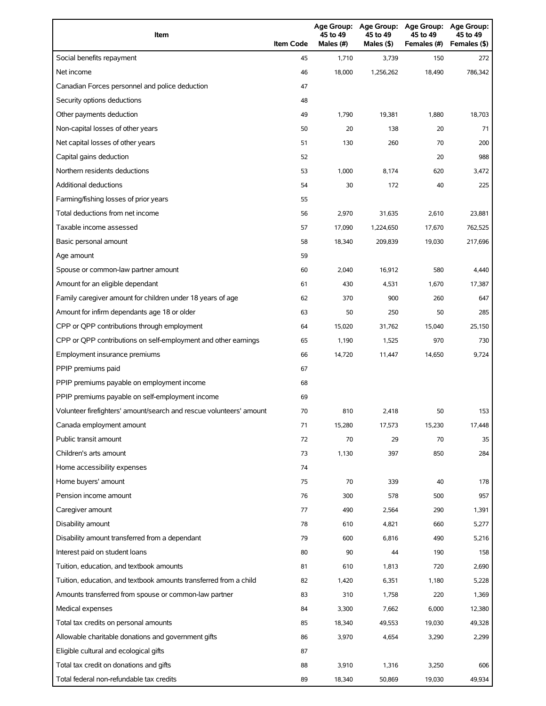| Item                                                                | <b>Item Code</b> | 45 to 49<br>Males (#) | 45 to 49<br>Males (\$) | Age Group: Age Group: Age Group:<br>45 to 49<br>Females (#) | <b>Age Group:</b><br>45 to 49<br>Females (\$) |
|---------------------------------------------------------------------|------------------|-----------------------|------------------------|-------------------------------------------------------------|-----------------------------------------------|
| Social benefits repayment                                           | 45               | 1,710                 | 3,739                  | 150                                                         | 272                                           |
| Net income                                                          | 46               | 18,000                | 1,256,262              | 18,490                                                      | 786,342                                       |
| Canadian Forces personnel and police deduction                      | 47               |                       |                        |                                                             |                                               |
| Security options deductions                                         | 48               |                       |                        |                                                             |                                               |
| Other payments deduction                                            | 49               | 1,790                 | 19,381                 | 1,880                                                       | 18,703                                        |
| Non-capital losses of other years                                   | 50               | 20                    | 138                    | 20                                                          | 71                                            |
| Net capital losses of other years                                   | 51               | 130                   | 260                    | 70                                                          | 200                                           |
| Capital gains deduction                                             | 52               |                       |                        | 20                                                          | 988                                           |
| Northern residents deductions                                       | 53               | 1,000                 | 8,174                  | 620                                                         | 3,472                                         |
| Additional deductions                                               | 54               | 30                    | 172                    | 40                                                          | 225                                           |
| Farming/fishing losses of prior years                               | 55               |                       |                        |                                                             |                                               |
| Total deductions from net income                                    | 56               | 2,970                 | 31,635                 | 2,610                                                       | 23,881                                        |
| Taxable income assessed                                             | 57               | 17,090                | 1,224,650              | 17,670                                                      | 762,525                                       |
| Basic personal amount                                               | 58               | 18,340                | 209,839                | 19,030                                                      | 217,696                                       |
| Age amount                                                          | 59               |                       |                        |                                                             |                                               |
| Spouse or common-law partner amount                                 | 60               | 2,040                 | 16,912                 | 580                                                         | 4,440                                         |
| Amount for an eligible dependant                                    | 61               | 430                   | 4,531                  | 1,670                                                       | 17,387                                        |
| Family caregiver amount for children under 18 years of age          | 62               | 370                   | 900                    | 260                                                         | 647                                           |
| Amount for infirm dependants age 18 or older                        | 63               | 50                    | 250                    | 50                                                          | 285                                           |
| CPP or QPP contributions through employment                         | 64               | 15,020                | 31,762                 | 15,040                                                      | 25,150                                        |
| CPP or QPP contributions on self-employment and other earnings      | 65               | 1,190                 | 1,525                  | 970                                                         | 730                                           |
| Employment insurance premiums                                       | 66               | 14,720                | 11,447                 | 14,650                                                      | 9,724                                         |
| PPIP premiums paid                                                  | 67               |                       |                        |                                                             |                                               |
| PPIP premiums payable on employment income                          | 68               |                       |                        |                                                             |                                               |
| PPIP premiums payable on self-employment income                     | 69               |                       |                        |                                                             |                                               |
| Volunteer firefighters' amount/search and rescue volunteers' amount | 70               | 810                   | 2,418                  | 50                                                          | 153                                           |
| Canada employment amount                                            | 71               | 15,280                | 17,573                 | 15,230                                                      | 17,448                                        |
| Public transit amount                                               | 72               | 70                    | 29                     | 70                                                          | 35                                            |
| Children's arts amount                                              | 73               | 1,130                 | 397                    | 850                                                         | 284                                           |
| Home accessibility expenses                                         | 74               |                       |                        |                                                             |                                               |
| Home buyers' amount                                                 | 75               | 70                    | 339                    | 40                                                          | 178                                           |
| Pension income amount                                               | 76               | 300                   | 578                    | 500                                                         | 957                                           |
| Caregiver amount                                                    | 77               | 490                   | 2,564                  | 290                                                         | 1,391                                         |
| Disability amount                                                   | 78               | 610                   | 4,821                  | 660                                                         | 5,277                                         |
| Disability amount transferred from a dependant                      | 79               | 600                   | 6,816                  | 490                                                         | 5,216                                         |
| Interest paid on student loans                                      | 80               | 90                    | 44                     | 190                                                         | 158                                           |
| Tuition, education, and textbook amounts                            | 81               | 610                   | 1,813                  | 720                                                         | 2,690                                         |
| Tuition, education, and textbook amounts transferred from a child   | 82               | 1,420                 | 6,351                  | 1,180                                                       | 5,228                                         |
| Amounts transferred from spouse or common-law partner               | 83               | 310                   | 1,758                  | 220                                                         | 1,369                                         |
| Medical expenses                                                    | 84               | 3,300                 | 7,662                  | 6,000                                                       | 12,380                                        |
| Total tax credits on personal amounts                               | 85               | 18,340                | 49,553                 | 19,030                                                      | 49,328                                        |
| Allowable charitable donations and government gifts                 | 86               | 3,970                 | 4,654                  | 3,290                                                       | 2,299                                         |
| Eligible cultural and ecological gifts                              | 87               |                       |                        |                                                             |                                               |
| Total tax credit on donations and gifts                             | 88               | 3,910                 | 1,316                  | 3,250                                                       | 606                                           |
| Total federal non-refundable tax credits                            | 89               | 18,340                | 50,869                 | 19,030                                                      | 49,934                                        |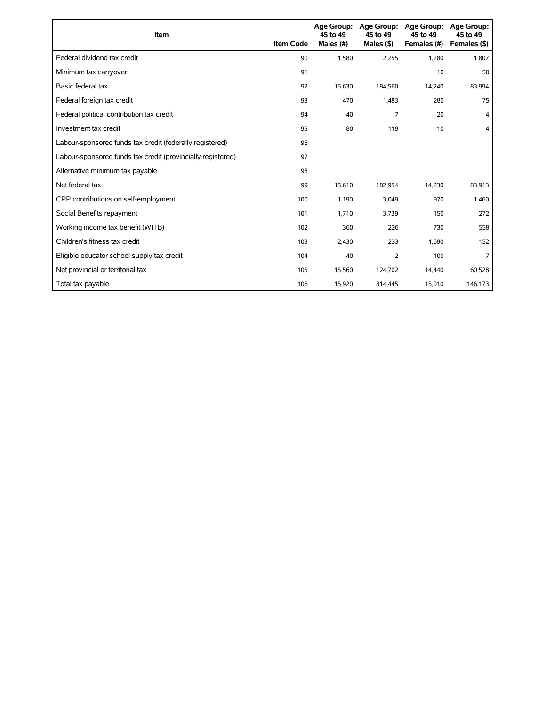| Item                                                        | <b>Item Code</b> | 45 to 49<br>Males (#) | Age Group: Age Group:<br>45 to 49<br>Males $($ \$) | <b>Age Group:</b><br>45 to 49<br>Females (#) | <b>Age Group:</b><br>45 to 49<br>Females (\$) |
|-------------------------------------------------------------|------------------|-----------------------|----------------------------------------------------|----------------------------------------------|-----------------------------------------------|
| Federal dividend tax credit                                 | 90               | 1,580                 | 2,255                                              | 1,280                                        | 1,807                                         |
| Minimum tax carryover                                       | 91               |                       |                                                    | 10                                           | 50                                            |
| Basic federal tax                                           | 92               | 15,630                | 184,560                                            | 14,240                                       | 83,994                                        |
| Federal foreign tax credit                                  | 93               | 470                   | 1,483                                              | 280                                          | 75                                            |
| Federal political contribution tax credit                   | 94               | 40                    | 7                                                  | 20                                           |                                               |
| Investment tax credit                                       | 95               | 80                    | 119                                                | 10                                           | 4                                             |
| Labour-sponsored funds tax credit (federally registered)    | 96               |                       |                                                    |                                              |                                               |
| Labour-sponsored funds tax credit (provincially registered) | 97               |                       |                                                    |                                              |                                               |
| Alternative minimum tax payable                             | 98               |                       |                                                    |                                              |                                               |
| Net federal tax                                             | 99               | 15,610                | 182,954                                            | 14,230                                       | 83,913                                        |
| CPP contributions on self-employment                        | 100              | 1,190                 | 3,049                                              | 970                                          | 1,460                                         |
| Social Benefits repayment                                   | 101              | 1,710                 | 3,739                                              | 150                                          | 272                                           |
| Working income tax benefit (WITB)                           | 102              | 360                   | 226                                                | 730                                          | 558                                           |
| Children's fitness tax credit                               | 103              | 2,430                 | 233                                                | 1,690                                        | 152                                           |
| Eligible educator school supply tax credit                  | 104              | 40                    | 2                                                  | 100                                          |                                               |
| Net provincial or territorial tax                           | 105              | 15,560                | 124,702                                            | 14,440                                       | 60,528                                        |
| Total tax payable                                           | 106              | 15,920                | 314,445                                            | 15,010                                       | 146,173                                       |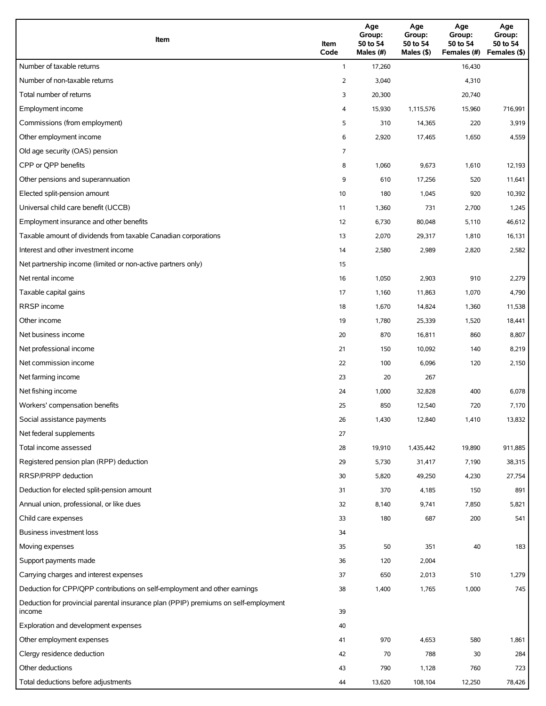| Item                                                                                          | Item<br>Code | Age<br>Group:<br>50 to 54<br>Males (#) | Age<br>Group:<br>50 to 54<br>Males (\$) | Age<br>Group:<br>50 to 54<br>Females (#) | Age<br>Group:<br>50 to 54<br>Females (\$) |
|-----------------------------------------------------------------------------------------------|--------------|----------------------------------------|-----------------------------------------|------------------------------------------|-------------------------------------------|
| Number of taxable returns                                                                     | $\mathbf{1}$ | 17,260                                 |                                         | 16,430                                   |                                           |
| Number of non-taxable returns                                                                 | 2            | 3,040                                  |                                         | 4,310                                    |                                           |
| Total number of returns                                                                       | 3            | 20,300                                 |                                         | 20,740                                   |                                           |
| Employment income                                                                             | 4            | 15,930                                 | 1,115,576                               | 15,960                                   | 716,991                                   |
| Commissions (from employment)                                                                 | 5            | 310                                    | 14,365                                  | 220                                      | 3,919                                     |
| Other employment income                                                                       | 6            | 2,920                                  | 17,465                                  | 1,650                                    | 4,559                                     |
| Old age security (OAS) pension                                                                | 7            |                                        |                                         |                                          |                                           |
| CPP or OPP benefits                                                                           | 8            | 1,060                                  | 9,673                                   | 1,610                                    | 12,193                                    |
| Other pensions and superannuation                                                             | 9            | 610                                    | 17,256                                  | 520                                      | 11,641                                    |
| Elected split-pension amount                                                                  | 10           | 180                                    | 1,045                                   | 920                                      | 10,392                                    |
| Universal child care benefit (UCCB)                                                           | 11           | 1,360                                  | 731                                     | 2,700                                    | 1,245                                     |
| Employment insurance and other benefits                                                       | 12           | 6,730                                  | 80,048                                  | 5,110                                    | 46,612                                    |
| Taxable amount of dividends from taxable Canadian corporations                                | 13           | 2,070                                  | 29,317                                  | 1,810                                    | 16,131                                    |
| Interest and other investment income                                                          | 14           | 2,580                                  | 2,989                                   | 2,820                                    | 2,582                                     |
| Net partnership income (limited or non-active partners only)                                  | 15           |                                        |                                         |                                          |                                           |
| Net rental income                                                                             | 16           | 1,050                                  | 2,903                                   | 910                                      | 2,279                                     |
| Taxable capital gains                                                                         | 17           | 1,160                                  | 11,863                                  | 1,070                                    | 4,790                                     |
| <b>RRSP</b> income                                                                            | 18           | 1,670                                  | 14,824                                  | 1,360                                    | 11,538                                    |
| Other income                                                                                  | 19           | 1,780                                  | 25,339                                  | 1,520                                    | 18,441                                    |
| Net business income                                                                           | 20           | 870                                    | 16,811                                  | 860                                      | 8,807                                     |
| Net professional income                                                                       | 21           | 150                                    | 10,092                                  | 140                                      | 8,219                                     |
| Net commission income                                                                         | 22           | 100                                    | 6,096                                   | 120                                      | 2,150                                     |
| Net farming income                                                                            | 23           | 20                                     | 267                                     |                                          |                                           |
| Net fishing income                                                                            | 24           | 1,000                                  | 32,828                                  | 400                                      | 6,078                                     |
| Workers' compensation benefits                                                                | 25           | 850                                    | 12,540                                  | 720                                      | 7,170                                     |
| Social assistance payments                                                                    | 26           | 1,430                                  | 12,840                                  | 1,410                                    | 13,832                                    |
| Net federal supplements                                                                       | 27           |                                        |                                         |                                          |                                           |
| Total income assessed                                                                         | 28           | 19,910                                 | 1,435,442                               | 19,890                                   | 911,885                                   |
| Registered pension plan (RPP) deduction                                                       | 29           | 5,730                                  | 31,417                                  | 7,190                                    | 38,315                                    |
| RRSP/PRPP deduction                                                                           | 30           | 5,820                                  | 49,250                                  | 4,230                                    | 27,754                                    |
| Deduction for elected split-pension amount                                                    | 31           | 370                                    | 4,185                                   | 150                                      | 891                                       |
| Annual union, professional, or like dues                                                      | 32           | 8,140                                  | 9,741                                   | 7,850                                    | 5,821                                     |
| Child care expenses                                                                           | 33           | 180                                    | 687                                     | 200                                      | 541                                       |
| Business investment loss                                                                      | 34           |                                        |                                         |                                          |                                           |
| Moving expenses                                                                               | 35           | 50                                     | 351                                     | 40                                       | 183                                       |
| Support payments made                                                                         | 36           | 120                                    | 2,004                                   |                                          |                                           |
| Carrying charges and interest expenses                                                        | 37           | 650                                    | 2,013                                   | 510                                      | 1,279                                     |
| Deduction for CPP/QPP contributions on self-employment and other earnings                     | 38           | 1,400                                  | 1,765                                   | 1,000                                    | 745                                       |
| Deduction for provincial parental insurance plan (PPIP) premiums on self-employment<br>income | 39           |                                        |                                         |                                          |                                           |
| Exploration and development expenses                                                          | 40           |                                        |                                         |                                          |                                           |
| Other employment expenses                                                                     | 41           | 970                                    | 4,653                                   | 580                                      | 1,861                                     |
| Clergy residence deduction                                                                    | 42           | 70                                     | 788                                     | 30                                       | 284                                       |
| Other deductions                                                                              | 43           | 790                                    | 1,128                                   | 760                                      | 723                                       |
| Total deductions before adjustments                                                           | 44           | 13,620                                 | 108,104                                 | 12,250                                   | 78,426                                    |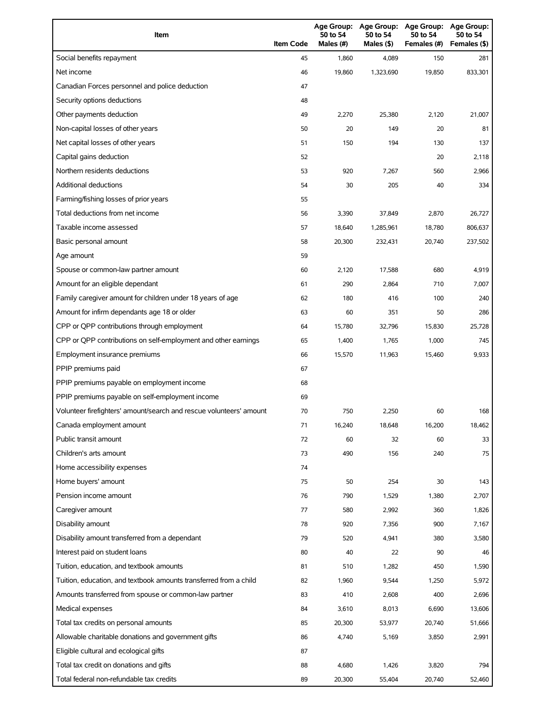| Item                                                                | <b>Item Code</b> | 50 to 54<br>Males (#) | 50 to 54<br>Males (\$) | Age Group: Age Group: Age Group:<br>50 to 54<br>Females (#) | <b>Age Group:</b><br>50 to 54<br>Females (\$) |
|---------------------------------------------------------------------|------------------|-----------------------|------------------------|-------------------------------------------------------------|-----------------------------------------------|
| Social benefits repayment                                           | 45               | 1,860                 | 4,089                  | 150                                                         | 281                                           |
| Net income                                                          | 46               | 19,860                | 1,323,690              | 19,850                                                      | 833,301                                       |
| Canadian Forces personnel and police deduction                      | 47               |                       |                        |                                                             |                                               |
| Security options deductions                                         | 48               |                       |                        |                                                             |                                               |
| Other payments deduction                                            | 49               | 2,270                 | 25,380                 | 2,120                                                       | 21,007                                        |
| Non-capital losses of other years                                   | 50               | 20                    | 149                    | 20                                                          | 81                                            |
| Net capital losses of other years                                   | 51               | 150                   | 194                    | 130                                                         | 137                                           |
| Capital gains deduction                                             | 52               |                       |                        | 20                                                          | 2,118                                         |
| Northern residents deductions                                       | 53               | 920                   | 7,267                  | 560                                                         | 2,966                                         |
| Additional deductions                                               | 54               | 30                    | 205                    | 40                                                          | 334                                           |
| Farming/fishing losses of prior years                               | 55               |                       |                        |                                                             |                                               |
| Total deductions from net income                                    | 56               | 3,390                 | 37,849                 | 2,870                                                       | 26,727                                        |
| Taxable income assessed                                             | 57               | 18,640                | 1,285,961              | 18,780                                                      | 806,637                                       |
| Basic personal amount                                               | 58               | 20,300                | 232,431                | 20,740                                                      | 237,502                                       |
| Age amount                                                          | 59               |                       |                        |                                                             |                                               |
| Spouse or common-law partner amount                                 | 60               | 2,120                 | 17,588                 | 680                                                         | 4,919                                         |
| Amount for an eligible dependant                                    | 61               | 290                   | 2,864                  | 710                                                         | 7,007                                         |
| Family caregiver amount for children under 18 years of age          | 62               | 180                   | 416                    | 100                                                         | 240                                           |
| Amount for infirm dependants age 18 or older                        | 63               | 60                    | 351                    | 50                                                          | 286                                           |
| CPP or QPP contributions through employment                         | 64               | 15,780                | 32,796                 | 15,830                                                      | 25,728                                        |
| CPP or QPP contributions on self-employment and other earnings      | 65               | 1,400                 | 1,765                  | 1,000                                                       | 745                                           |
| Employment insurance premiums                                       | 66               | 15,570                | 11,963                 | 15,460                                                      | 9,933                                         |
| PPIP premiums paid                                                  | 67               |                       |                        |                                                             |                                               |
| PPIP premiums payable on employment income                          | 68               |                       |                        |                                                             |                                               |
| PPIP premiums payable on self-employment income                     | 69               |                       |                        |                                                             |                                               |
| Volunteer firefighters' amount/search and rescue volunteers' amount | 70               | 750                   | 2,250                  | 60                                                          | 168                                           |
| Canada employment amount                                            | 71               | 16,240                | 18,648                 | 16,200                                                      | 18,462                                        |
| Public transit amount                                               | 72               | 60                    | 32                     | 60                                                          | 33                                            |
| Children's arts amount                                              | 73               | 490                   | 156                    | 240                                                         | 75                                            |
| Home accessibility expenses                                         | 74               |                       |                        |                                                             |                                               |
| Home buyers' amount                                                 | 75               | 50                    | 254                    | 30                                                          | 143                                           |
| Pension income amount                                               | 76               | 790                   | 1,529                  | 1,380                                                       | 2,707                                         |
| Caregiver amount                                                    | 77               | 580                   | 2,992                  | 360                                                         | 1,826                                         |
| Disability amount                                                   | 78               | 920                   | 7,356                  | 900                                                         | 7,167                                         |
| Disability amount transferred from a dependant                      | 79               | 520                   | 4,941                  | 380                                                         | 3,580                                         |
| Interest paid on student loans                                      | 80               | 40                    | 22                     | 90                                                          | 46                                            |
| Tuition, education, and textbook amounts                            | 81               | 510                   | 1,282                  | 450                                                         | 1,590                                         |
| Tuition, education, and textbook amounts transferred from a child   | 82               | 1,960                 | 9,544                  | 1,250                                                       | 5,972                                         |
| Amounts transferred from spouse or common-law partner               | 83               | 410                   | 2,608                  | 400                                                         | 2,696                                         |
| Medical expenses                                                    | 84               | 3,610                 | 8,013                  | 6,690                                                       | 13,606                                        |
| Total tax credits on personal amounts                               | 85               | 20,300                | 53,977                 | 20,740                                                      | 51,666                                        |
| Allowable charitable donations and government gifts                 | 86               | 4,740                 | 5,169                  | 3,850                                                       | 2,991                                         |
| Eligible cultural and ecological gifts                              | 87               |                       |                        |                                                             |                                               |
| Total tax credit on donations and gifts                             | 88               | 4,680                 | 1,426                  | 3,820                                                       | 794                                           |
| Total federal non-refundable tax credits                            | 89               | 20,300                | 55,404                 | 20,740                                                      | 52,460                                        |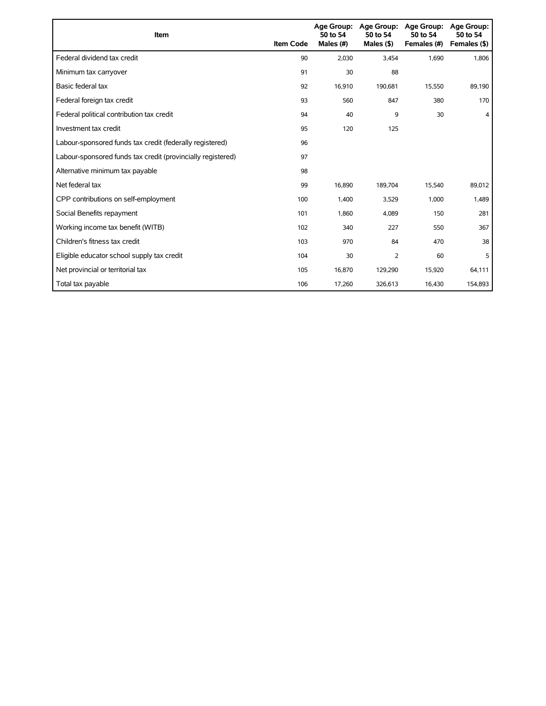| Item                                                        | <b>Item Code</b> | 50 to 54<br>Males (#) | Age Group: Age Group:<br>50 to 54<br>Males $($ \$ $)$ | <b>Age Group:</b><br>50 to 54<br>Females (#) | Age Group:<br>50 to 54<br>Females (\$) |
|-------------------------------------------------------------|------------------|-----------------------|-------------------------------------------------------|----------------------------------------------|----------------------------------------|
| Federal dividend tax credit                                 | 90               | 2,030                 | 3,454                                                 | 1,690                                        | 1,806                                  |
| Minimum tax carryover                                       | 91               | 30                    | 88                                                    |                                              |                                        |
| Basic federal tax                                           | 92               | 16,910                | 190,681                                               | 15,550                                       | 89,190                                 |
| Federal foreign tax credit                                  | 93               | 560                   | 847                                                   | 380                                          | 170                                    |
| Federal political contribution tax credit                   | 94               | 40                    | 9                                                     | 30                                           | $\overline{4}$                         |
| Investment tax credit                                       | 95               | 120                   | 125                                                   |                                              |                                        |
| Labour-sponsored funds tax credit (federally registered)    | 96               |                       |                                                       |                                              |                                        |
| Labour-sponsored funds tax credit (provincially registered) | 97               |                       |                                                       |                                              |                                        |
| Alternative minimum tax payable                             | 98               |                       |                                                       |                                              |                                        |
| Net federal tax                                             | 99               | 16,890                | 189,704                                               | 15,540                                       | 89,012                                 |
| CPP contributions on self-employment                        | 100              | 1,400                 | 3,529                                                 | 1,000                                        | 1,489                                  |
| Social Benefits repayment                                   | 101              | 1,860                 | 4,089                                                 | 150                                          | 281                                    |
| Working income tax benefit (WITB)                           | 102              | 340                   | 227                                                   | 550                                          | 367                                    |
| Children's fitness tax credit                               | 103              | 970                   | 84                                                    | 470                                          | 38                                     |
| Eligible educator school supply tax credit                  | 104              | 30                    | 2                                                     | 60                                           | 5                                      |
| Net provincial or territorial tax                           | 105              | 16,870                | 129,290                                               | 15,920                                       | 64,111                                 |
| Total tax payable                                           | 106              | 17,260                | 326,613                                               | 16,430                                       | 154,893                                |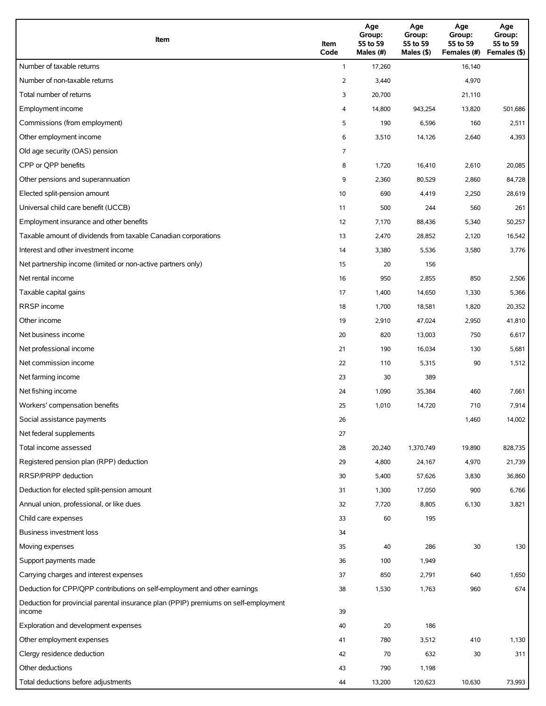| Item                                                                                          | Item<br>Code   | Age<br>Group:<br>55 to 59<br>Males (#) | Age<br>Group:<br>55 to 59<br>Males (\$) | Age<br>Group:<br>55 to 59<br>Females (#) | Age<br>Group:<br>55 to 59<br>Females (\$) |
|-----------------------------------------------------------------------------------------------|----------------|----------------------------------------|-----------------------------------------|------------------------------------------|-------------------------------------------|
| Number of taxable returns                                                                     | $\mathbf{1}$   | 17,260                                 |                                         | 16,140                                   |                                           |
| Number of non-taxable returns                                                                 | $\overline{2}$ | 3,440                                  |                                         | 4,970                                    |                                           |
| Total number of returns                                                                       | 3              | 20,700                                 |                                         | 21,110                                   |                                           |
| Employment income                                                                             | 4              | 14,800                                 | 943,254                                 | 13,820                                   | 501,686                                   |
| Commissions (from employment)                                                                 | 5              | 190                                    | 6,596                                   | 160                                      | 2,511                                     |
| Other employment income                                                                       | 6              | 3,510                                  | 14,126                                  | 2,640                                    | 4,393                                     |
| Old age security (OAS) pension                                                                | 7              |                                        |                                         |                                          |                                           |
| CPP or QPP benefits                                                                           | 8              | 1,720                                  | 16,410                                  | 2,610                                    | 20,085                                    |
| Other pensions and superannuation                                                             | 9              | 2,360                                  | 80,529                                  | 2,860                                    | 84,728                                    |
| Elected split-pension amount                                                                  | 10             | 690                                    | 4,419                                   | 2,250                                    | 28,619                                    |
| Universal child care benefit (UCCB)                                                           | 11             | 500                                    | 244                                     | 560                                      | 261                                       |
| Employment insurance and other benefits                                                       | 12             | 7,170                                  | 88,436                                  | 5,340                                    | 50,257                                    |
| Taxable amount of dividends from taxable Canadian corporations                                | 13             | 2,470                                  | 28,852                                  | 2,120                                    | 16,542                                    |
| Interest and other investment income                                                          | 14             | 3,380                                  | 5,536                                   | 3,580                                    | 3,776                                     |
| Net partnership income (limited or non-active partners only)                                  | 15             | 20                                     | 156                                     |                                          |                                           |
| Net rental income                                                                             | 16             | 950                                    | 2,855                                   | 850                                      | 2,506                                     |
| Taxable capital gains                                                                         | 17             | 1,400                                  | 14,650                                  | 1,330                                    | 5,366                                     |
| <b>RRSP</b> income                                                                            | 18             | 1,700                                  | 18,581                                  | 1,820                                    | 20,352                                    |
| Other income                                                                                  | 19             | 2,910                                  | 47,024                                  | 2,950                                    | 41,810                                    |
| Net business income                                                                           | 20             | 820                                    | 13,003                                  | 750                                      | 6,617                                     |
| Net professional income                                                                       | 21             | 190                                    | 16,034                                  | 130                                      | 5,681                                     |
| Net commission income                                                                         | 22             | 110                                    | 5,315                                   | 90                                       | 1,512                                     |
| Net farming income                                                                            | 23             | 30                                     | 389                                     |                                          |                                           |
| Net fishing income                                                                            | 24             | 1,090                                  | 35,384                                  | 460                                      | 7,661                                     |
| Workers' compensation benefits                                                                | 25             | 1,010                                  | 14,720                                  | 710                                      | 7,914                                     |
| Social assistance payments                                                                    | 26             |                                        |                                         | 1,460                                    | 14,002                                    |
| Net federal supplements                                                                       | 27             |                                        |                                         |                                          |                                           |
| Total income assessed                                                                         | 28             | 20,240                                 | 1,370,749                               | 19,890                                   | 828,735                                   |
| Registered pension plan (RPP) deduction                                                       | 29             | 4,800                                  | 24,167                                  | 4,970                                    | 21,739                                    |
| RRSP/PRPP deduction                                                                           | 30             | 5,400                                  | 57,626                                  | 3,830                                    | 36,860                                    |
| Deduction for elected split-pension amount                                                    | 31             | 1,300                                  | 17,050                                  | 900                                      | 6,766                                     |
| Annual union, professional, or like dues                                                      | 32             | 7,720                                  | 8,805                                   | 6,130                                    | 3,821                                     |
| Child care expenses                                                                           | 33             | 60                                     | 195                                     |                                          |                                           |
| Business investment loss                                                                      | 34             |                                        |                                         |                                          |                                           |
| Moving expenses                                                                               | 35             | 40                                     | 286                                     | 30                                       | 130                                       |
| Support payments made                                                                         | 36             | 100                                    | 1,949                                   |                                          |                                           |
| Carrying charges and interest expenses                                                        | 37             | 850                                    | 2,791                                   | 640                                      | 1,650                                     |
| Deduction for CPP/QPP contributions on self-employment and other earnings                     | 38             | 1,530                                  | 1,763                                   | 960                                      | 674                                       |
| Deduction for provincial parental insurance plan (PPIP) premiums on self-employment<br>income | 39             |                                        |                                         |                                          |                                           |
| Exploration and development expenses                                                          | 40             | 20                                     | 186                                     |                                          |                                           |
| Other employment expenses                                                                     | 41             | 780                                    | 3,512                                   | 410                                      | 1,130                                     |
| Clergy residence deduction                                                                    | 42             | 70                                     | 632                                     | 30                                       | 311                                       |
| Other deductions                                                                              | 43             | 790                                    | 1,198                                   |                                          |                                           |
| Total deductions before adjustments                                                           | 44             | 13,200                                 | 120,623                                 | 10,630                                   | 73,993                                    |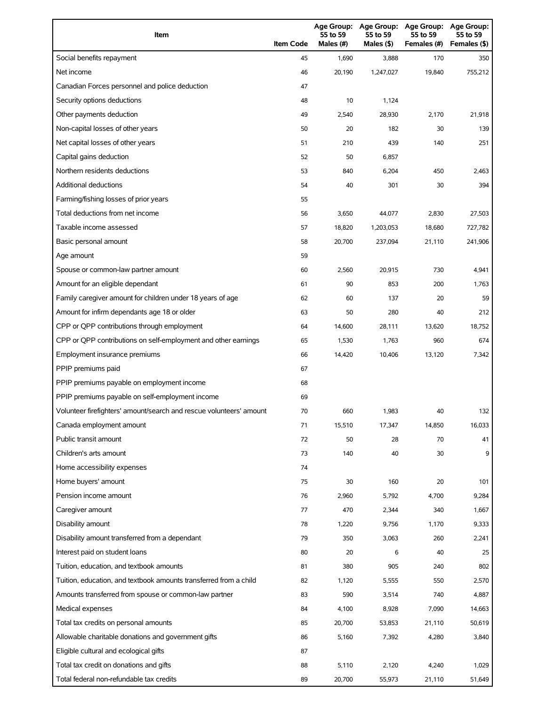| Item                                                                | <b>Item Code</b> | 55 to 59<br>Males (#) | Age Group: Age Group:<br>55 to 59<br>Males (\$) | <b>Age Group:</b><br>55 to 59<br>Females (#) | <b>Age Group:</b><br>55 to 59<br>Females (\$) |
|---------------------------------------------------------------------|------------------|-----------------------|-------------------------------------------------|----------------------------------------------|-----------------------------------------------|
| Social benefits repayment                                           | 45               | 1,690                 | 3,888                                           | 170                                          | 350                                           |
| Net income                                                          | 46               | 20.190                | 1,247,027                                       | 19,840                                       | 755,212                                       |
| Canadian Forces personnel and police deduction                      | 47               |                       |                                                 |                                              |                                               |
| Security options deductions                                         | 48               | 10                    | 1,124                                           |                                              |                                               |
| Other payments deduction                                            | 49               | 2,540                 | 28,930                                          | 2,170                                        | 21,918                                        |
| Non-capital losses of other years                                   | 50               | 20                    | 182                                             | 30                                           | 139                                           |
| Net capital losses of other years                                   | 51               | 210                   | 439                                             | 140                                          | 251                                           |
| Capital gains deduction                                             | 52               | 50                    | 6,857                                           |                                              |                                               |
| Northern residents deductions                                       | 53               | 840                   | 6,204                                           | 450                                          | 2,463                                         |
| Additional deductions                                               | 54               | 40                    | 301                                             | 30                                           | 394                                           |
| Farming/fishing losses of prior years                               | 55               |                       |                                                 |                                              |                                               |
| Total deductions from net income                                    | 56               | 3,650                 | 44,077                                          | 2,830                                        | 27,503                                        |
| Taxable income assessed                                             | 57               | 18,820                | 1,203,053                                       | 18,680                                       | 727,782                                       |
| Basic personal amount                                               | 58               | 20,700                | 237,094                                         | 21,110                                       | 241,906                                       |
| Age amount                                                          | 59               |                       |                                                 |                                              |                                               |
| Spouse or common-law partner amount                                 | 60               | 2,560                 | 20,915                                          | 730                                          | 4,941                                         |
| Amount for an eligible dependant                                    | 61               | 90                    | 853                                             | 200                                          | 1,763                                         |
| Family caregiver amount for children under 18 years of age          | 62               | 60                    | 137                                             | 20                                           | 59                                            |
| Amount for infirm dependants age 18 or older                        | 63               | 50                    | 280                                             | 40                                           | 212                                           |
| CPP or QPP contributions through employment                         | 64               | 14,600                | 28,111                                          | 13,620                                       | 18,752                                        |
| CPP or QPP contributions on self-employment and other earnings      | 65               | 1,530                 | 1,763                                           | 960                                          | 674                                           |
| Employment insurance premiums                                       | 66               | 14,420                | 10,406                                          | 13,120                                       | 7,342                                         |
| PPIP premiums paid                                                  | 67               |                       |                                                 |                                              |                                               |
| PPIP premiums payable on employment income                          | 68               |                       |                                                 |                                              |                                               |
| PPIP premiums payable on self-employment income                     | 69               |                       |                                                 |                                              |                                               |
| Volunteer firefighters' amount/search and rescue volunteers' amount | 70               | 660                   | 1,983                                           | 40                                           | 132                                           |
| Canada employment amount                                            | 71               | 15,510                | 17,347                                          | 14,850                                       | 16,033                                        |
| Public transit amount                                               | 72               | 50                    | 28                                              | 70                                           | 41                                            |
| Children's arts amount                                              | 73               | 140                   | 40                                              | 30                                           | 9                                             |
| Home accessibility expenses                                         | 74               |                       |                                                 |                                              |                                               |
| Home buyers' amount                                                 | 75               | 30                    | 160                                             | 20                                           | 101                                           |
| Pension income amount                                               | 76               | 2,960                 | 5,792                                           | 4,700                                        | 9,284                                         |
| Caregiver amount                                                    | 77               | 470                   | 2,344                                           | 340                                          | 1,667                                         |
| Disability amount                                                   | 78               | 1,220                 | 9,756                                           | 1,170                                        | 9,333                                         |
| Disability amount transferred from a dependant                      | 79               | 350                   | 3,063                                           | 260                                          | 2,241                                         |
| Interest paid on student loans                                      | 80               | 20                    | 6                                               | 40                                           | 25                                            |
| Tuition, education, and textbook amounts                            | 81               | 380                   | 905                                             | 240                                          | 802                                           |
| Tuition, education, and textbook amounts transferred from a child   | 82               | 1,120                 | 5,555                                           | 550                                          | 2,570                                         |
| Amounts transferred from spouse or common-law partner               | 83               | 590                   | 3,514                                           | 740                                          | 4,887                                         |
| Medical expenses                                                    | 84               | 4,100                 | 8,928                                           | 7,090                                        | 14,663                                        |
| Total tax credits on personal amounts                               | 85               | 20,700                | 53,853                                          | 21,110                                       | 50,619                                        |
| Allowable charitable donations and government gifts                 | 86               | 5,160                 | 7,392                                           | 4,280                                        | 3,840                                         |
| Eligible cultural and ecological gifts                              | 87               |                       |                                                 |                                              |                                               |
| Total tax credit on donations and gifts                             | 88               | 5,110                 | 2,120                                           | 4,240                                        | 1,029                                         |
| Total federal non-refundable tax credits                            | 89               | 20,700                | 55,973                                          | 21,110                                       | 51,649                                        |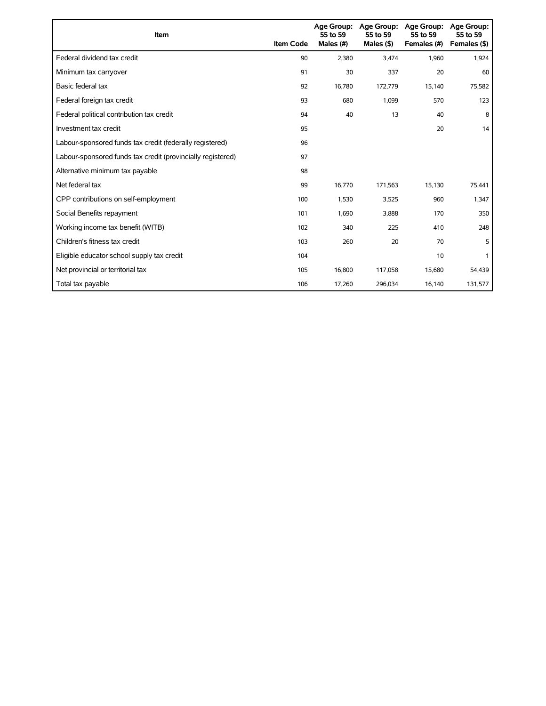| Item                                                        | <b>Item Code</b> | 55 to 59<br>Males (#) | Age Group: Age Group:<br>55 to 59<br>Males $($ \$) | <b>Age Group:</b><br>55 to 59<br>Females (#) | <b>Age Group:</b><br>55 to 59<br>Females (\$) |
|-------------------------------------------------------------|------------------|-----------------------|----------------------------------------------------|----------------------------------------------|-----------------------------------------------|
| Federal dividend tax credit                                 | 90               | 2,380                 | 3,474                                              | 1,960                                        | 1,924                                         |
| Minimum tax carryover                                       | 91               | 30                    | 337                                                | 20                                           | 60                                            |
| Basic federal tax                                           | 92               | 16,780                | 172,779                                            | 15,140                                       | 75,582                                        |
| Federal foreign tax credit                                  | 93               | 680                   | 1,099                                              | 570                                          | 123                                           |
| Federal political contribution tax credit                   | 94               | 40                    | 13                                                 | 40                                           | 8                                             |
| Investment tax credit                                       | 95               |                       |                                                    | 20                                           | 14                                            |
| Labour-sponsored funds tax credit (federally registered)    | 96               |                       |                                                    |                                              |                                               |
| Labour-sponsored funds tax credit (provincially registered) | 97               |                       |                                                    |                                              |                                               |
| Alternative minimum tax payable                             | 98               |                       |                                                    |                                              |                                               |
| Net federal tax                                             | 99               | 16,770                | 171,563                                            | 15,130                                       | 75,441                                        |
| CPP contributions on self-employment                        | 100              | 1,530                 | 3,525                                              | 960                                          | 1,347                                         |
| Social Benefits repayment                                   | 101              | 1,690                 | 3,888                                              | 170                                          | 350                                           |
| Working income tax benefit (WITB)                           | 102              | 340                   | 225                                                | 410                                          | 248                                           |
| Children's fitness tax credit                               | 103              | 260                   | 20                                                 | 70                                           | 5                                             |
| Eligible educator school supply tax credit                  | 104              |                       |                                                    | 10                                           |                                               |
| Net provincial or territorial tax                           | 105              | 16,800                | 117,058                                            | 15,680                                       | 54,439                                        |
| Total tax payable                                           | 106              | 17,260                | 296,034                                            | 16,140                                       | 131,577                                       |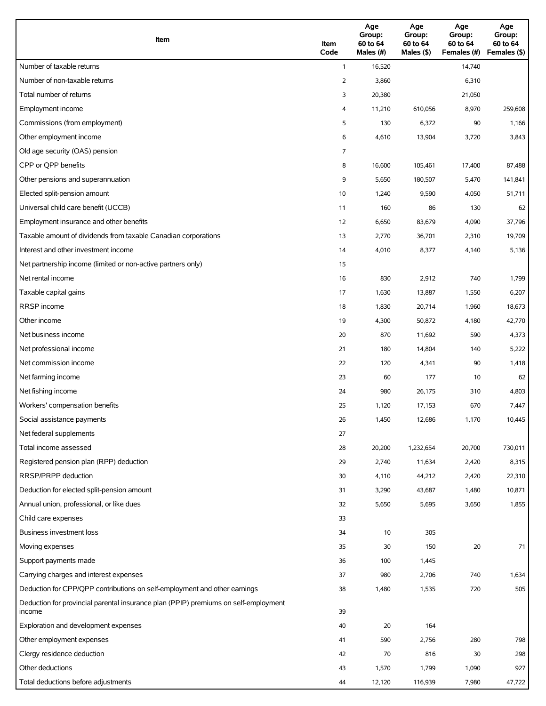| Item                                                                                          | Item<br>Code | Age<br>Group:<br>60 to 64<br>Males (#) | Age<br>Group:<br>60 to 64<br>Males (\$) | Age<br>Group:<br>60 to 64<br>Females (#) | Age<br>Group:<br>60 to 64<br>Females (\$) |
|-----------------------------------------------------------------------------------------------|--------------|----------------------------------------|-----------------------------------------|------------------------------------------|-------------------------------------------|
| Number of taxable returns                                                                     | $\mathbf{1}$ | 16,520                                 |                                         | 14,740                                   |                                           |
| Number of non-taxable returns                                                                 | 2            | 3,860                                  |                                         | 6,310                                    |                                           |
| Total number of returns                                                                       | 3            | 20,380                                 |                                         | 21,050                                   |                                           |
| Employment income                                                                             | 4            | 11,210                                 | 610,056                                 | 8,970                                    | 259,608                                   |
| Commissions (from employment)                                                                 | 5            | 130                                    | 6,372                                   | 90                                       | 1,166                                     |
| Other employment income                                                                       | 6            | 4,610                                  | 13,904                                  | 3,720                                    | 3,843                                     |
| Old age security (OAS) pension                                                                | 7            |                                        |                                         |                                          |                                           |
| CPP or OPP benefits                                                                           | 8            | 16,600                                 | 105,461                                 | 17,400                                   | 87,488                                    |
| Other pensions and superannuation                                                             | 9            | 5,650                                  | 180,507                                 | 5,470                                    | 141,841                                   |
| Elected split-pension amount                                                                  | 10           | 1,240                                  | 9,590                                   | 4,050                                    | 51,711                                    |
| Universal child care benefit (UCCB)                                                           | 11           | 160                                    | 86                                      | 130                                      | 62                                        |
| Employment insurance and other benefits                                                       | 12           | 6,650                                  | 83,679                                  | 4,090                                    | 37,796                                    |
| Taxable amount of dividends from taxable Canadian corporations                                | 13           | 2,770                                  | 36,701                                  | 2,310                                    | 19,709                                    |
| Interest and other investment income                                                          | 14           | 4,010                                  | 8,377                                   | 4,140                                    | 5,136                                     |
| Net partnership income (limited or non-active partners only)                                  | 15           |                                        |                                         |                                          |                                           |
| Net rental income                                                                             | 16           | 830                                    | 2,912                                   | 740                                      | 1,799                                     |
| Taxable capital gains                                                                         | 17           | 1,630                                  | 13,887                                  | 1,550                                    | 6,207                                     |
| <b>RRSP</b> income                                                                            | 18           | 1,830                                  | 20,714                                  | 1,960                                    | 18,673                                    |
| Other income                                                                                  | 19           | 4,300                                  | 50,872                                  | 4,180                                    | 42,770                                    |
| Net business income                                                                           | 20           | 870                                    | 11,692                                  | 590                                      | 4,373                                     |
| Net professional income                                                                       | 21           | 180                                    | 14,804                                  | 140                                      | 5,222                                     |
| Net commission income                                                                         | 22           | 120                                    | 4,341                                   | 90                                       | 1,418                                     |
| Net farming income                                                                            | 23           | 60                                     | 177                                     | 10                                       | 62                                        |
| Net fishing income                                                                            | 24           | 980                                    | 26,175                                  | 310                                      | 4,803                                     |
| Workers' compensation benefits                                                                | 25           | 1,120                                  | 17,153                                  | 670                                      | 7,447                                     |
| Social assistance payments                                                                    | 26           | 1,450                                  | 12,686                                  | 1,170                                    | 10,445                                    |
| Net federal supplements                                                                       | 27           |                                        |                                         |                                          |                                           |
| Total income assessed                                                                         | 28           | 20,200                                 | 1,232,654                               | 20,700                                   | 730,011                                   |
| Registered pension plan (RPP) deduction                                                       | 29           | 2,740                                  | 11,634                                  | 2,420                                    | 8,315                                     |
| RRSP/PRPP deduction                                                                           | 30           | 4,110                                  | 44,212                                  | 2,420                                    | 22,310                                    |
| Deduction for elected split-pension amount                                                    | 31           | 3,290                                  | 43,687                                  | 1,480                                    | 10,871                                    |
| Annual union, professional, or like dues                                                      | 32           | 5,650                                  | 5,695                                   | 3,650                                    | 1,855                                     |
| Child care expenses                                                                           | 33           |                                        |                                         |                                          |                                           |
| Business investment loss                                                                      | 34           | 10                                     | 305                                     |                                          |                                           |
| Moving expenses                                                                               | 35           | 30                                     | 150                                     | 20                                       | 71                                        |
| Support payments made                                                                         | 36           | 100                                    | 1,445                                   |                                          |                                           |
| Carrying charges and interest expenses                                                        | 37           | 980                                    | 2,706                                   | 740                                      | 1,634                                     |
| Deduction for CPP/QPP contributions on self-employment and other earnings                     | 38           | 1,480                                  | 1,535                                   | 720                                      | 505                                       |
| Deduction for provincial parental insurance plan (PPIP) premiums on self-employment<br>income | 39           |                                        |                                         |                                          |                                           |
| Exploration and development expenses                                                          | 40           | 20                                     | 164                                     |                                          |                                           |
| Other employment expenses                                                                     | 41           | 590                                    | 2,756                                   | 280                                      | 798                                       |
| Clergy residence deduction                                                                    | 42           | 70                                     | 816                                     | 30                                       | 298                                       |
| Other deductions                                                                              | 43           | 1,570                                  | 1,799                                   | 1,090                                    | 927                                       |
| Total deductions before adjustments                                                           | 44           | 12,120                                 | 116,939                                 | 7,980                                    | 47,722                                    |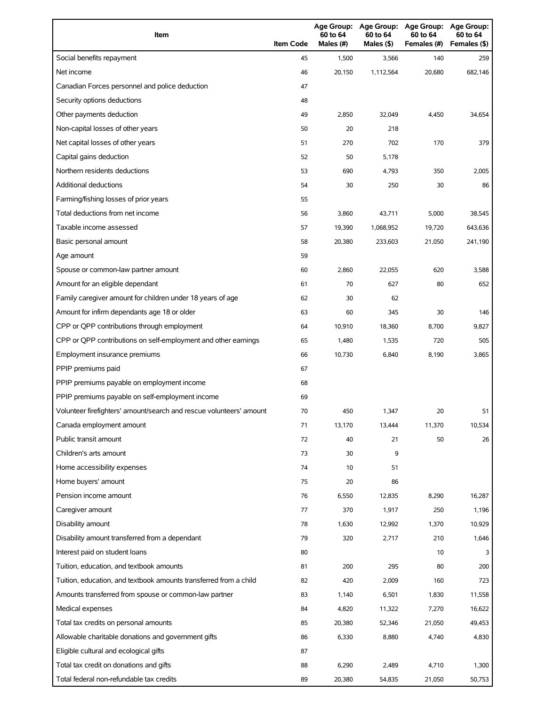| Item                                                                | <b>Item Code</b> | 60 to 64<br>Males (#) | 60 to 64<br>Males (\$) | Age Group: Age Group: Age Group:<br>60 to 64<br>Females (#) | Age Group:<br>60 to 64<br>Females (\$) |
|---------------------------------------------------------------------|------------------|-----------------------|------------------------|-------------------------------------------------------------|----------------------------------------|
| Social benefits repayment                                           | 45               | 1,500                 | 3,566                  | 140                                                         | 259                                    |
| Net income                                                          | 46               | 20,150                | 1,112,564              | 20,680                                                      | 682,146                                |
| Canadian Forces personnel and police deduction                      | 47               |                       |                        |                                                             |                                        |
| Security options deductions                                         | 48               |                       |                        |                                                             |                                        |
| Other payments deduction                                            | 49               | 2,850                 | 32,049                 | 4,450                                                       | 34,654                                 |
| Non-capital losses of other years                                   | 50               | 20                    | 218                    |                                                             |                                        |
| Net capital losses of other years                                   | 51               | 270                   | 702                    | 170                                                         | 379                                    |
| Capital gains deduction                                             | 52               | 50                    | 5,178                  |                                                             |                                        |
| Northern residents deductions                                       | 53               | 690                   | 4,793                  | 350                                                         | 2,005                                  |
| Additional deductions                                               | 54               | 30                    | 250                    | 30                                                          | 86                                     |
| Farming/fishing losses of prior years                               | 55               |                       |                        |                                                             |                                        |
| Total deductions from net income                                    | 56               | 3,860                 | 43,711                 | 5,000                                                       | 38,545                                 |
| Taxable income assessed                                             | 57               | 19,390                | 1,068,952              | 19,720                                                      | 643,636                                |
| Basic personal amount                                               | 58               | 20,380                | 233,603                | 21,050                                                      | 241,190                                |
| Age amount                                                          | 59               |                       |                        |                                                             |                                        |
| Spouse or common-law partner amount                                 | 60               | 2,860                 | 22,055                 | 620                                                         | 3,588                                  |
| Amount for an eligible dependant                                    | 61               | 70                    | 627                    | 80                                                          | 652                                    |
| Family caregiver amount for children under 18 years of age          | 62               | 30                    | 62                     |                                                             |                                        |
| Amount for infirm dependants age 18 or older                        | 63               | 60                    | 345                    | 30                                                          | 146                                    |
| CPP or QPP contributions through employment                         | 64               | 10,910                | 18,360                 | 8,700                                                       | 9,827                                  |
| CPP or QPP contributions on self-employment and other earnings      | 65               | 1,480                 | 1,535                  | 720                                                         | 505                                    |
| Employment insurance premiums                                       | 66               | 10,730                | 6,840                  | 8,190                                                       | 3,865                                  |
| PPIP premiums paid                                                  | 67               |                       |                        |                                                             |                                        |
| PPIP premiums payable on employment income                          | 68               |                       |                        |                                                             |                                        |
| PPIP premiums payable on self-employment income                     | 69               |                       |                        |                                                             |                                        |
| Volunteer firefighters' amount/search and rescue volunteers' amount | 70               | 450                   | 1,347                  | 20                                                          | 51                                     |
| Canada employment amount                                            | 71               | 13,170                | 13,444                 | 11,370                                                      | 10,534                                 |
| Public transit amount                                               | 72               | 40                    | 21                     | 50                                                          | 26                                     |
| Children's arts amount                                              | 73               | 30                    | 9                      |                                                             |                                        |
| Home accessibility expenses                                         | 74               | 10                    | 51                     |                                                             |                                        |
| Home buyers' amount                                                 | 75               | 20                    | 86                     |                                                             |                                        |
| Pension income amount                                               | 76               | 6,550                 | 12,835                 | 8,290                                                       | 16,287                                 |
| Caregiver amount                                                    | 77               | 370                   | 1,917                  | 250                                                         | 1,196                                  |
| Disability amount                                                   | 78               | 1,630                 | 12,992                 | 1,370                                                       | 10,929                                 |
| Disability amount transferred from a dependant                      | 79               | 320                   | 2,717                  | 210                                                         | 1,646                                  |
| Interest paid on student loans                                      | 80               |                       |                        | 10                                                          | 3                                      |
| Tuition, education, and textbook amounts                            | 81               | 200                   | 295                    | 80                                                          | 200                                    |
| Tuition, education, and textbook amounts transferred from a child   | 82               | 420                   | 2,009                  | 160                                                         | 723                                    |
| Amounts transferred from spouse or common-law partner               | 83               | 1,140                 | 6,501                  | 1,830                                                       | 11,558                                 |
| Medical expenses                                                    | 84               | 4,820                 | 11,322                 | 7,270                                                       | 16,622                                 |
| Total tax credits on personal amounts                               | 85               | 20,380                | 52,346                 | 21,050                                                      | 49,453                                 |
| Allowable charitable donations and government gifts                 | 86               | 6,330                 | 8,880                  | 4,740                                                       | 4,830                                  |
| Eligible cultural and ecological gifts                              | 87               |                       |                        |                                                             |                                        |
| Total tax credit on donations and gifts                             | 88               | 6,290                 | 2,489                  | 4,710                                                       | 1,300                                  |
| Total federal non-refundable tax credits                            | 89               | 20,380                | 54,835                 | 21,050                                                      | 50,753                                 |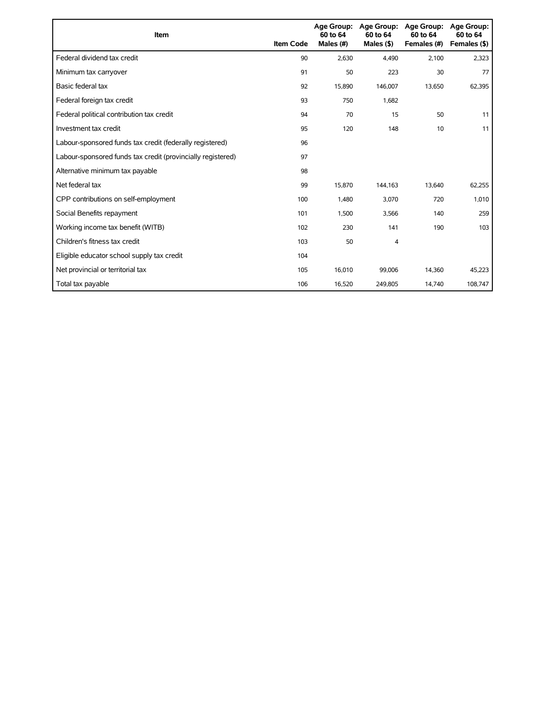| Item                                                        | <b>Item Code</b> | 60 to 64<br>Males (#) | Age Group: Age Group:<br>60 to 64<br>Males $(§)$ | Age Group:<br>60 to 64<br>Females (#) | Age Group:<br>60 to 64<br>Females (\$) |
|-------------------------------------------------------------|------------------|-----------------------|--------------------------------------------------|---------------------------------------|----------------------------------------|
| Federal dividend tax credit                                 | 90               | 2,630                 | 4,490                                            | 2,100                                 | 2,323                                  |
| Minimum tax carryover                                       | 91               | 50                    | 223                                              | 30                                    | 77                                     |
| Basic federal tax                                           | 92               | 15,890                | 146,007                                          | 13,650                                | 62,395                                 |
| Federal foreign tax credit                                  | 93               | 750                   | 1,682                                            |                                       |                                        |
| Federal political contribution tax credit                   | 94               | 70                    | 15                                               | 50                                    | 11                                     |
| Investment tax credit                                       | 95               | 120                   | 148                                              | 10                                    | 11                                     |
| Labour-sponsored funds tax credit (federally registered)    | 96               |                       |                                                  |                                       |                                        |
| Labour-sponsored funds tax credit (provincially registered) | 97               |                       |                                                  |                                       |                                        |
| Alternative minimum tax payable                             | 98               |                       |                                                  |                                       |                                        |
| Net federal tax                                             | 99               | 15,870                | 144,163                                          | 13,640                                | 62,255                                 |
| CPP contributions on self-employment                        | 100              | 1,480                 | 3,070                                            | 720                                   | 1,010                                  |
| Social Benefits repayment                                   | 101              | 1,500                 | 3,566                                            | 140                                   | 259                                    |
| Working income tax benefit (WITB)                           | 102              | 230                   | 141                                              | 190                                   | 103                                    |
| Children's fitness tax credit                               | 103              | 50                    | 4                                                |                                       |                                        |
| Eligible educator school supply tax credit                  | 104              |                       |                                                  |                                       |                                        |
| Net provincial or territorial tax                           | 105              | 16,010                | 99,006                                           | 14,360                                | 45,223                                 |
| Total tax payable                                           | 106              | 16,520                | 249,805                                          | 14,740                                | 108,747                                |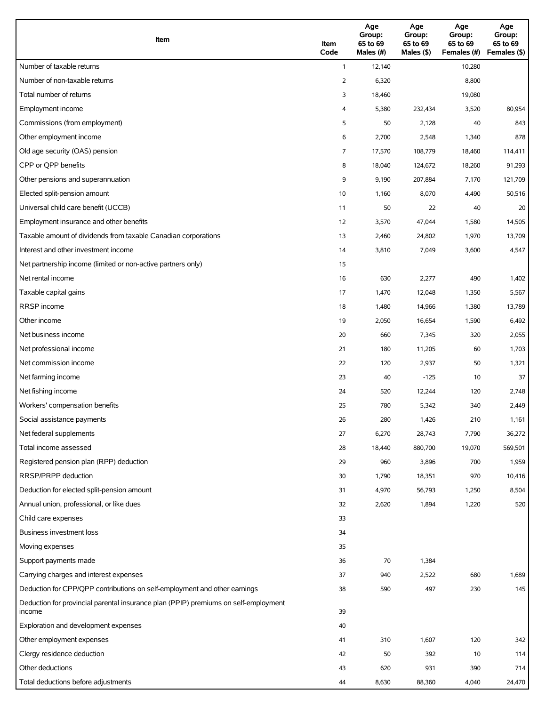| Item                                                                                          | Item<br>Code   | Age<br>Group:<br>65 to 69<br>Males (#) | Age<br>Group:<br>65 to 69<br>Males (\$) | Age<br>Group:<br>65 to 69<br>Females (#) | Age<br>Group:<br>65 to 69<br>Females (\$) |
|-----------------------------------------------------------------------------------------------|----------------|----------------------------------------|-----------------------------------------|------------------------------------------|-------------------------------------------|
| Number of taxable returns                                                                     | $\mathbf{1}$   | 12,140                                 |                                         | 10,280                                   |                                           |
| Number of non-taxable returns                                                                 | $\overline{2}$ | 6,320                                  |                                         | 8,800                                    |                                           |
| Total number of returns                                                                       | 3              | 18,460                                 |                                         | 19,080                                   |                                           |
| Employment income                                                                             | 4              | 5,380                                  | 232,434                                 | 3,520                                    | 80,954                                    |
| Commissions (from employment)                                                                 | 5              | 50                                     | 2,128                                   | 40                                       | 843                                       |
| Other employment income                                                                       | 6              | 2,700                                  | 2,548                                   | 1,340                                    | 878                                       |
| Old age security (OAS) pension                                                                | 7              | 17,570                                 | 108,779                                 | 18,460                                   | 114,411                                   |
| CPP or QPP benefits                                                                           | 8              | 18,040                                 | 124,672                                 | 18,260                                   | 91,293                                    |
| Other pensions and superannuation                                                             | 9              | 9,190                                  | 207,884                                 | 7,170                                    | 121,709                                   |
| Elected split-pension amount                                                                  | 10             | 1,160                                  | 8,070                                   | 4,490                                    | 50,516                                    |
| Universal child care benefit (UCCB)                                                           | 11             | 50                                     | 22                                      | 40                                       | 20                                        |
| Employment insurance and other benefits                                                       | 12             | 3,570                                  | 47,044                                  | 1,580                                    | 14,505                                    |
| Taxable amount of dividends from taxable Canadian corporations                                | 13             | 2,460                                  | 24,802                                  | 1,970                                    | 13,709                                    |
| Interest and other investment income                                                          | 14             | 3,810                                  | 7,049                                   | 3,600                                    | 4,547                                     |
| Net partnership income (limited or non-active partners only)                                  | 15             |                                        |                                         |                                          |                                           |
| Net rental income                                                                             | 16             | 630                                    | 2,277                                   | 490                                      | 1,402                                     |
| Taxable capital gains                                                                         | 17             | 1,470                                  | 12,048                                  | 1,350                                    | 5,567                                     |
| <b>RRSP</b> income                                                                            | 18             | 1,480                                  | 14,966                                  | 1,380                                    | 13,789                                    |
| Other income                                                                                  | 19             | 2,050                                  | 16,654                                  | 1,590                                    | 6,492                                     |
| Net business income                                                                           | 20             | 660                                    | 7,345                                   | 320                                      | 2,055                                     |
| Net professional income                                                                       | 21             | 180                                    | 11,205                                  | 60                                       | 1,703                                     |
| Net commission income                                                                         | 22             | 120                                    | 2,937                                   | 50                                       | 1,321                                     |
| Net farming income                                                                            | 23             | 40                                     | $-125$                                  | 10                                       | 37                                        |
| Net fishing income                                                                            | 24             | 520                                    | 12,244                                  | 120                                      | 2,748                                     |
| Workers' compensation benefits                                                                | 25             | 780                                    | 5,342                                   | 340                                      | 2,449                                     |
| Social assistance payments                                                                    | 26             | 280                                    | 1,426                                   | $210\,$                                  | 1,161                                     |
| Net federal supplements                                                                       | 27             | 6,270                                  | 28,743                                  | 7,790                                    | 36,272                                    |
| Total income assessed                                                                         | 28             | 18,440                                 | 880,700                                 | 19,070                                   | 569,501                                   |
| Registered pension plan (RPP) deduction                                                       | 29             | 960                                    | 3,896                                   | 700                                      | 1,959                                     |
| RRSP/PRPP deduction                                                                           | 30             | 1,790                                  | 18,351                                  | 970                                      | 10,416                                    |
| Deduction for elected split-pension amount                                                    | 31             | 4,970                                  | 56,793                                  | 1,250                                    | 8,504                                     |
| Annual union, professional, or like dues                                                      | 32             | 2,620                                  | 1,894                                   | 1,220                                    | 520                                       |
| Child care expenses                                                                           | 33             |                                        |                                         |                                          |                                           |
| <b>Business investment loss</b>                                                               | 34             |                                        |                                         |                                          |                                           |
| Moving expenses                                                                               | 35             |                                        |                                         |                                          |                                           |
| Support payments made                                                                         | 36             | 70                                     | 1,384                                   |                                          |                                           |
| Carrying charges and interest expenses                                                        | 37             | 940                                    | 2,522                                   | 680                                      | 1,689                                     |
| Deduction for CPP/QPP contributions on self-employment and other earnings                     | 38             | 590                                    | 497                                     | 230                                      | 145                                       |
| Deduction for provincial parental insurance plan (PPIP) premiums on self-employment<br>income | 39             |                                        |                                         |                                          |                                           |
| Exploration and development expenses                                                          | 40             |                                        |                                         |                                          |                                           |
| Other employment expenses                                                                     | 41             | 310                                    | 1,607                                   | 120                                      | 342                                       |
| Clergy residence deduction                                                                    | 42             | 50                                     | 392                                     | 10                                       | 114                                       |
| Other deductions                                                                              | 43             | 620                                    | 931                                     | 390                                      | 714                                       |
| Total deductions before adjustments                                                           | 44             | 8,630                                  | 88,360                                  | 4,040                                    | 24,470                                    |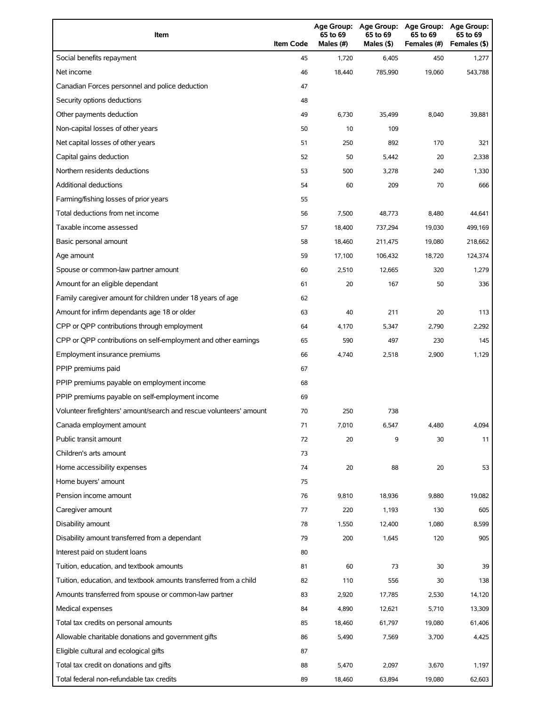| Item                                                                | <b>Item Code</b> | Age Group:<br>65 to 69<br>Males $(H)$ | <b>Age Group:</b><br>65 to 69<br>Males (\$) | <b>Age Group:</b><br>65 to 69<br>Females (#) | <b>Age Group:</b><br>65 to 69<br>Females (\$) |
|---------------------------------------------------------------------|------------------|---------------------------------------|---------------------------------------------|----------------------------------------------|-----------------------------------------------|
| Social benefits repayment                                           | 45               | 1,720                                 | 6,405                                       | 450                                          | 1,277                                         |
| Net income                                                          | 46               | 18,440                                | 785,990                                     | 19,060                                       | 543,788                                       |
| Canadian Forces personnel and police deduction                      | 47               |                                       |                                             |                                              |                                               |
| Security options deductions                                         | 48               |                                       |                                             |                                              |                                               |
| Other payments deduction                                            | 49               | 6,730                                 | 35,499                                      | 8,040                                        | 39,881                                        |
| Non-capital losses of other years                                   | 50               | 10                                    | 109                                         |                                              |                                               |
| Net capital losses of other years                                   | 51               | 250                                   | 892                                         | 170                                          | 321                                           |
| Capital gains deduction                                             | 52               | 50                                    | 5,442                                       | 20                                           | 2,338                                         |
| Northern residents deductions                                       | 53               | 500                                   | 3,278                                       | 240                                          | 1,330                                         |
| Additional deductions                                               | 54               | 60                                    | 209                                         | 70                                           | 666                                           |
| Farming/fishing losses of prior years                               | 55               |                                       |                                             |                                              |                                               |
| Total deductions from net income                                    | 56               | 7,500                                 | 48,773                                      | 8,480                                        | 44,641                                        |
| Taxable income assessed                                             | 57               | 18,400                                | 737,294                                     | 19,030                                       | 499,169                                       |
| Basic personal amount                                               | 58               | 18,460                                | 211,475                                     | 19,080                                       | 218,662                                       |
| Age amount                                                          | 59               | 17,100                                | 106,432                                     | 18,720                                       | 124,374                                       |
| Spouse or common-law partner amount                                 | 60               | 2,510                                 | 12,665                                      | 320                                          | 1,279                                         |
| Amount for an eligible dependant                                    | 61               | 20                                    | 167                                         | 50                                           | 336                                           |
| Family caregiver amount for children under 18 years of age          | 62               |                                       |                                             |                                              |                                               |
| Amount for infirm dependants age 18 or older                        | 63               | 40                                    | 211                                         | 20                                           | 113                                           |
| CPP or QPP contributions through employment                         | 64               | 4,170                                 | 5,347                                       | 2,790                                        | 2,292                                         |
| CPP or QPP contributions on self-employment and other earnings      | 65               | 590                                   | 497                                         | 230                                          | 145                                           |
| Employment insurance premiums                                       | 66               | 4,740                                 | 2,518                                       | 2,900                                        | 1,129                                         |
| PPIP premiums paid                                                  | 67               |                                       |                                             |                                              |                                               |
| PPIP premiums payable on employment income                          | 68               |                                       |                                             |                                              |                                               |
| PPIP premiums payable on self-employment income                     | 69               |                                       |                                             |                                              |                                               |
| Volunteer firefighters' amount/search and rescue volunteers' amount | 70               | 250                                   | 738                                         |                                              |                                               |
| Canada employment amount                                            | 71               | 7,010                                 | 6,547                                       | 4,480                                        | 4,094                                         |
| Public transit amount                                               | 72               | 20                                    | 9                                           | 30                                           | 11                                            |
| Children's arts amount                                              | 73               |                                       |                                             |                                              |                                               |
| Home accessibility expenses                                         | 74               | 20                                    | 88                                          | 20                                           | 53                                            |
| Home buyers' amount                                                 | 75               |                                       |                                             |                                              |                                               |
| Pension income amount                                               | 76               | 9,810                                 | 18,936                                      | 9,880                                        | 19,082                                        |
| Caregiver amount                                                    | 77               | 220                                   | 1,193                                       | 130                                          | 605                                           |
| Disability amount                                                   | 78               | 1,550                                 | 12,400                                      | 1,080                                        | 8,599                                         |
| Disability amount transferred from a dependant                      | 79               | 200                                   | 1,645                                       | 120                                          | 905                                           |
| Interest paid on student loans                                      | 80               |                                       |                                             |                                              |                                               |
| Tuition, education, and textbook amounts                            | 81               | 60                                    | 73                                          | 30                                           | 39                                            |
| Tuition, education, and textbook amounts transferred from a child   | 82               | 110                                   | 556                                         | 30                                           | 138                                           |
| Amounts transferred from spouse or common-law partner               | 83               | 2,920                                 | 17,785                                      | 2,530                                        | 14,120                                        |
| Medical expenses                                                    | 84               | 4,890                                 | 12,621                                      | 5,710                                        | 13,309                                        |
| Total tax credits on personal amounts                               | 85               | 18,460                                | 61,797                                      | 19,080                                       | 61,406                                        |
| Allowable charitable donations and government gifts                 | 86               | 5,490                                 | 7,569                                       | 3,700                                        | 4,425                                         |
| Eligible cultural and ecological gifts                              | 87               |                                       |                                             |                                              |                                               |
| Total tax credit on donations and gifts                             | 88               | 5,470                                 | 2,097                                       | 3,670                                        | 1,197                                         |
| Total federal non-refundable tax credits                            | 89               | 18,460                                | 63,894                                      | 19,080                                       | 62,603                                        |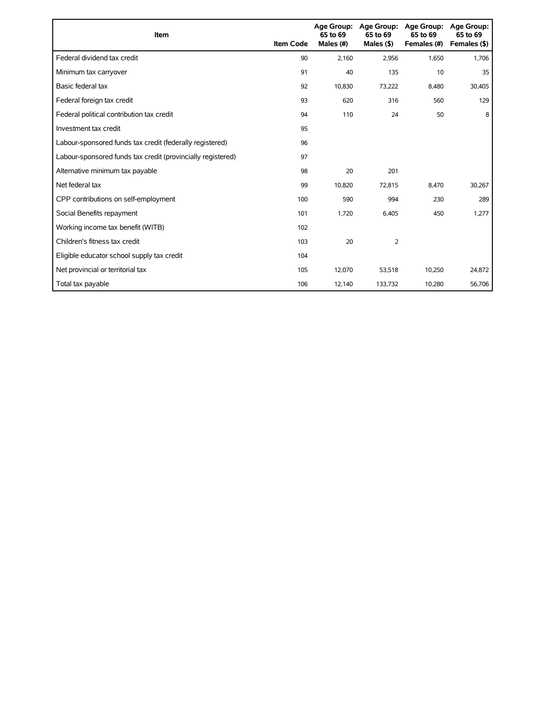| Item                                                        | <b>Item Code</b> | 65 to 69<br>Males (#) | Age Group: Age Group:<br>65 to 69<br>Males $($ \$ $)$ | <b>Age Group:</b><br>65 to 69<br>Females (#) | Age Group:<br>65 to 69<br>Females (\$) |
|-------------------------------------------------------------|------------------|-----------------------|-------------------------------------------------------|----------------------------------------------|----------------------------------------|
| Federal dividend tax credit                                 | 90               | 2,160                 | 2,956                                                 | 1,650                                        | 1,706                                  |
| Minimum tax carryover                                       | 91               | 40                    | 135                                                   | 10                                           | 35                                     |
| Basic federal tax                                           | 92               | 10,830                | 73,222                                                | 8,480                                        | 30,405                                 |
| Federal foreign tax credit                                  | 93               | 620                   | 316                                                   | 560                                          | 129                                    |
| Federal political contribution tax credit                   | 94               | 110                   | 24                                                    | 50                                           | 8                                      |
| Investment tax credit                                       | 95               |                       |                                                       |                                              |                                        |
| Labour-sponsored funds tax credit (federally registered)    | 96               |                       |                                                       |                                              |                                        |
| Labour-sponsored funds tax credit (provincially registered) | 97               |                       |                                                       |                                              |                                        |
| Alternative minimum tax payable                             | 98               | 20                    | 201                                                   |                                              |                                        |
| Net federal tax                                             | 99               | 10,820                | 72,815                                                | 8,470                                        | 30,267                                 |
| CPP contributions on self-employment                        | 100              | 590                   | 994                                                   | 230                                          | 289                                    |
| Social Benefits repayment                                   | 101              | 1,720                 | 6,405                                                 | 450                                          | 1,277                                  |
| Working income tax benefit (WITB)                           | 102              |                       |                                                       |                                              |                                        |
| Children's fitness tax credit                               | 103              | 20                    | 2                                                     |                                              |                                        |
| Eligible educator school supply tax credit                  | 104              |                       |                                                       |                                              |                                        |
| Net provincial or territorial tax                           | 105              | 12,070                | 53,518                                                | 10,250                                       | 24,872                                 |
| Total tax payable                                           | 106              | 12,140                | 133,732                                               | 10,280                                       | 56,706                                 |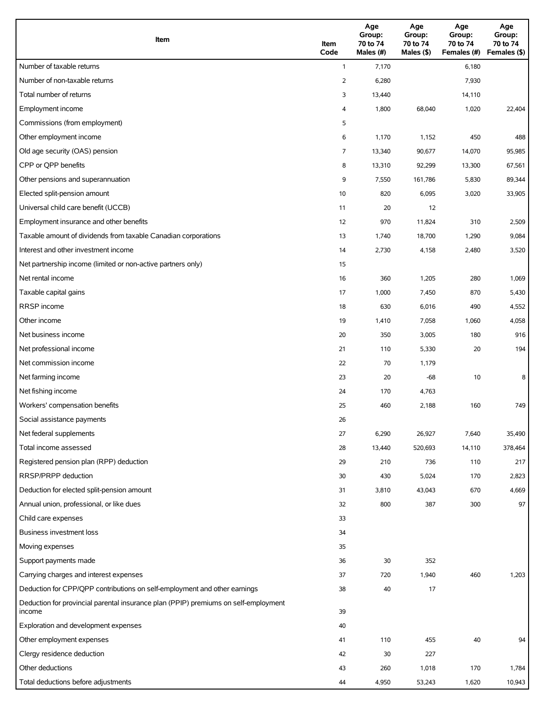| Item                                                                                          | Item<br>Code   | Age<br>Group:<br>70 to 74<br>Males (#) | Age<br>Group:<br>70 to 74<br>Males (\$) | Age<br>Group:<br>70 to 74<br>Females (#) | Age<br>Group:<br>70 to 74<br>Females (\$) |
|-----------------------------------------------------------------------------------------------|----------------|----------------------------------------|-----------------------------------------|------------------------------------------|-------------------------------------------|
| Number of taxable returns                                                                     | $\mathbf{1}$   | 7,170                                  |                                         | 6,180                                    |                                           |
| Number of non-taxable returns                                                                 | $\overline{2}$ | 6,280                                  |                                         | 7,930                                    |                                           |
| Total number of returns                                                                       | 3              | 13,440                                 |                                         | 14,110                                   |                                           |
| Employment income                                                                             | 4              | 1,800                                  | 68,040                                  | 1,020                                    | 22,404                                    |
| Commissions (from employment)                                                                 | 5              |                                        |                                         |                                          |                                           |
| Other employment income                                                                       | 6              | 1,170                                  | 1,152                                   | 450                                      | 488                                       |
| Old age security (OAS) pension                                                                | 7              | 13,340                                 | 90,677                                  | 14,070                                   | 95,985                                    |
| CPP or QPP benefits                                                                           | 8              | 13,310                                 | 92,299                                  | 13,300                                   | 67,561                                    |
| Other pensions and superannuation                                                             | 9              | 7,550                                  | 161,786                                 | 5,830                                    | 89,344                                    |
| Elected split-pension amount                                                                  | 10             | 820                                    | 6,095                                   | 3,020                                    | 33,905                                    |
| Universal child care benefit (UCCB)                                                           | 11             | 20                                     | 12                                      |                                          |                                           |
| Employment insurance and other benefits                                                       | 12             | 970                                    | 11,824                                  | 310                                      | 2,509                                     |
| Taxable amount of dividends from taxable Canadian corporations                                | 13             | 1,740                                  | 18,700                                  | 1,290                                    | 9,084                                     |
| Interest and other investment income                                                          | 14             | 2,730                                  | 4,158                                   | 2,480                                    | 3,520                                     |
| Net partnership income (limited or non-active partners only)                                  | 15             |                                        |                                         |                                          |                                           |
| Net rental income                                                                             | 16             | 360                                    | 1,205                                   | 280                                      | 1,069                                     |
| Taxable capital gains                                                                         | 17             | 1,000                                  | 7,450                                   | 870                                      | 5,430                                     |
| <b>RRSP</b> income                                                                            | 18             | 630                                    | 6,016                                   | 490                                      | 4,552                                     |
| Other income                                                                                  | 19             | 1,410                                  | 7,058                                   | 1,060                                    | 4,058                                     |
| Net business income                                                                           | 20             | 350                                    | 3,005                                   | 180                                      | 916                                       |
| Net professional income                                                                       | 21             | 110                                    | 5,330                                   | 20                                       | 194                                       |
| Net commission income                                                                         | 22             | 70                                     | 1,179                                   |                                          |                                           |
| Net farming income                                                                            | 23             | 20                                     | $-68$                                   | 10                                       | 8                                         |
| Net fishing income                                                                            | 24             | 170                                    | 4,763                                   |                                          |                                           |
| Workers' compensation benefits                                                                | 25             | 460                                    | 2,188                                   | 160                                      | 749                                       |
| Social assistance payments                                                                    | 26             |                                        |                                         |                                          |                                           |
| Net federal supplements                                                                       | 27             | 6,290                                  | 26,927                                  | 7,640                                    | 35,490                                    |
| Total income assessed                                                                         | 28             | 13,440                                 | 520,693                                 | 14,110                                   | 378,464                                   |
| Registered pension plan (RPP) deduction                                                       | 29             | 210                                    | 736                                     | 110                                      | 217                                       |
| RRSP/PRPP deduction                                                                           | 30             | 430                                    | 5,024                                   | 170                                      | 2,823                                     |
| Deduction for elected split-pension amount                                                    | 31             | 3,810                                  | 43,043                                  | 670                                      | 4,669                                     |
| Annual union, professional, or like dues                                                      | 32             | 800                                    | 387                                     | 300                                      | 97                                        |
| Child care expenses                                                                           | 33             |                                        |                                         |                                          |                                           |
| Business investment loss                                                                      | 34             |                                        |                                         |                                          |                                           |
| Moving expenses                                                                               | 35             |                                        |                                         |                                          |                                           |
| Support payments made                                                                         | 36             | 30                                     | 352                                     |                                          |                                           |
| Carrying charges and interest expenses                                                        | 37             | 720                                    | 1,940                                   | 460                                      | 1,203                                     |
| Deduction for CPP/QPP contributions on self-employment and other earnings                     | 38             | 40                                     | 17                                      |                                          |                                           |
| Deduction for provincial parental insurance plan (PPIP) premiums on self-employment<br>income | 39             |                                        |                                         |                                          |                                           |
| Exploration and development expenses                                                          | 40             |                                        |                                         |                                          |                                           |
| Other employment expenses                                                                     | 41             | 110                                    | 455                                     | 40                                       | 94                                        |
| Clergy residence deduction                                                                    | 42             | 30                                     | 227                                     |                                          |                                           |
| Other deductions                                                                              | 43             | 260                                    | 1,018                                   | 170                                      | 1,784                                     |
| Total deductions before adjustments                                                           | 44             | 4,950                                  | 53,243                                  | 1,620                                    | 10,943                                    |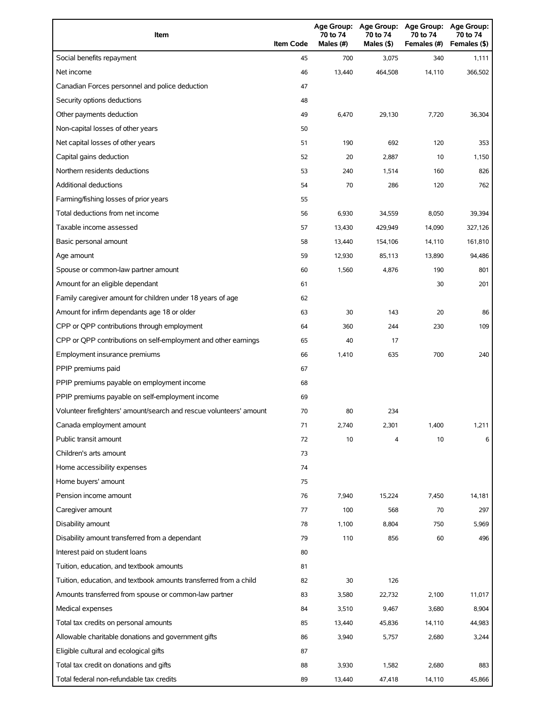| Item                                                                | <b>Item Code</b> | 70 to 74<br>Males (#) | 70 to 74<br>Males (\$) | Age Group: Age Group: Age Group:<br>70 to 74<br>Females (#) | <b>Age Group:</b><br>70 to 74<br>Females (\$) |
|---------------------------------------------------------------------|------------------|-----------------------|------------------------|-------------------------------------------------------------|-----------------------------------------------|
| Social benefits repayment                                           | 45               | 700                   | 3,075                  | 340                                                         | 1,111                                         |
| Net income                                                          | 46               | 13,440                | 464,508                | 14,110                                                      | 366,502                                       |
| Canadian Forces personnel and police deduction                      | 47               |                       |                        |                                                             |                                               |
| Security options deductions                                         | 48               |                       |                        |                                                             |                                               |
| Other payments deduction                                            | 49               | 6,470                 | 29,130                 | 7,720                                                       | 36,304                                        |
| Non-capital losses of other years                                   | 50               |                       |                        |                                                             |                                               |
| Net capital losses of other years                                   | 51               | 190                   | 692                    | 120                                                         | 353                                           |
| Capital gains deduction                                             | 52               | 20                    | 2,887                  | 10                                                          | 1,150                                         |
| Northern residents deductions                                       | 53               | 240                   | 1,514                  | 160                                                         | 826                                           |
| Additional deductions                                               | 54               | 70                    | 286                    | 120                                                         | 762                                           |
| Farming/fishing losses of prior years                               | 55               |                       |                        |                                                             |                                               |
| Total deductions from net income                                    | 56               | 6,930                 | 34,559                 | 8,050                                                       | 39,394                                        |
| Taxable income assessed                                             | 57               | 13,430                | 429,949                | 14,090                                                      | 327,126                                       |
| Basic personal amount                                               | 58               | 13,440                | 154,106                | 14,110                                                      | 161,810                                       |
| Age amount                                                          | 59               | 12,930                | 85,113                 | 13,890                                                      | 94,486                                        |
| Spouse or common-law partner amount                                 | 60               | 1,560                 | 4,876                  | 190                                                         | 801                                           |
| Amount for an eligible dependant                                    | 61               |                       |                        | 30                                                          | 201                                           |
| Family caregiver amount for children under 18 years of age          | 62               |                       |                        |                                                             |                                               |
| Amount for infirm dependants age 18 or older                        | 63               | 30                    | 143                    | 20                                                          | 86                                            |
| CPP or QPP contributions through employment                         | 64               | 360                   | 244                    | 230                                                         | 109                                           |
| CPP or QPP contributions on self-employment and other earnings      | 65               | 40                    | 17                     |                                                             |                                               |
| Employment insurance premiums                                       | 66               | 1,410                 | 635                    | 700                                                         | 240                                           |
| PPIP premiums paid                                                  | 67               |                       |                        |                                                             |                                               |
| PPIP premiums payable on employment income                          | 68               |                       |                        |                                                             |                                               |
| PPIP premiums payable on self-employment income                     | 69               |                       |                        |                                                             |                                               |
| Volunteer firefighters' amount/search and rescue volunteers' amount | 70               | 80                    | 234                    |                                                             |                                               |
| Canada employment amount                                            | 71               | 2,740                 | 2,301                  | 1,400                                                       | 1,211                                         |
| Public transit amount                                               | 72               | 10                    | 4                      | 10                                                          | 6                                             |
| Children's arts amount                                              | 73               |                       |                        |                                                             |                                               |
| Home accessibility expenses                                         | 74               |                       |                        |                                                             |                                               |
| Home buyers' amount                                                 | 75               |                       |                        |                                                             |                                               |
| Pension income amount                                               | 76               | 7,940                 | 15,224                 | 7,450                                                       | 14,181                                        |
| Caregiver amount                                                    | 77               | 100                   | 568                    | 70                                                          | 297                                           |
| Disability amount                                                   | 78               | 1,100                 | 8,804                  | 750                                                         | 5,969                                         |
| Disability amount transferred from a dependant                      | 79               | 110                   | 856                    | 60                                                          | 496                                           |
| Interest paid on student loans                                      | 80               |                       |                        |                                                             |                                               |
| Tuition, education, and textbook amounts                            | 81               |                       |                        |                                                             |                                               |
| Tuition, education, and textbook amounts transferred from a child   | 82               | 30                    | 126                    |                                                             |                                               |
| Amounts transferred from spouse or common-law partner               | 83               | 3,580                 | 22,732                 | 2,100                                                       | 11,017                                        |
| Medical expenses                                                    | 84               | 3,510                 | 9,467                  | 3,680                                                       | 8,904                                         |
| Total tax credits on personal amounts                               | 85               | 13,440                | 45,836                 | 14,110                                                      | 44,983                                        |
| Allowable charitable donations and government gifts                 | 86               | 3,940                 | 5,757                  | 2,680                                                       | 3,244                                         |
| Eligible cultural and ecological gifts                              | 87               |                       |                        |                                                             |                                               |
| Total tax credit on donations and gifts                             | 88               | 3,930                 | 1,582                  | 2,680                                                       | 883                                           |
| Total federal non-refundable tax credits                            | 89               | 13,440                | 47,418                 | 14,110                                                      | 45,866                                        |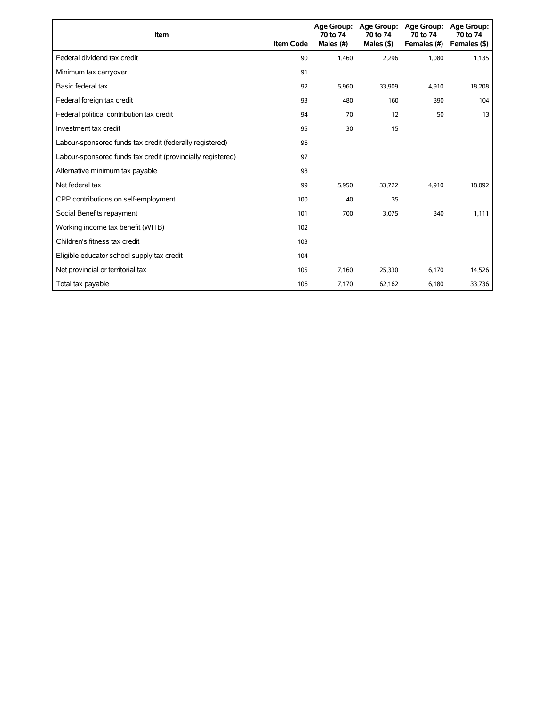| Item                                                        | <b>Item Code</b> | 70 to 74<br>Males (#) | Age Group: Age Group:<br>70 to 74<br>Males $($ \$) | <b>Age Group:</b><br>70 to 74<br>Females (#) | <b>Age Group:</b><br>70 to 74<br>Females (\$) |
|-------------------------------------------------------------|------------------|-----------------------|----------------------------------------------------|----------------------------------------------|-----------------------------------------------|
| Federal dividend tax credit                                 | 90               | 1,460                 | 2,296                                              | 1,080                                        | 1,135                                         |
| Minimum tax carryover                                       | 91               |                       |                                                    |                                              |                                               |
| Basic federal tax                                           | 92               | 5,960                 | 33,909                                             | 4,910                                        | 18,208                                        |
| Federal foreign tax credit                                  | 93               | 480                   | 160                                                | 390                                          | 104                                           |
| Federal political contribution tax credit                   | 94               | 70                    | 12                                                 | 50                                           | 13                                            |
| Investment tax credit                                       | 95               | 30                    | 15                                                 |                                              |                                               |
| Labour-sponsored funds tax credit (federally registered)    | 96               |                       |                                                    |                                              |                                               |
| Labour-sponsored funds tax credit (provincially registered) | 97               |                       |                                                    |                                              |                                               |
| Alternative minimum tax payable                             | 98               |                       |                                                    |                                              |                                               |
| Net federal tax                                             | 99               | 5,950                 | 33,722                                             | 4,910                                        | 18,092                                        |
| CPP contributions on self-employment                        | 100              | 40                    | 35                                                 |                                              |                                               |
| Social Benefits repayment                                   | 101              | 700                   | 3,075                                              | 340                                          | 1,111                                         |
| Working income tax benefit (WITB)                           | 102              |                       |                                                    |                                              |                                               |
| Children's fitness tax credit                               | 103              |                       |                                                    |                                              |                                               |
| Eligible educator school supply tax credit                  | 104              |                       |                                                    |                                              |                                               |
| Net provincial or territorial tax                           | 105              | 7,160                 | 25,330                                             | 6,170                                        | 14,526                                        |
| Total tax payable                                           | 106              | 7,170                 | 62,162                                             | 6,180                                        | 33,736                                        |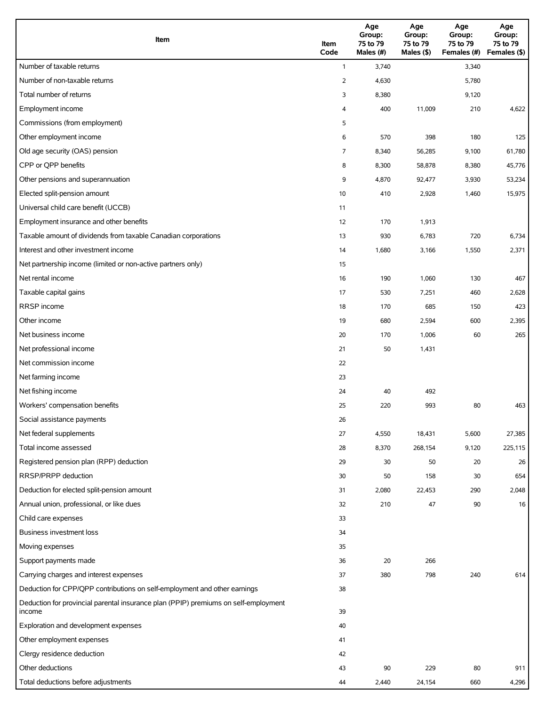| Item                                                                                          | Item<br>Code   | Age<br>Group:<br>75 to 79<br>Males (#) | Age<br>Group:<br>75 to 79<br>Males (\$) | Age<br>Group:<br>75 to 79<br>Females (#) | Age<br>Group:<br>75 to 79<br>Females (\$) |
|-----------------------------------------------------------------------------------------------|----------------|----------------------------------------|-----------------------------------------|------------------------------------------|-------------------------------------------|
| Number of taxable returns                                                                     | $\mathbf{1}$   | 3,740                                  |                                         | 3,340                                    |                                           |
| Number of non-taxable returns                                                                 | $\overline{2}$ | 4,630                                  |                                         | 5,780                                    |                                           |
| Total number of returns                                                                       | 3              | 8,380                                  |                                         | 9,120                                    |                                           |
| Employment income                                                                             | 4              | 400                                    | 11,009                                  | 210                                      | 4,622                                     |
| Commissions (from employment)                                                                 | 5              |                                        |                                         |                                          |                                           |
| Other employment income                                                                       | 6              | 570                                    | 398                                     | 180                                      | 125                                       |
| Old age security (OAS) pension                                                                | 7              | 8,340                                  | 56,285                                  | 9,100                                    | 61,780                                    |
| CPP or QPP benefits                                                                           | 8              | 8,300                                  | 58,878                                  | 8,380                                    | 45,776                                    |
| Other pensions and superannuation                                                             | 9              | 4,870                                  | 92,477                                  | 3,930                                    | 53,234                                    |
| Elected split-pension amount                                                                  | 10             | 410                                    | 2,928                                   | 1,460                                    | 15,975                                    |
| Universal child care benefit (UCCB)                                                           | 11             |                                        |                                         |                                          |                                           |
| Employment insurance and other benefits                                                       | 12             | 170                                    | 1,913                                   |                                          |                                           |
| Taxable amount of dividends from taxable Canadian corporations                                | 13             | 930                                    | 6,783                                   | 720                                      | 6,734                                     |
| Interest and other investment income                                                          | 14             | 1,680                                  | 3,166                                   | 1,550                                    | 2,371                                     |
| Net partnership income (limited or non-active partners only)                                  | 15             |                                        |                                         |                                          |                                           |
| Net rental income                                                                             | 16             | 190                                    | 1,060                                   | 130                                      | 467                                       |
| Taxable capital gains                                                                         | 17             | 530                                    | 7,251                                   | 460                                      | 2,628                                     |
| <b>RRSP</b> income                                                                            | 18             | 170                                    | 685                                     | 150                                      | 423                                       |
| Other income                                                                                  | 19             | 680                                    | 2,594                                   | 600                                      | 2,395                                     |
| Net business income                                                                           | 20             | 170                                    | 1,006                                   | 60                                       | 265                                       |
| Net professional income                                                                       | 21             | 50                                     | 1,431                                   |                                          |                                           |
| Net commission income                                                                         | 22             |                                        |                                         |                                          |                                           |
| Net farming income                                                                            | 23             |                                        |                                         |                                          |                                           |
| Net fishing income                                                                            | 24             | 40                                     | 492                                     |                                          |                                           |
| Workers' compensation benefits                                                                | 25             | 220                                    | 993                                     | 80                                       | 463                                       |
| Social assistance payments                                                                    | 26             |                                        |                                         |                                          |                                           |
| Net federal supplements                                                                       | 27             | 4,550                                  | 18,431                                  | 5,600                                    | 27,385                                    |
| Total income assessed                                                                         | 28             | 8,370                                  | 268,154                                 | 9,120                                    | 225,115                                   |
| Registered pension plan (RPP) deduction                                                       | 29             | 30                                     | 50                                      | 20                                       | 26                                        |
| RRSP/PRPP deduction                                                                           | 30             | 50                                     | 158                                     | 30                                       | 654                                       |
| Deduction for elected split-pension amount                                                    | 31             | 2,080                                  | 22,453                                  | 290                                      | 2,048                                     |
| Annual union, professional, or like dues                                                      | 32             | 210                                    | 47                                      | 90                                       | 16                                        |
| Child care expenses                                                                           | 33             |                                        |                                         |                                          |                                           |
| Business investment loss                                                                      | 34             |                                        |                                         |                                          |                                           |
| Moving expenses                                                                               | 35             |                                        |                                         |                                          |                                           |
| Support payments made                                                                         | 36             | 20                                     | 266                                     |                                          |                                           |
| Carrying charges and interest expenses                                                        | 37             | 380                                    | 798                                     | 240                                      | 614                                       |
| Deduction for CPP/QPP contributions on self-employment and other earnings                     | 38             |                                        |                                         |                                          |                                           |
| Deduction for provincial parental insurance plan (PPIP) premiums on self-employment<br>income | 39             |                                        |                                         |                                          |                                           |
| Exploration and development expenses                                                          | 40             |                                        |                                         |                                          |                                           |
| Other employment expenses                                                                     | 41             |                                        |                                         |                                          |                                           |
| Clergy residence deduction                                                                    | 42             |                                        |                                         |                                          |                                           |
| Other deductions                                                                              | 43             | 90                                     | 229                                     | 80                                       | 911                                       |
| Total deductions before adjustments                                                           | 44             | 2,440                                  | 24,154                                  | 660                                      | 4,296                                     |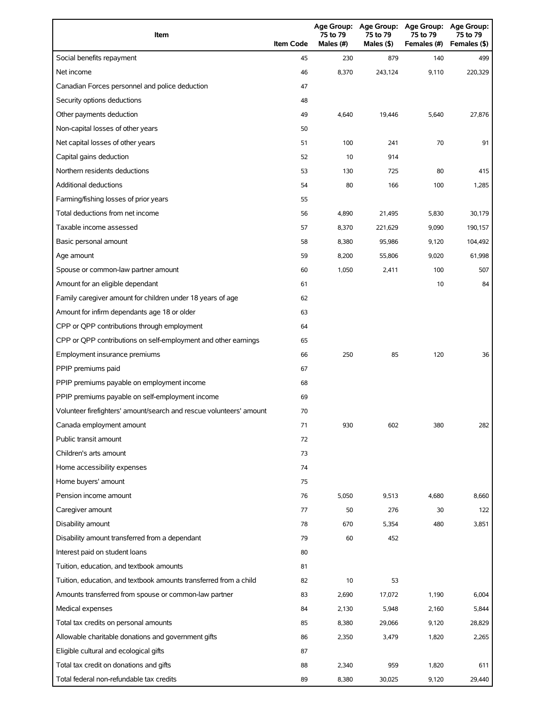| Item                                                                | <b>Item Code</b> | 75 to 79<br>Males (#) | 75 to 79<br>Males (\$) | Age Group: Age Group: Age Group:<br>75 to 79<br>Females (#) | Age Group:<br>75 to 79<br>Females (\$) |
|---------------------------------------------------------------------|------------------|-----------------------|------------------------|-------------------------------------------------------------|----------------------------------------|
| Social benefits repayment                                           | 45               | 230                   | 879                    | 140                                                         | 499                                    |
| Net income                                                          | 46               | 8,370                 | 243,124                | 9,110                                                       | 220,329                                |
| Canadian Forces personnel and police deduction                      | 47               |                       |                        |                                                             |                                        |
| Security options deductions                                         | 48               |                       |                        |                                                             |                                        |
| Other payments deduction                                            | 49               | 4,640                 | 19,446                 | 5,640                                                       | 27,876                                 |
| Non-capital losses of other years                                   | 50               |                       |                        |                                                             |                                        |
| Net capital losses of other years                                   | 51               | 100                   | 241                    | 70                                                          | 91                                     |
| Capital gains deduction                                             | 52               | 10                    | 914                    |                                                             |                                        |
| Northern residents deductions                                       | 53               | 130                   | 725                    | 80                                                          | 415                                    |
| Additional deductions                                               | 54               | 80                    | 166                    | 100                                                         | 1,285                                  |
| Farming/fishing losses of prior years                               | 55               |                       |                        |                                                             |                                        |
| Total deductions from net income                                    | 56               | 4,890                 | 21,495                 | 5,830                                                       | 30,179                                 |
| Taxable income assessed                                             | 57               | 8,370                 | 221,629                | 9,090                                                       | 190,157                                |
| Basic personal amount                                               | 58               | 8,380                 | 95,986                 | 9,120                                                       | 104,492                                |
| Age amount                                                          | 59               | 8,200                 | 55,806                 | 9,020                                                       | 61,998                                 |
| Spouse or common-law partner amount                                 | 60               | 1,050                 | 2,411                  | 100                                                         | 507                                    |
| Amount for an eligible dependant                                    | 61               |                       |                        | 10                                                          | 84                                     |
| Family caregiver amount for children under 18 years of age          | 62               |                       |                        |                                                             |                                        |
| Amount for infirm dependants age 18 or older                        | 63               |                       |                        |                                                             |                                        |
| CPP or QPP contributions through employment                         | 64               |                       |                        |                                                             |                                        |
| CPP or QPP contributions on self-employment and other earnings      | 65               |                       |                        |                                                             |                                        |
| Employment insurance premiums                                       | 66               | 250                   | 85                     | 120                                                         | 36                                     |
| PPIP premiums paid                                                  | 67               |                       |                        |                                                             |                                        |
| PPIP premiums payable on employment income                          | 68               |                       |                        |                                                             |                                        |
| PPIP premiums payable on self-employment income                     | 69               |                       |                        |                                                             |                                        |
| Volunteer firefighters' amount/search and rescue volunteers' amount | 70               |                       |                        |                                                             |                                        |
| Canada employment amount                                            | 71               | 930                   | 602                    | 380                                                         | 282                                    |
| Public transit amount                                               | 72               |                       |                        |                                                             |                                        |
| Children's arts amount                                              | 73               |                       |                        |                                                             |                                        |
| Home accessibility expenses                                         | 74               |                       |                        |                                                             |                                        |
| Home buyers' amount                                                 | 75               |                       |                        |                                                             |                                        |
| Pension income amount                                               | 76               | 5,050                 | 9,513                  | 4,680                                                       | 8,660                                  |
| Caregiver amount                                                    | 77               | 50                    | 276                    | 30                                                          | 122                                    |
| Disability amount                                                   | 78               | 670                   | 5,354                  | 480                                                         | 3,851                                  |
| Disability amount transferred from a dependant                      | 79               | 60                    | 452                    |                                                             |                                        |
| Interest paid on student loans                                      | 80               |                       |                        |                                                             |                                        |
| Tuition, education, and textbook amounts                            | 81               |                       |                        |                                                             |                                        |
| Tuition, education, and textbook amounts transferred from a child   | 82               | 10                    | 53                     |                                                             |                                        |
| Amounts transferred from spouse or common-law partner               | 83               | 2,690                 | 17,072                 | 1,190                                                       | 6,004                                  |
| Medical expenses                                                    | 84               | 2,130                 | 5,948                  | 2,160                                                       | 5,844                                  |
| Total tax credits on personal amounts                               | 85               | 8,380                 | 29,066                 | 9,120                                                       | 28,829                                 |
| Allowable charitable donations and government gifts                 | 86               | 2,350                 | 3,479                  | 1,820                                                       | 2,265                                  |
| Eligible cultural and ecological gifts                              | 87               |                       |                        |                                                             |                                        |
| Total tax credit on donations and gifts                             | 88               | 2,340                 | 959                    | 1,820                                                       | 611                                    |
| Total federal non-refundable tax credits                            | 89               | 8,380                 | 30,025                 | 9,120                                                       | 29,440                                 |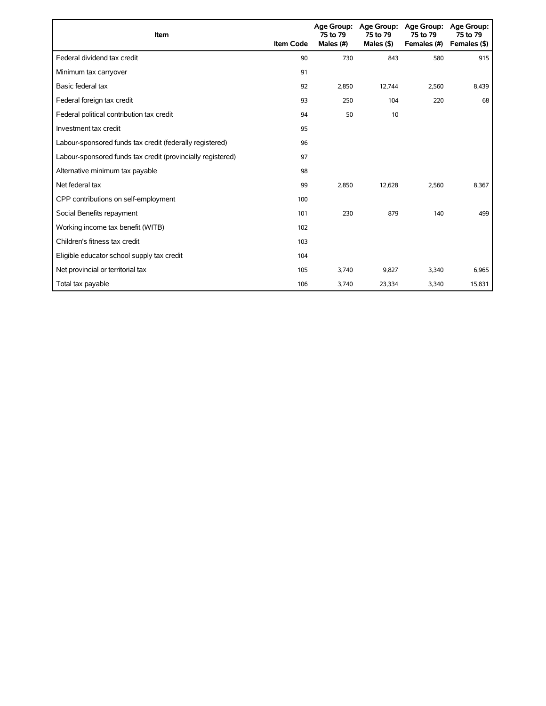| Item                                                        | <b>Item Code</b> | 75 to 79<br>Males (#) | Age Group: Age Group:<br>75 to 79<br>Males $($ \$ $)$ | <b>Age Group:</b><br>75 to 79<br>Females (#) | Age Group:<br>75 to 79<br>Females (\$) |
|-------------------------------------------------------------|------------------|-----------------------|-------------------------------------------------------|----------------------------------------------|----------------------------------------|
| Federal dividend tax credit                                 | 90               | 730                   | 843                                                   | 580                                          | 915                                    |
| Minimum tax carryover                                       | 91               |                       |                                                       |                                              |                                        |
| Basic federal tax                                           | 92               | 2,850                 | 12,744                                                | 2,560                                        | 8,439                                  |
| Federal foreign tax credit                                  | 93               | 250                   | 104                                                   | 220                                          | 68                                     |
| Federal political contribution tax credit                   | 94               | 50                    | 10                                                    |                                              |                                        |
| Investment tax credit                                       | 95               |                       |                                                       |                                              |                                        |
| Labour-sponsored funds tax credit (federally registered)    | 96               |                       |                                                       |                                              |                                        |
| Labour-sponsored funds tax credit (provincially registered) | 97               |                       |                                                       |                                              |                                        |
| Alternative minimum tax payable                             | 98               |                       |                                                       |                                              |                                        |
| Net federal tax                                             | 99               | 2,850                 | 12,628                                                | 2,560                                        | 8,367                                  |
| CPP contributions on self-employment                        | 100              |                       |                                                       |                                              |                                        |
| Social Benefits repayment                                   | 101              | 230                   | 879                                                   | 140                                          | 499                                    |
| Working income tax benefit (WITB)                           | 102              |                       |                                                       |                                              |                                        |
| Children's fitness tax credit                               | 103              |                       |                                                       |                                              |                                        |
| Eligible educator school supply tax credit                  | 104              |                       |                                                       |                                              |                                        |
| Net provincial or territorial tax                           | 105              | 3,740                 | 9,827                                                 | 3,340                                        | 6,965                                  |
| Total tax payable                                           | 106              | 3,740                 | 23,334                                                | 3,340                                        | 15,831                                 |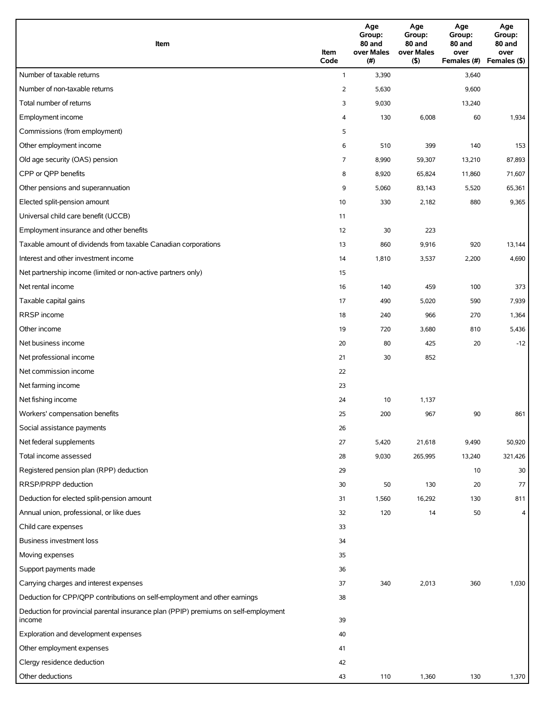| Item                                                                                          | Item<br>Code   | Age<br>Group:<br>80 and<br>over Males<br>(#) | Age<br>Group:<br>80 and<br>over Males<br>(5) | Age<br>Group:<br>80 and<br>over<br>Females (#) | Age<br>Group:<br>80 and<br>over<br>Females (\$) |
|-----------------------------------------------------------------------------------------------|----------------|----------------------------------------------|----------------------------------------------|------------------------------------------------|-------------------------------------------------|
| Number of taxable returns                                                                     | $\mathbf{1}$   | 3,390                                        |                                              | 3,640                                          |                                                 |
| Number of non-taxable returns                                                                 | $\overline{2}$ | 5,630                                        |                                              | 9,600                                          |                                                 |
| Total number of returns                                                                       | 3              | 9,030                                        |                                              | 13,240                                         |                                                 |
| <b>Employment income</b>                                                                      | 4              | 130                                          | 6,008                                        | 60                                             | 1,934                                           |
| Commissions (from employment)                                                                 | 5              |                                              |                                              |                                                |                                                 |
| Other employment income                                                                       | 6              | 510                                          | 399                                          | 140                                            | 153                                             |
| Old age security (OAS) pension                                                                | 7              | 8,990                                        | 59,307                                       | 13,210                                         | 87,893                                          |
| CPP or QPP benefits                                                                           | 8              | 8,920                                        | 65,824                                       | 11,860                                         | 71,607                                          |
| Other pensions and superannuation                                                             | 9              | 5,060                                        | 83,143                                       | 5,520                                          | 65,361                                          |
| Elected split-pension amount                                                                  | 10             | 330                                          | 2,182                                        | 880                                            | 9,365                                           |
| Universal child care benefit (UCCB)                                                           | 11             |                                              |                                              |                                                |                                                 |
| Employment insurance and other benefits                                                       | 12             | 30                                           | 223                                          |                                                |                                                 |
| Taxable amount of dividends from taxable Canadian corporations                                | 13             | 860                                          | 9,916                                        | 920                                            | 13,144                                          |
| Interest and other investment income                                                          | 14             | 1,810                                        | 3,537                                        | 2,200                                          | 4,690                                           |
| Net partnership income (limited or non-active partners only)                                  | 15             |                                              |                                              |                                                |                                                 |
| Net rental income                                                                             | 16             | 140                                          | 459                                          | 100                                            | 373                                             |
| Taxable capital gains                                                                         | 17             | 490                                          | 5,020                                        | 590                                            | 7,939                                           |
| RRSP income                                                                                   | 18             | 240                                          | 966                                          | 270                                            | 1,364                                           |
| Other income                                                                                  | 19             | 720                                          | 3,680                                        | 810                                            | 5,436                                           |
| Net business income                                                                           | 20             | 80                                           | 425                                          | 20                                             | $-12$                                           |
| Net professional income                                                                       | 21             | 30                                           | 852                                          |                                                |                                                 |
| Net commission income                                                                         | 22             |                                              |                                              |                                                |                                                 |
| Net farming income                                                                            | 23             |                                              |                                              |                                                |                                                 |
| Net fishing income                                                                            | 24             | 10                                           | 1,137                                        |                                                |                                                 |
| Workers' compensation benefits                                                                | 25             | 200                                          | 967                                          | 90                                             | 861                                             |
| Social assistance payments                                                                    | 26             |                                              |                                              |                                                |                                                 |
| Net federal supplements                                                                       | 27             | 5,420                                        | 21,618                                       | 9,490                                          | 50,920                                          |
| Total income assessed                                                                         | 28             | 9,030                                        | 265,995                                      | 13,240                                         | 321,426                                         |
| Registered pension plan (RPP) deduction                                                       | 29             |                                              |                                              | 10                                             | 30                                              |
| RRSP/PRPP deduction                                                                           | 30             | 50                                           | 130                                          | 20                                             | 77                                              |
| Deduction for elected split-pension amount                                                    | 31             | 1,560                                        | 16,292                                       | 130                                            | 811                                             |
| Annual union, professional, or like dues                                                      | 32             | 120                                          | 14                                           | 50                                             | 4                                               |
| Child care expenses                                                                           | 33             |                                              |                                              |                                                |                                                 |
| Business investment loss                                                                      | 34             |                                              |                                              |                                                |                                                 |
| Moving expenses                                                                               | 35             |                                              |                                              |                                                |                                                 |
| Support payments made                                                                         | 36             |                                              |                                              |                                                |                                                 |
| Carrying charges and interest expenses                                                        | 37             | 340                                          | 2,013                                        | 360                                            | 1,030                                           |
| Deduction for CPP/QPP contributions on self-employment and other earnings                     | 38             |                                              |                                              |                                                |                                                 |
| Deduction for provincial parental insurance plan (PPIP) premiums on self-employment<br>income | 39             |                                              |                                              |                                                |                                                 |
| Exploration and development expenses                                                          | 40             |                                              |                                              |                                                |                                                 |
| Other employment expenses                                                                     | 41             |                                              |                                              |                                                |                                                 |
| Clergy residence deduction                                                                    | 42             |                                              |                                              |                                                |                                                 |
| Other deductions                                                                              | 43             | 110                                          | 1,360                                        | 130                                            | 1,370                                           |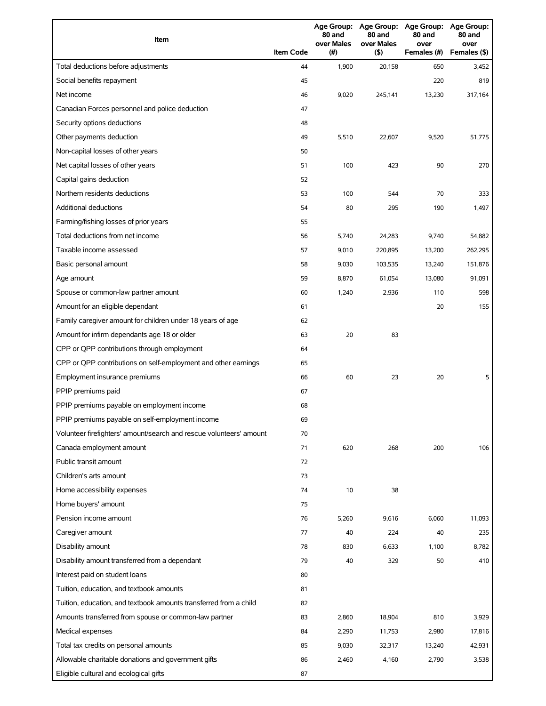| Item                                                                | <b>Item Code</b> | 80 and<br>over Males<br>(#) | 80 and<br>over Males<br>(5) | Age Group: Age Group: Age Group: Age Group:<br>80 and<br>over<br>Females (#) | 80 and<br>over<br>Females (\$) |
|---------------------------------------------------------------------|------------------|-----------------------------|-----------------------------|------------------------------------------------------------------------------|--------------------------------|
| Total deductions before adjustments                                 | 44               | 1,900                       | 20,158                      | 650                                                                          | 3,452                          |
| Social benefits repayment                                           | 45               |                             |                             | 220                                                                          | 819                            |
| Net income                                                          | 46               | 9,020                       | 245,141                     | 13,230                                                                       | 317,164                        |
| Canadian Forces personnel and police deduction                      | 47               |                             |                             |                                                                              |                                |
| Security options deductions                                         | 48               |                             |                             |                                                                              |                                |
| Other payments deduction                                            | 49               | 5,510                       | 22,607                      | 9,520                                                                        | 51,775                         |
| Non-capital losses of other years                                   | 50               |                             |                             |                                                                              |                                |
| Net capital losses of other years                                   | 51               | 100                         | 423                         | 90                                                                           | 270                            |
| Capital gains deduction                                             | 52               |                             |                             |                                                                              |                                |
| Northern residents deductions                                       | 53               | 100                         | 544                         | 70                                                                           | 333                            |
| <b>Additional deductions</b>                                        | 54               | 80                          | 295                         | 190                                                                          | 1,497                          |
| Farming/fishing losses of prior years                               | 55               |                             |                             |                                                                              |                                |
| Total deductions from net income                                    | 56               | 5,740                       | 24,283                      | 9,740                                                                        | 54,882                         |
| Taxable income assessed                                             | 57               | 9,010                       | 220,895                     | 13,200                                                                       | 262,295                        |
| Basic personal amount                                               | 58               | 9,030                       | 103,535                     | 13,240                                                                       | 151,876                        |
| Age amount                                                          | 59               | 8,870                       | 61,054                      | 13,080                                                                       | 91,091                         |
| Spouse or common-law partner amount                                 | 60               | 1,240                       | 2,936                       | 110                                                                          | 598                            |
| Amount for an eligible dependant                                    | 61               |                             |                             | 20                                                                           | 155                            |
| Family caregiver amount for children under 18 years of age          | 62               |                             |                             |                                                                              |                                |
| Amount for infirm dependants age 18 or older                        | 63               | 20                          | 83                          |                                                                              |                                |
| CPP or QPP contributions through employment                         | 64               |                             |                             |                                                                              |                                |
| CPP or QPP contributions on self-employment and other earnings      | 65               |                             |                             |                                                                              |                                |
| Employment insurance premiums                                       | 66               | 60                          | 23                          | 20                                                                           | 5                              |
| PPIP premiums paid                                                  | 67               |                             |                             |                                                                              |                                |
| PPIP premiums payable on employment income                          | 68               |                             |                             |                                                                              |                                |
| PPIP premiums payable on self-employment income                     | 69               |                             |                             |                                                                              |                                |
| Volunteer firefighters' amount/search and rescue volunteers' amount | 70               |                             |                             |                                                                              |                                |
| Canada employment amount                                            | 71               | 620                         | 268                         | 200                                                                          | 106                            |
| Public transit amount                                               | 72               |                             |                             |                                                                              |                                |
| Children's arts amount                                              | 73               |                             |                             |                                                                              |                                |
| Home accessibility expenses                                         | 74               | 10                          | 38                          |                                                                              |                                |
| Home buyers' amount                                                 | 75               |                             |                             |                                                                              |                                |
| Pension income amount                                               | 76               | 5,260                       | 9,616                       | 6,060                                                                        | 11,093                         |
| Caregiver amount                                                    | 77               | 40                          | 224                         | 40                                                                           | 235                            |
| Disability amount                                                   | 78               | 830                         | 6,633                       | 1,100                                                                        | 8,782                          |
| Disability amount transferred from a dependant                      | 79               | 40                          | 329                         | 50                                                                           | 410                            |
| Interest paid on student loans                                      | 80               |                             |                             |                                                                              |                                |
| Tuition, education, and textbook amounts                            | 81               |                             |                             |                                                                              |                                |
| Tuition, education, and textbook amounts transferred from a child   | 82               |                             |                             |                                                                              |                                |
| Amounts transferred from spouse or common-law partner               | 83               | 2,860                       | 18,904                      | 810                                                                          | 3,929                          |
| Medical expenses                                                    | 84               | 2,290                       | 11,753                      | 2,980                                                                        | 17,816                         |
| Total tax credits on personal amounts                               | 85               | 9,030                       | 32,317                      | 13,240                                                                       | 42,931                         |
| Allowable charitable donations and government gifts                 | 86               | 2,460                       | 4,160                       | 2,790                                                                        | 3,538                          |
| Eligible cultural and ecological gifts                              | 87               |                             |                             |                                                                              |                                |